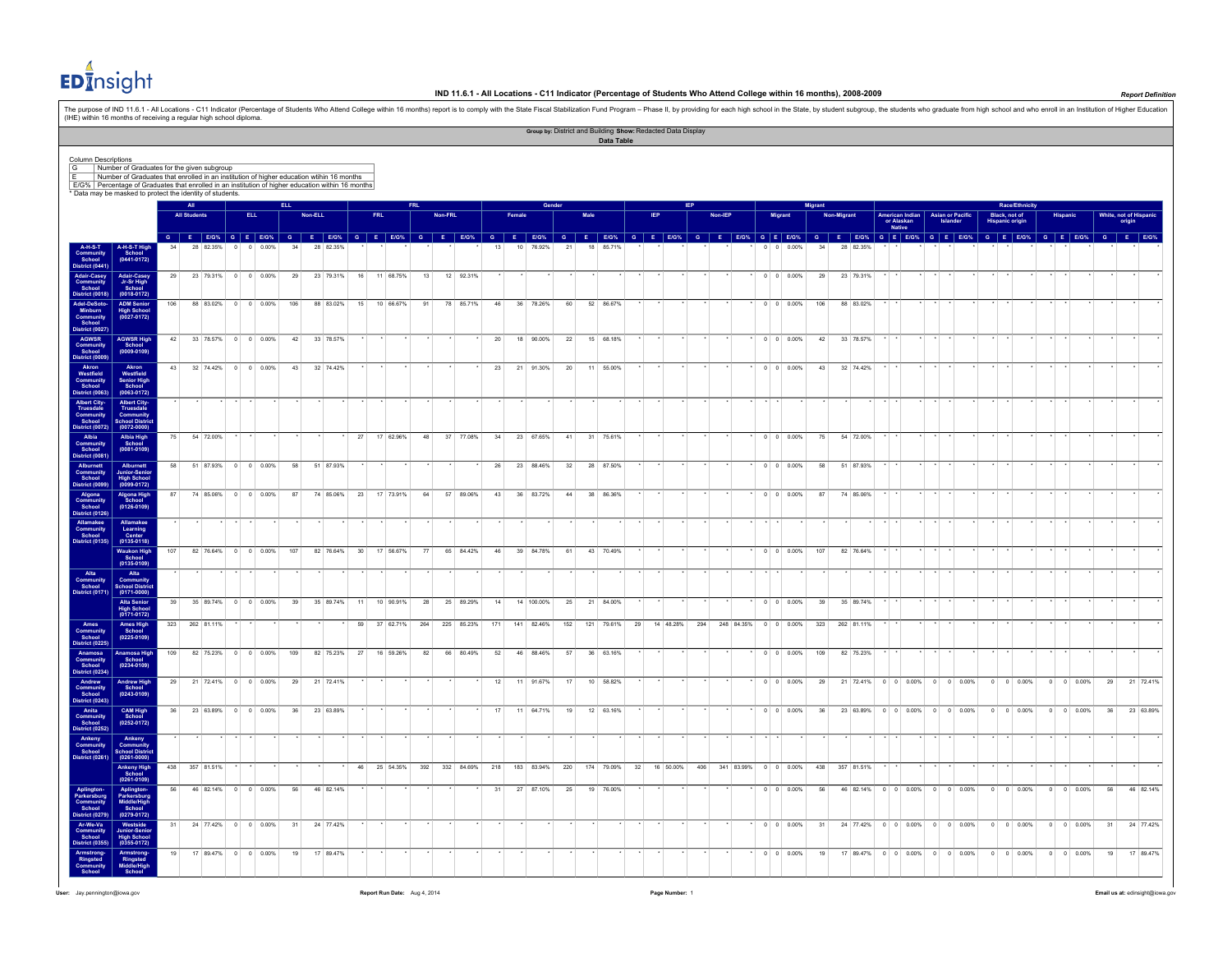# **ED**Insight

### **IND 11.6.1 - All Locations - C11 Indicator (Percentage of Students Who Attend College within 16 months), 2008-2009** *Report Definition*

The purpose of IND 11.6.1 - All Locations - C11 Indicator (Percentage of Students Who Attend College within 16 months) report is to comply with the State Fiscal Stabilization Fund Program - Phase II, by providing for each (IHE) within 16 months of receiving a regular high school diploma. **Group by:** District and Building **Show:** Redacted Data Display **Data Table** Column Descriptions<br>
(G = | Number of Graduates for the given subgroup<br>
E = | Number of Graduates that enrolled in an institution of higher education within 16 months<br>
[E/3% | Percentage of Graduates that enrolled in an in **All ELL FRL Gender IEP Migrant Race/Ethnicity All Students ELL Non-ELL FRL Non-FRL Female Male IEP Non-IEP Migrant Non-Migrant American Indian or Alaskan Native Asian or Pacific Islander Black, not of Hispanic origin Hispanic White, not of Hispanic origin** G E EON G E EON G E EON G E EON G E EON G E EON G E EON G E EON G E EON G E EONG E EONG G E EONG G E EONG G E EONG G E EONG G E EONG G E EONG G E EONG G E EONG G E EONG G E EONG G E EONG G E EONG G E EONG G E EONG G E EONG **A-H-S-T Community School District (0441) A-H-S-T High School (0441-0172)** 34 28 82.35% 0 0 0.00% 34 28 82.35% \* \* \* \* \* \* 13 10 76.92% 21 18 85.71% \* \* \* \* \* \* 0 0 0.00% 34 28 82.35% \* \* \* \* \* \* \* \* \* \* \* \* \* \* \* **Adair-Casey Community School District (0018) Adair-Casey Jr-Sr High School (0018-0172)** 29 23 79.31% 0 0 0.00% 29 23 79.31% 16 11 68.75% 13 12 92.31% \* \* \* \* \* \* \* \* \* \* \* \* \* \* \* 0 0 0.00% 29 23 79.31% \* \* \* \* \* \* \* \* \* \* \* \* \* \* \* \* **Adel-DeSoto- Minburn Community School District (0027) ADM Senior High School (0027-0172)** 106 88 83.02% 0 0 0.00% 106 88 83.02% 15 10 66.67% 91 78 85.71% 46 36 78.26% 60 52 86.67% \* \* \* \* \* \* 0 0 0.00% 106 88 83.02% \* \* \* \* \* \* \* \* \* \* \* \* \* \* \* **AGWSR Community School District (0009) AGWSR High School (0009-0109)** 42 33 78.57% 0 0 0.00% 42 33 78.57% \* \* \* \* \* \* 20 18 90.00% 22 15 68.18% \* \* \* \* \* \* 0 0 0.00% 42 33 78.57% \* \* \* \* \* \* \* \* \* \* \* \* \* \* \* **Akron School District (0063) Akron Westfield Senior High School (0063-0172)** 43 32 74.42% 0 0 0.00% 43 32 74.42% \* \* \* \* \* \* 23 21 91.30% 20 11 55.00% \* \* \* \* \* \* 0 0 0.00% 43 32 74.42% \* \* \* \* \* \* \* \* \* \* \* \* \* \* \* **Albert City-Truesdale Community School District (0072) Albert City-Truesdale Community School District (0072-0000)** \* \* \* \* \* \* \* \* \* \* \* \* \* \* \* \* \* \* \* \* \* \* \* \* \* \* \* \* \* \* \* \* \* \* \* \* \* \* \* \* \* \* \* \* \* \* \* \* **Albia Community School District (0081) Albia High School (0081-0109)** 75 54 72.00% \* \* \* \* \* \* 27 17 62.96% 48 37 77.08% 34 23 67.65% 41 31 75.61% \* \* \* \* \* \* 0 0 0.00% 75 54 72.00% \* \* \* \* \* \* \* \* \* \* \* \* \* \* \* **Alburnett Community School District (0099) Alburnett Junior-Senior High School (0099-0172)** 58 51 87.93% 0 0 0.00% 58 51 87.93% \* \* \* \* \* \* 26 23 88.46% 32 28 87.50% \* \* \* \* \* \* 0 0 0.00% 58 51 87.93% \* \* \* \* \* \* \* \* \* \* \* \* \* \* \* **Algona School Algona High School (0126-0109)** 87 74 85.06% 0 0 0.00% 87 74 85.06% 23 17 73.91% 64 57 89.06% 43 36 83.72% 44 38 86.36% \* \* \* \* \* \* 0 0 0.00% 87 74 85.06% \* \* \* \* \* \* \* \* \* \* \* \* \* \* \* **Allamakee Community School District (0135) Allamakee Learning Center (0135-0118)** \* \* \* \* \* \* \* \* \* \* \* \* \* \* \* \* \* \* \* \* \* \* \* \* \* \* \* \* \* \* \* \* \* \* \* \* \* \* \* \* \* \* \* \* \* \* \* \* **Waukon High School (0135-0109)** 107 82 76.64% 0 0 0.00% 107 82 76.64% 30 17 56.67% 77 65 84.42% 46 39 84.78% 61 43 70.49% \* \* \* \* \* \* 0 0 0.00% 107 82 76.64% \* \* \* \* \* \* \* \* \* \* \* \* \* \* \* **Alta Community School District (0171) Alta Community School District (0171-0000)** \* \* \* \* \* \* \* \* \* \* \* \* \* \* \* \* \* \* \* \* \* \* \* \* \* \* \* \* \* \* \* \* \* \* \* \* \* \* \* \* \* \* \* \* \* \* \* \* **Alta Senior High School (0171-0172)** 39 35 89.74% 0 0 0.00% 39 35 89.74% 11 10 90.91% 28 25 89.29% 14 14 100.00% 25 21 84.00% \* \* \* \* \* \* 0 0 0.00% 39 35 89.74% \* \* \* \* \* \* \* \* \* \* \* \* \* \* \* **Ames Community School District (0225) Ames High School (0225-0109)**  $323$   $262$  81.11%  $\cdot$   $\cdot$   $\cdot$   $\cdot$   $\cdot$   $\cdot$  59 37 62.71% 264 225 85.23% 171 141 82.46% 152 121 79.61% 29 14 48.28% 294 248 84.35% 0 0 0.00% 323 262 81.11% **Anamosa Community School District (0234) Anamosa High School (0234-0109)** 109 82 75.23% 0 0 0.00% 109 82 75.23% 27 16 59.26% 82 66 80.49% 52 46 88.46% 57 36 63.16% \* \* \* \* \* \* 0 0 0.00% 109 82 75.23% \* \* \* \* \* \* \* \* \* \* \* \* \* \* \* **Andrew Community School District (0243) Andrew High School (0243-0109)** 29 21 72.41% 0 0 0.00% 29 21 72.41% \* \* \* \* \* \* \* \* 12 11 91.67% 17 10 58.82% \* \* \* \* 0 0 0.00% 29 21 72.41% 29 21 72.41% 0 0 0.00% 0 0 0.00% 0 0 0.00% 0 0 0.00% 0 0 0.00% 0 0 0.00% 0 0 0.00% 29 21 72.41% **Anita Community School District (0252) CAM High School (0252-0172)** 36 23 63.89% 0 0 0.00% 36 23 63.89% \* \* \* \* \* \* \* \* 17 11 64.71% 19 12 63.16% \* \* \* \* \* 0 0 0.00% 36 23 63.89% 0 0 0.00% 0 0 0.00% 0 0 0.00% 0 0 0.00% 0 0 0.00% 0 0 0.00% 0 0 0.00% 0 0 0.00% 0 0 0.00% 36 23 63.89% **Ankeny Community School District (0261) Ankeny**<br>Communi **School District (0261-0000)** \* \* \* \* \* \* \* \* \* \* \* \* \* \* \* \* \* \* \* \* \* \* \* \* \* \* \* \* \* \* \* \* \* \* \* \* \* \* \* \* \* \* \* \* \* \* \* \* **Ankeny High School (0261-0109)** 438 357 81.51% \* \* \* \* \* \* 46 25 54.35% 392 332 84.69% 218 183 83.94% 220 174 79.09% 32 16 50.00% 406 341 83.99% 0 0 0.00% 438 357 81.51% \* \* \* \* \* \* \* \* \* \* \* \* \* \* \* **Aplington-Parkersburg Community School District (0279) Aplington-Parkersburg Middle School (0279-0172)** 56 46 82.14% 0 0 0.00% 56 46 82.14% \* \* \* \* \* 31 27 87.10% 25 19 76.00% \* \* \* \* 0 0 0.00% 56 46 82.14% 0 0 0.00% 0 0 0.00% 0 0 0.00% 0 0 0.00% 0 0 0.00% 0 0 0.00% 56 46 82.14% **Ar-We-Va Community School District (0355) Westside Junior-Senior High School (0355-0172)** 31 24 77.42% 0 0 0.00% 31 24 77.42% \* \* \* \* \* \* \* \* \* \* \* \* \* \* \* \* \* \* 0 0 0.00% 31 24 77.42% 0 0 0.00% 0 0 0.00% 0 0 0.00% 0 0 0.00% 31 24 77.42% **Armstrong- Ringsted Community School Armstrong- Ringsted Middle/High School**  19 17 89.47% 0 0 0.00% 19 17 89.47% \* \* \* \* \* \* \* \* \* \* \* \* \* \* \* \* \* \* 0 0 0.00% 19 17 89.47% 0 0 0.00% 0 0 0.00% 0 0 0.00% 0 0 0.00% 19 17 89.47%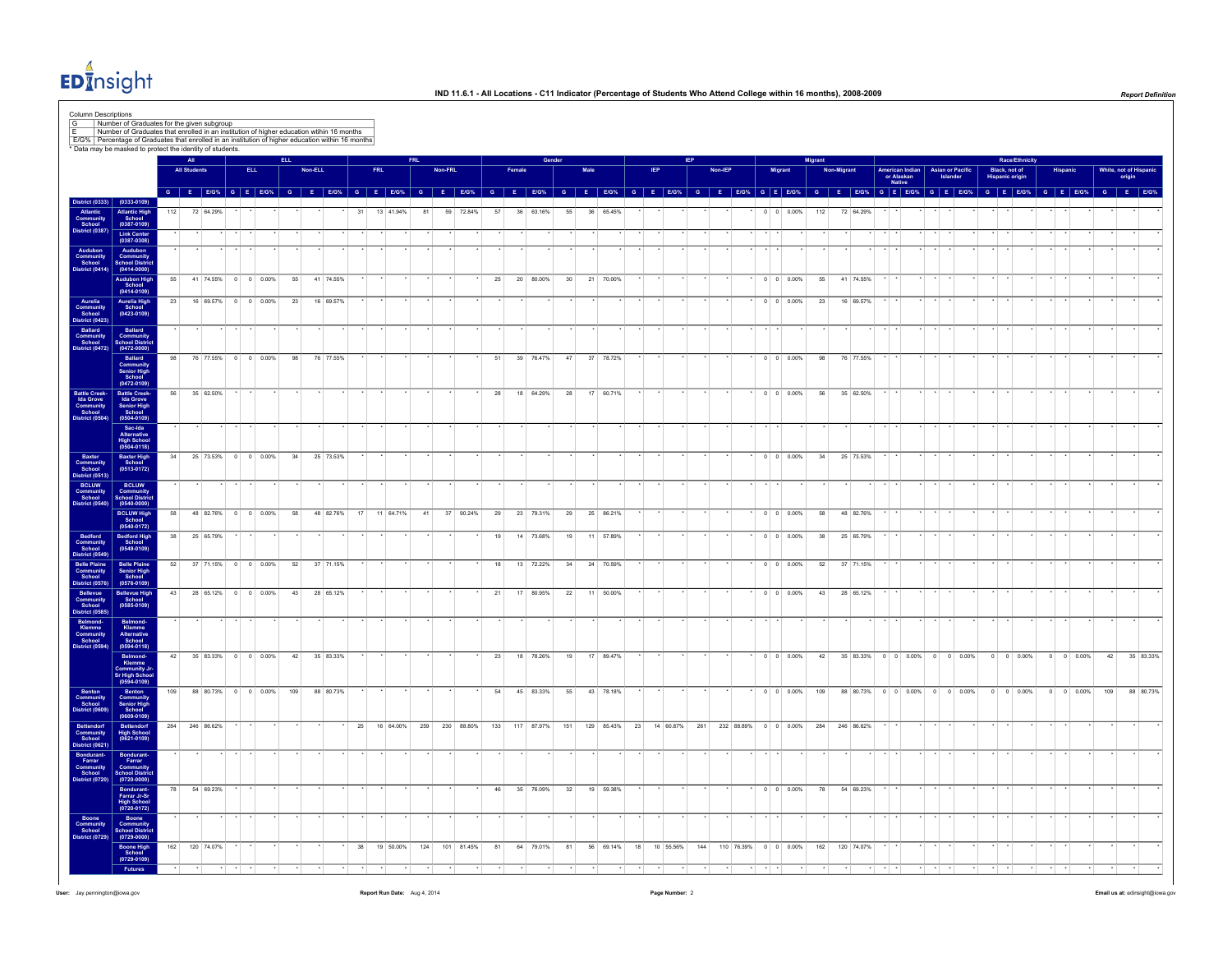

|                                                                      |                                                                                                  | * Data may be masked to protect the identity of students. |                     |                        |            |     |         |           |    |            |                                              |    |         |           |                               |                 |           |          |                 |           |                         |  |                                                      |              |         |        |                          | Migran   |            |                |                                         |                                     |                                         |                                         | <b>Race/Ethnicity</b> |                    |                   |                               |           |
|----------------------------------------------------------------------|--------------------------------------------------------------------------------------------------|-----------------------------------------------------------|---------------------|------------------------|------------|-----|---------|-----------|----|------------|----------------------------------------------|----|---------|-----------|-------------------------------|-----------------|-----------|----------|-----------------|-----------|-------------------------|--|------------------------------------------------------|--------------|---------|--------|--------------------------|----------|------------|----------------|-----------------------------------------|-------------------------------------|-----------------------------------------|-----------------------------------------|-----------------------|--------------------|-------------------|-------------------------------|-----------|
|                                                                      |                                                                                                  |                                                           | <b>All Students</b> |                        | <b>ELL</b> |     | Non-ELL |           |    | <b>FRL</b> |                                              |    | Non-FRL |           |                               | Female          |           |          |                 | Male      |                         |  |                                                      |              | Non-IEP | Migran |                          |          | Non-Migran |                | American Indian<br>or Alaskan<br>Native | <b>Asian or Pacific</b><br>Islander |                                         | Black, not of<br><b>Hispanic origin</b> |                       |                    |                   | White, not of Hispa<br>origin |           |
| <b>District (0333)</b>                                               | $(0333 - 0109)$                                                                                  |                                                           |                     |                        |            |     |         |           |    |            | G E E/G% G E E/G% G E E/G% G E E/G% G E E/G% |    |         |           |                               | $G$ $E$ $E/G$ % |           | <b>G</b> | F               |           | $E/G\%$ $G$ $E$ $E/G\%$ |  |                                                      | $\mathbf{G}$ |         |        | E E/G% G E E/G%          | <b>G</b> | <b>F</b>   |                | $E/G\%$ G E E/G% G E E/G%               |                                     |                                         | $G$ $E$ $E/G$ %                         |                       |                    | G E E/G% G E E/G% |                               |           |
| Atlantic<br>Community<br>School<br>District (0387)                   | Atlantic High<br>School<br>(0387-0109)                                                           | 112                                                       |                     | 72 64.29%              |            |     |         |           | 31 |            | 13 41.94%                                    | 81 |         | 59 72.84% | 57                            |                 | 36 63.16% |          | 55              | 36 65.45% |                         |  |                                                      |              |         |        | $0 \quad 0 \quad 0.00\%$ | 112      |            | 72 64.29%      |                                         |                                     |                                         |                                         |                       |                    |                   |                               |           |
|                                                                      | Link Center<br>(0387-0308)                                                                       |                                                           |                     |                        |            |     |         |           |    |            |                                              |    |         |           |                               |                 |           |          |                 |           |                         |  |                                                      |              |         |        |                          |          |            |                |                                         |                                     |                                         |                                         |                       |                    |                   |                               |           |
| Audubon<br>Community<br>School                                       | Audubon<br>Community<br>School Distric<br>$(0414 - 0000)$                                        | 55                                                        |                     | 41 74.55% 0 0 0.00%    |            | 55  |         | 41 74.55% |    |            |                                              |    |         |           | 25                            |                 | 20 80.00% |          | 30 <sup>°</sup> | 21 70.00% |                         |  |                                                      |              |         |        | $0 \t 0 \t 0.00\%$       | 55       |            | 41 74.55%      |                                         |                                     |                                         |                                         |                       |                    |                   |                               |           |
|                                                                      | Audubon High<br>School<br>(0414-0109)                                                            |                                                           |                     | 23 16 69.57% 0 0 0.00% |            | 23  |         | 16 69.57% |    |            |                                              |    |         |           |                               |                 |           |          |                 |           |                         |  |                                                      |              |         |        | $0 \quad 0 \quad 0.00\%$ | 23       |            | 16 69.57%      |                                         |                                     |                                         |                                         |                       |                    |                   |                               |           |
| Aurelia<br>Community<br>School<br>District (0423)                    | Aurelia High<br>School<br>(0423-0109)                                                            |                                                           |                     |                        |            |     |         |           |    |            |                                              |    |         |           |                               |                 |           |          |                 |           |                         |  |                                                      |              |         |        |                          |          |            |                |                                         |                                     |                                         |                                         |                       |                    |                   |                               |           |
| Ballard<br>Community<br>School<br>District (0472)                    | Ballard<br>Community<br>School Distric<br>(0472-0000)                                            |                                                           |                     |                        |            |     |         |           |    |            |                                              |    |         |           |                               |                 |           |          |                 |           |                         |  |                                                      |              |         |        |                          |          |            |                |                                         |                                     |                                         |                                         |                       |                    |                   |                               |           |
|                                                                      | Ballard<br>Community<br>Senior High<br>School<br>(0472-0109)                                     | 98                                                        |                     | 76 77.55% 0 0 0.00%    |            | 98  |         | 76 77.55% |    |            |                                              |    |         |           | 51                            |                 | 39 76.47% |          | 47              | 37 78.72% |                         |  |                                                      |              |         |        | $0 \quad 0 \quad 0.00\%$ | 98       |            | 76 77.55%      |                                         |                                     |                                         |                                         |                       |                    |                   |                               |           |
| Battle Creek-<br>Ida Grove<br>Community<br>School<br>District (0504) | Battle Creek-<br>Ida Grove<br>Senior High<br>School<br>(0504-0109)                               | 56                                                        |                     | 35 62.50%              |            |     |         |           |    |            |                                              |    |         |           | 28                            |                 | 18 64.29% |          | 28              | 17 60.71% |                         |  |                                                      |              |         |        | $0 \t 0 \t 0.00\%$       | 56       |            | 35 62.50%      |                                         |                                     |                                         |                                         |                       |                    |                   |                               |           |
|                                                                      | Sac-Ida<br>Alternative<br>High School<br>(0504-0118)                                             |                                                           |                     |                        |            |     |         |           |    |            |                                              |    |         |           |                               |                 |           |          |                 |           |                         |  |                                                      |              |         |        |                          |          |            |                |                                         |                                     |                                         |                                         |                       |                    |                   |                               |           |
| Baxter<br>Community<br>School<br>District (0513)                     | Baxter High<br>School<br>(0513-0172)                                                             | 34                                                        |                     | 25 73.53% 0 0 0.00%    |            | 34  |         | 25 73.53% |    |            |                                              |    |         |           |                               |                 |           |          |                 |           |                         |  |                                                      |              |         |        | $0 \t 0 \t 0.00\%$       | 34       |            | 25 73.53%      |                                         |                                     |                                         |                                         |                       |                    |                   |                               |           |
| BCLUW<br>Community<br>School<br>District (0540)                      | <b>BCLUW</b><br>Community<br>School Distric<br>(0540-0000)                                       |                                                           |                     |                        |            |     |         |           |    |            |                                              |    |         |           |                               |                 |           |          |                 |           |                         |  |                                                      |              |         |        |                          |          |            |                |                                         |                                     |                                         |                                         |                       |                    |                   |                               |           |
|                                                                      | <b>BCLUW High</b><br>School<br>(0540-0172)                                                       | 58                                                        |                     | 48 82.76% 0 0 0.00%    |            | 58  |         | 48 82.76% | 17 |            | 11 64.71%                                    | 41 |         | 37 90.24% | 29                            |                 | 23 79.31% |          | 29              | 25 86.21% |                         |  |                                                      |              |         |        | $0 \quad 0 \quad 0.00\%$ | 58       |            | 48 82.76%      |                                         |                                     |                                         |                                         |                       |                    |                   |                               |           |
| Bedford<br>Community<br>School<br>District (0549)                    | Bedford High<br>School<br>(0549-0109)                                                            | 38                                                        |                     | 25 65.79%              |            |     |         |           |    |            |                                              |    |         |           | 19                            |                 | 14 73.68% |          | 19              | 11 57.89% |                         |  |                                                      |              |         |        | $0 \t 0 \t 0.00\%$       | 38       |            | 25 65.79%      |                                         |                                     |                                         |                                         |                       |                    |                   |                               |           |
| Belle Plaine<br>Community<br>School<br>District (0576)               | Belle Plaine<br>Senior High<br>School<br>(0576-0109)                                             | 52                                                        |                     | 37 71.15% 0 0 0.00%    |            | 52  |         | 37 71.15% |    |            |                                              |    |         |           | 18                            |                 | 13 72.22% |          | 34              | 24 70.59% |                         |  |                                                      |              |         |        | $0 \quad 0 \quad 0.00\%$ | 52       |            | 37 71.15%      |                                         |                                     |                                         |                                         |                       |                    |                   |                               |           |
| Bellevue<br>Community<br>School<br>District (0585)                   | Bellevue High<br>School<br>(0585-0109)                                                           |                                                           |                     | 43 28 65.12% 0 0 0.00% |            | 43  |         | 28 65.12% |    |            |                                              |    |         |           | 21                            |                 | 17 80.95% |          | 22              | 11 50.00% |                         |  |                                                      |              |         |        | $0 \quad 0 \quad 0.00\%$ |          |            | 43 28 65.12%   |                                         |                                     |                                         |                                         |                       |                    |                   |                               |           |
| Belmond-<br>Klemme<br>Community<br>School                            | Belmond-<br>Klemme<br>Alternative<br>School<br>(0594-0118)                                       |                                                           |                     |                        |            |     |         |           |    |            |                                              |    |         |           |                               |                 |           |          |                 |           |                         |  |                                                      |              |         |        |                          |          |            |                |                                         |                                     |                                         |                                         |                       |                    |                   |                               |           |
| Jistrict (0594)                                                      | Belmond-<br>Klemme<br>Community Jr<br>Sr High Schoo<br>(0594-0109)                               |                                                           |                     | 42 35 83.33% 0 0 0.00% |            | 42  |         | 35 83.33% |    |            |                                              |    |         |           | 23                            |                 | 18 78.26% |          | 19              | 17 89.47% |                         |  |                                                      |              |         |        | $0 \quad 0 \quad 0.00\%$ | 42       |            |                |                                         |                                     | 35 83.33% 0 0 0.00% 0 0 0.00% 0 0 0.00% |                                         |                       | $0 \t 0 \t 0.00\%$ | 42                |                               | 35 83.33% |
| Benton<br>Community<br>School<br>District (0609                      | Benton<br>Community<br>Senior High<br>School<br>(0609-0109)                                      | 109                                                       |                     | 88 80.73% 0 0 0.00%    |            | 109 |         | 88 80.73% |    |            |                                              |    |         |           | 54                            |                 | 45 83.33% |          | 55              | 43 78.18% |                         |  |                                                      |              |         |        | $0 \quad 0 \quad 0.00\%$ | 109      |            |                |                                         |                                     | 88 80.73% 0 0 0.00% 0 0 0.00%           | $0 \t 0 \t 0.00\%$                      |                       | $0 \t 0 \t 0.00\%$ | 109               |                               | 88 80.73% |
| Bettendorf<br>Community<br>School<br>District (0621)                 | Bettendorf<br>High School<br>(0621-0109)                                                         |                                                           |                     | 284 246 86.62%         |            |     |         |           | 25 |            | 16 64.00%                                    |    |         |           | 259 230 88.80% 133 117 87.97% |                 |           |          | 151             |           |                         |  | 129 85.43% 23 14 60.87% 261 232 88.89% 0 0 0.00% 284 |              |         |        |                          |          |            | 246 86.62%     |                                         |                                     |                                         |                                         |                       |                    |                   |                               |           |
| Bondurant-<br>Farrar<br>Community<br>School<br>District (0720)       |                                                                                                  |                                                           |                     |                        |            |     |         |           |    |            |                                              |    |         |           |                               |                 |           |          |                 |           |                         |  |                                                      |              |         |        |                          |          |            |                |                                         |                                     |                                         |                                         |                       |                    |                   |                               |           |
|                                                                      | Bondurant-<br>Farrar<br>Community<br>School Distric<br>(0720-0000)<br>Bondurant-<br>Farrar Jr-Sr | 78                                                        |                     | 54 69.23%              |            |     |         |           |    |            |                                              |    |         |           | 46                            |                 | 35 76.09% |          | 32              | 19 59.38% |                         |  |                                                      |              |         |        | $0 \t 0 \t 0.00\%$       | 78       |            | 54 69.23%      |                                         |                                     |                                         |                                         |                       |                    |                   |                               |           |
|                                                                      | High School<br>(0720-0172)                                                                       |                                                           |                     |                        |            |     |         |           |    |            |                                              |    |         |           |                               |                 |           |          |                 |           |                         |  |                                                      |              |         |        |                          |          |            |                |                                         |                                     |                                         |                                         |                       |                    |                   |                               |           |
| Boone<br>Community<br>School                                         | Boone<br>Community<br>School Distric                                                             |                                                           |                     |                        |            |     |         |           |    |            |                                              |    |         |           |                               |                 |           |          |                 |           |                         |  |                                                      |              |         |        |                          |          |            |                |                                         |                                     |                                         |                                         |                       |                    |                   |                               |           |
| trict (0729                                                          | $(0729 - 0000)$<br>Boone High<br>School<br>(0729-0109)                                           |                                                           |                     | 162 120 74.07%         |            |     |         |           | 38 |            | 19 50.00% 124 101 81.45%                     |    |         |           | 81                            |                 | 64 79.01% |          | 81              |           |                         |  | 56 69.14% 18 10 55.56% 144 110 76.39% 0 0 0 0.00%    |              |         |        |                          |          |            | 162 120 74.07% |                                         |                                     |                                         |                                         |                       |                    |                   |                               |           |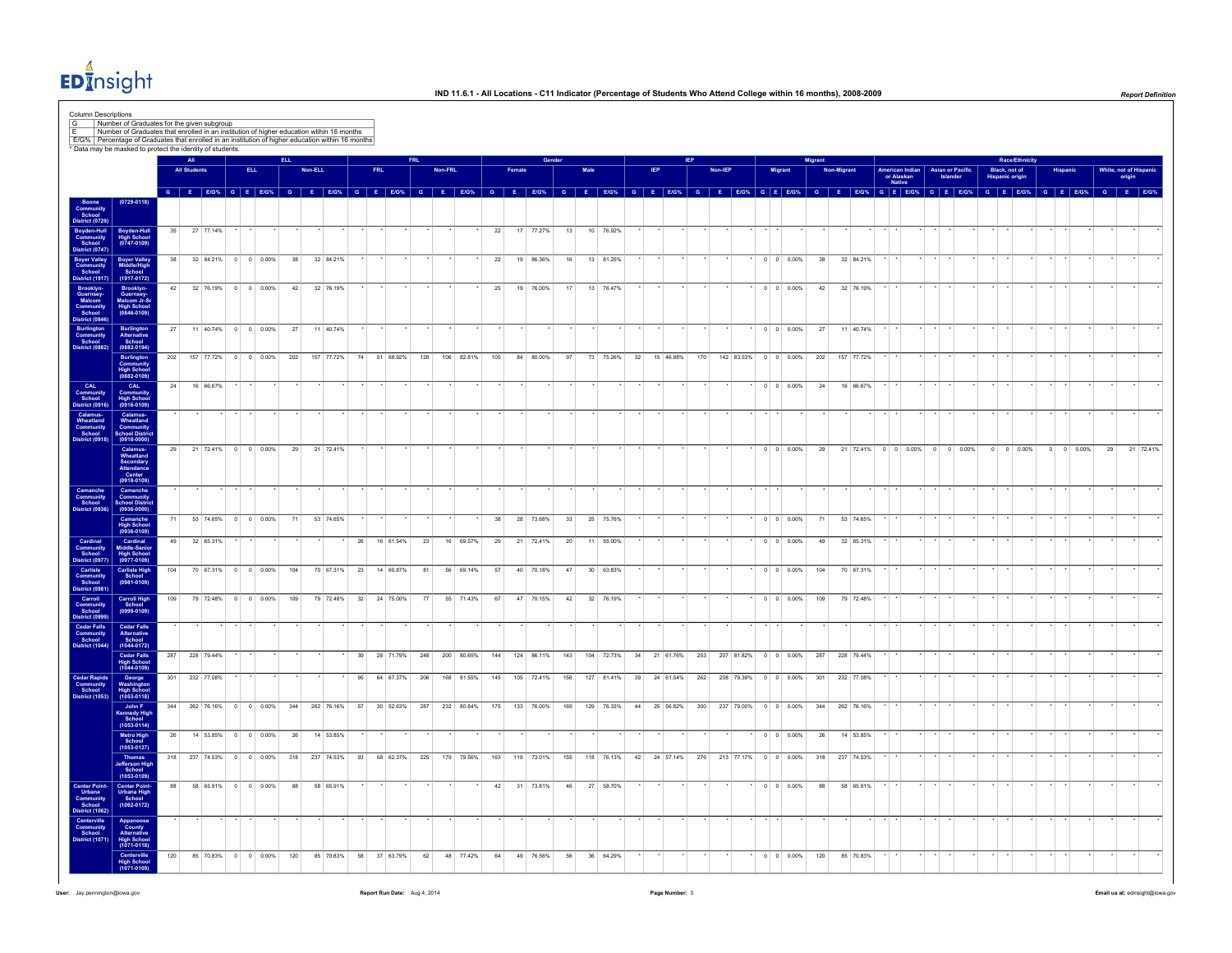

|                                                                                   | * Data may be masked to protect the identity of students.                 |     |                     |                |                           |                    |     |         |            |    |            |                                                                                    |     |         |            |     |                 |            |                |      |                         |    |                 |                                                                 |                      |                          |           |            |                               |                                                   |          |                                    |                    |          |                    |    |                             |
|-----------------------------------------------------------------------------------|---------------------------------------------------------------------------|-----|---------------------|----------------|---------------------------|--------------------|-----|---------|------------|----|------------|------------------------------------------------------------------------------------|-----|---------|------------|-----|-----------------|------------|----------------|------|-------------------------|----|-----------------|-----------------------------------------------------------------|----------------------|--------------------------|-----------|------------|-------------------------------|---------------------------------------------------|----------|------------------------------------|--------------------|----------|--------------------|----|-----------------------------|
|                                                                                   |                                                                           |     | <b>All Students</b> |                |                           | <b>ELL</b>         |     | Non-ELL |            |    | <b>FRL</b> |                                                                                    |     | Non-FRI |            |     |                 |            |                | Male |                         |    |                 | Non-IEP                                                         |                      | Migrant                  | diaran    | Non-Migran |                               | American Indian   Asian or Pacific                |          | Black, not of                      | Race/Ethnicity     | Hispanio |                    |    | White, not of Hispan        |
|                                                                                   |                                                                           |     |                     |                |                           |                    |     |         |            |    |            | G E E/G% G E E/G% G E E/G% G E E/G% G E E/G%                                       |     |         |            |     | $G$ $E$ $E/G$ % |            | $\overline{G}$ | E    | <b>E/G%</b>             |    | $G$ $F$ $F/G$ % | $ \mathbf{G}$                                                   | E E/G% G E E/G%      |                          | $-$ G $-$ | E          |                               | or Alaskan<br>Native<br>$E/G\%$ G E E/G% G E E/G% | Islander | <b>Hispanic origin</b><br>G E E/G% |                    |          |                    |    | origin<br>G E E/G% G E E/G% |
|                                                                                   | $(0729 - 0118)$                                                           |     |                     |                |                           |                    |     |         |            |    |            |                                                                                    |     |         |            |     |                 |            |                |      |                         |    |                 |                                                                 |                      |                          |           |            |                               |                                                   |          |                                    |                    |          |                    |    |                             |
| Boone<br>Community<br>School<br>District (0729                                    |                                                                           |     |                     |                |                           |                    |     |         |            |    |            |                                                                                    |     |         |            |     |                 |            |                |      |                         |    |                 |                                                                 |                      |                          |           |            |                               |                                                   |          |                                    |                    |          |                    |    |                             |
| Boyden-Hull<br>Community<br>School<br>District (0747)                             | Boyden-Hull<br>High School<br>(0747-0109)                                 | 35  |                     | 27 77.14%      |                           |                    |     |         |            |    |            |                                                                                    |     |         |            | 22  |                 | 17 77.27%  | 13             |      | 10 76.92%               |    |                 |                                                                 |                      |                          |           |            |                               |                                                   |          |                                    |                    |          |                    |    |                             |
| Boyer Valley<br>Community<br>School                                               |                                                                           | 38  |                     | 32 84.21%      |                           | $0 \t 0 \t 0.00\%$ |     | 38      | 32 84.21%  |    |            |                                                                                    |     |         |            | 22  |                 | 19 86.36%  | 16             |      | 13 81.25%               |    |                 |                                                                 |                      | $0 \t 0 \t 0.00\%$       | 38        |            | 32 84.21%                     |                                                   |          |                                    |                    |          |                    |    |                             |
| <b>District (1917)</b>                                                            | Boyer Valley<br>Middle/High<br>School<br>(1917-0172)                      |     |                     |                |                           |                    |     |         |            |    |            |                                                                                    |     |         |            |     |                 |            |                |      |                         |    |                 |                                                                 |                      |                          |           |            |                               |                                                   |          |                                    |                    |          |                    |    |                             |
| Brooklyn-<br>Guernsey-Malcom<br>Community<br>School<br>Alcomoun                   | Brooklyn-<br>Guernsey-<br>Malcom Jr-Sr<br>High School<br>(0846-0109)      |     |                     |                | 42 32 76.19% 0 0 0.00%    |                    |     | 42      | 32 76.19%  |    |            |                                                                                    |     |         |            | 25  |                 | 19 76.00%  | 17             |      | 13 76.47%               |    |                 |                                                                 |                      | $0 \quad 0 \quad 0.00\%$ | 42        |            | 32 76.19%                     |                                                   |          |                                    |                    |          |                    |    |                             |
|                                                                                   |                                                                           |     |                     |                |                           |                    |     |         |            |    |            |                                                                                    |     |         |            |     |                 |            |                |      |                         |    |                 |                                                                 |                      |                          |           |            |                               |                                                   |          |                                    |                    |          |                    |    |                             |
| School<br>Burlington<br>Burlington<br>Community<br>School<br>District (0882)      | Burlington<br>Alternative<br>School<br>(0882-0194)                        |     |                     |                | 27 11 40.74% 0 0 0.00% 27 |                    |     |         | 11 40.74%  |    |            |                                                                                    |     |         |            |     |                 |            |                |      |                         |    |                 |                                                                 |                      | $0 \t 0 \t 0.00\%$ 27    |           |            | 11 40.74%                     |                                                   |          |                                    |                    |          |                    |    |                             |
|                                                                                   |                                                                           | 202 |                     |                | 157 77.72% 0 0 0.00%      |                    | 202 |         | 157 77.72% |    |            | 74 51 68.92%                                                                       | 128 |         | 106 82.81% | 105 |                 | 84 80,00%  | 97             |      | 73 75.26%               | 32 | 15 46.88%       | 170                                                             | 142 83.53% 0 0 0.00% |                          | 202       |            | 157 77.72%                    |                                                   |          |                                    |                    |          |                    |    |                             |
|                                                                                   | Burlington<br>Community<br>High School<br>(0882-0109)                     |     |                     |                |                           |                    |     |         |            |    |            |                                                                                    |     |         |            |     |                 |            |                |      |                         |    |                 |                                                                 |                      |                          |           |            |                               |                                                   |          |                                    |                    |          |                    |    |                             |
| CAL<br>Community<br>School                                                        | CAL<br>Community<br>High School<br>(0916-0109)                            | 24  |                     | 16 66.67%      |                           |                    |     |         |            |    |            |                                                                                    |     |         |            |     |                 |            |                |      |                         |    |                 |                                                                 |                      | $0 \t 0 \t 0.00\%$       | 24        |            | 16 66.67%                     |                                                   |          |                                    |                    |          |                    |    |                             |
|                                                                                   |                                                                           |     |                     |                |                           |                    |     |         |            |    |            |                                                                                    |     |         |            |     |                 |            |                |      |                         |    |                 |                                                                 |                      |                          |           |            |                               |                                                   |          |                                    |                    |          |                    |    |                             |
| Calamus-<br>Wheatland<br>Community<br>School<br>District (0918)                   | Calamus-<br>Wheatland<br>Community<br>School Distric<br>(0918-0000)       |     |                     |                |                           |                    |     |         |            |    |            |                                                                                    |     |         |            |     |                 |            |                |      |                         |    |                 |                                                                 |                      |                          |           |            |                               |                                                   |          |                                    |                    |          |                    |    |                             |
|                                                                                   |                                                                           | 29  |                     |                | 21 72.41% 0 0 0.00%       |                    |     | 29      | 21 72.41%  |    |            |                                                                                    |     |         |            |     |                 |            |                |      |                         |    |                 |                                                                 |                      | $0 \t 0 \t 0.00\%$       | 29        |            | 21 72.41% 0 0 0.00% 0 0 0.00% |                                                   |          |                                    | $0 \t 0 \t 0.00\%$ |          | $0 \t 0 \t 0.00\%$ | 29 | 21 72.41%                   |
|                                                                                   | Calamus-<br>Wheatland<br>Secondary<br>Attendance<br>Center<br>(0918-0109) |     |                     |                |                           |                    |     |         |            |    |            |                                                                                    |     |         |            |     |                 |            |                |      |                         |    |                 |                                                                 |                      |                          |           |            |                               |                                                   |          |                                    |                    |          |                    |    |                             |
|                                                                                   |                                                                           |     |                     |                |                           |                    |     |         |            |    |            |                                                                                    |     |         |            |     |                 |            |                |      |                         |    |                 |                                                                 |                      |                          |           |            |                               |                                                   |          |                                    |                    |          |                    |    |                             |
| Camanche<br>Community<br>School<br>District (0936                                 | Camanche<br>Community<br>School Distric<br>(0936-0000)                    |     |                     |                |                           |                    |     |         |            |    |            |                                                                                    |     |         |            |     |                 |            |                |      |                         |    |                 |                                                                 |                      |                          |           |            |                               |                                                   |          |                                    |                    |          |                    |    |                             |
|                                                                                   | Camanche<br>High School<br>(0936-0109)                                    | 71  |                     |                | 53 74.65% 0 0 0.00%       |                    |     | 71      | 53 74.65%  |    |            |                                                                                    |     |         |            | 38  |                 | 28 73.68%  | 33             |      | 25 75.76%               |    |                 |                                                                 |                      | $0 \quad 0 \quad 0.00\%$ | 71        |            | 53 74.65%                     |                                                   |          |                                    |                    |          |                    |    |                             |
| Cardinal<br>Community<br>School<br>District (097)                                 | Cardinal<br>Middle-Senior<br>High School<br>(0977-0109)                   | 49  |                     | 32 65.31%      |                           |                    |     |         |            | 26 |            | 16 61.54%                                                                          | 23  |         | 16 69.57%  | 29  |                 | 21 72.41%  | 20             |      | 11 55,00%               |    |                 |                                                                 |                      | $0 \quad 0 \quad 0.00\%$ | 49        |            | 32 65.31%                     |                                                   |          |                                    |                    |          |                    |    |                             |
|                                                                                   | Carlisle High<br>School                                                   | 104 |                     |                | 70 67.31% 0 0 0.00%       |                    | 104 |         |            |    |            | 70 67.31% 23 14 60.87%                                                             | 81  |         | 56 69.14%  | 57  |                 | 40 70.18%  | 47             |      | 30 63.83%               |    |                 |                                                                 |                      | $0 \t 0 \t 0.00\%$       | 104       |            | 70 67.31%                     |                                                   |          |                                    |                    |          |                    |    |                             |
| Carlist<br>Community<br>Community<br>School<br>District (0999)<br>District (0999) | $(0981 - 0109)$                                                           |     |                     |                |                           |                    |     |         |            |    |            |                                                                                    |     |         |            |     |                 |            |                |      |                         |    |                 |                                                                 |                      |                          |           |            |                               |                                                   |          |                                    |                    |          |                    |    |                             |
|                                                                                   | Carroll High<br>School<br>(0999-0109)                                     | 109 |                     |                | 79 72.48% 0 0 0.00%       |                    | 109 |         | 79 72.48%  | 32 |            | 24 75.00%                                                                          | 77  |         | 55 71.43%  | 67  |                 | 47 70.15%  | 42             |      | 32 76.19%               |    |                 |                                                                 |                      | $0$ 0 0.00%              | 109       |            | 79 72.48%                     |                                                   |          |                                    |                    |          |                    |    |                             |
| Cedar Falls<br>Community<br>School<br>District (1044)                             |                                                                           |     |                     |                |                           |                    |     |         |            |    |            |                                                                                    |     |         |            |     |                 |            |                |      |                         |    |                 |                                                                 |                      |                          |           |            |                               |                                                   |          |                                    |                    |          |                    |    |                             |
|                                                                                   | Cedar Falls<br>Alternative<br>School<br>(1044-0172)                       |     |                     | 287 228 79 44% |                           |                    |     |         |            |    |            |                                                                                    |     |         |            |     |                 |            |                |      |                         |    |                 |                                                                 | 207 8182% 0 0 0 00%  |                          |           |            |                               |                                                   |          |                                    |                    |          |                    |    |                             |
|                                                                                   | Cedar Falls<br>High School<br>(1044-0109)                                 |     |                     |                |                           |                    |     |         |            | 39 |            | 28 71 79%                                                                          | 248 |         | 200 8065%  | 144 |                 | 124 86 11% | 143            |      | 104 72 73% 34 21 61 76% |    |                 | 253                                                             |                      |                          | 287       |            | 228 79 44%                    |                                                   |          |                                    |                    |          |                    |    |                             |
| Cedar Rapids<br>Community<br>School<br>District (1053)                            | George<br>Washington<br>High School<br>(1053-0118)                        |     |                     | 301 232 77.08% |                           |                    |     |         |            | 95 |            | 64 67 37%                                                                          | 206 |         | 168 81.55% | 145 |                 | 105 72.41% | 156            |      | 127 81.41% 39 24 61.54% |    |                 | 262 208 79.39% 0 0 0.00%                                        |                      |                          | 301       |            | 232 77 08%                    |                                                   |          |                                    |                    |          |                    |    |                             |
|                                                                                   |                                                                           |     |                     |                |                           |                    |     |         |            |    |            | 344 262 76.16% 0 0 0.00% 344 262 76.16% 57 30 52.63% 287 232 80.84% 175 133 76.00% |     |         |            |     |                 |            | 169            |      |                         |    |                 | 129 76.33% 44 25 56.82% 300 237 79.00% 0 0 0.00% 344 262 76.16% |                      |                          |           |            |                               |                                                   |          |                                    |                    |          |                    |    |                             |
|                                                                                   | John F<br>Kennedy High<br>School<br>(1053-0114)                           |     |                     |                |                           |                    |     |         |            |    |            |                                                                                    |     |         |            |     |                 |            |                |      |                         |    |                 |                                                                 |                      |                          |           |            |                               |                                                   |          |                                    |                    |          |                    |    |                             |
|                                                                                   | Metro High<br>School<br>(1053-0127)                                       | 26  |                     |                | 14 53.85% 0 0 0.00%       |                    |     | 26      | 14 53.85%  |    |            |                                                                                    |     |         |            |     |                 |            |                |      |                         |    |                 |                                                                 |                      | $0$ 0 0.00%              | 26        |            | 14 53.85%                     |                                                   |          |                                    |                    |          |                    |    |                             |
|                                                                                   | <b>Thomas</b><br>Jefferson Higl                                           |     |                     |                |                           |                    |     |         |            |    |            | 318 237 74.53% 0 0 0.00% 318 237 74.53% 93 58 62.37% 225 179 79.56% 163 119 73.01% |     |         |            |     |                 |            |                |      |                         |    |                 | 155 118 76.13% 42 24 57.14% 276 213 77.17% 0 0 0.00%            |                      |                          | 318       |            | 237 74.53%                    |                                                   |          |                                    |                    |          |                    |    |                             |
|                                                                                   | School<br>(1053-0109)                                                     | 88  |                     |                | 58 65.91% 0 0 0.00%       |                    |     | 88      | 58 65.91%  |    |            |                                                                                    |     |         |            | 42  |                 | 31 73.81%  | 46             |      | 27 58.70%               |    |                 |                                                                 |                      | $0 \t 0 \t 0.00\%$       | 88        |            | 58 65.91%                     |                                                   |          |                                    |                    |          |                    |    |                             |
| Center Point-<br>Urbana<br>Community<br>School<br>District (1062)                 | Center Point-<br>Urbana High<br>School<br>(1062-0172)                     |     |                     |                |                           |                    |     |         |            |    |            |                                                                                    |     |         |            |     |                 |            |                |      |                         |    |                 |                                                                 |                      |                          |           |            |                               |                                                   |          |                                    |                    |          |                    |    |                             |
|                                                                                   |                                                                           |     |                     |                |                           |                    |     |         |            |    |            |                                                                                    |     |         |            |     |                 |            |                |      |                         |    |                 |                                                                 |                      |                          |           |            |                               |                                                   |          |                                    |                    |          |                    |    |                             |
| Centerville<br>Community<br>School<br>District (1071                              | Appanoose<br>County<br>Alternative<br>High School<br>(1071-0118)          |     |                     |                |                           |                    |     |         |            |    |            |                                                                                    |     |         |            |     |                 |            |                |      |                         |    |                 |                                                                 |                      |                          |           |            |                               |                                                   |          |                                    |                    |          |                    |    |                             |
|                                                                                   | Centerville                                                               | 120 |                     |                | 85 70.83% 0 0 0.00%       |                    | 120 |         | 85 70.83%  |    |            | 58 37 63.79%                                                                       | 62  |         | 48 77.42%  | 64  |                 | 49 76.56%  | 56             |      | 36 64.29%               |    |                 |                                                                 |                      | $0 \quad 0 \quad 0.00\%$ | 120       |            | 85 70.83%                     |                                                   |          |                                    |                    |          |                    |    |                             |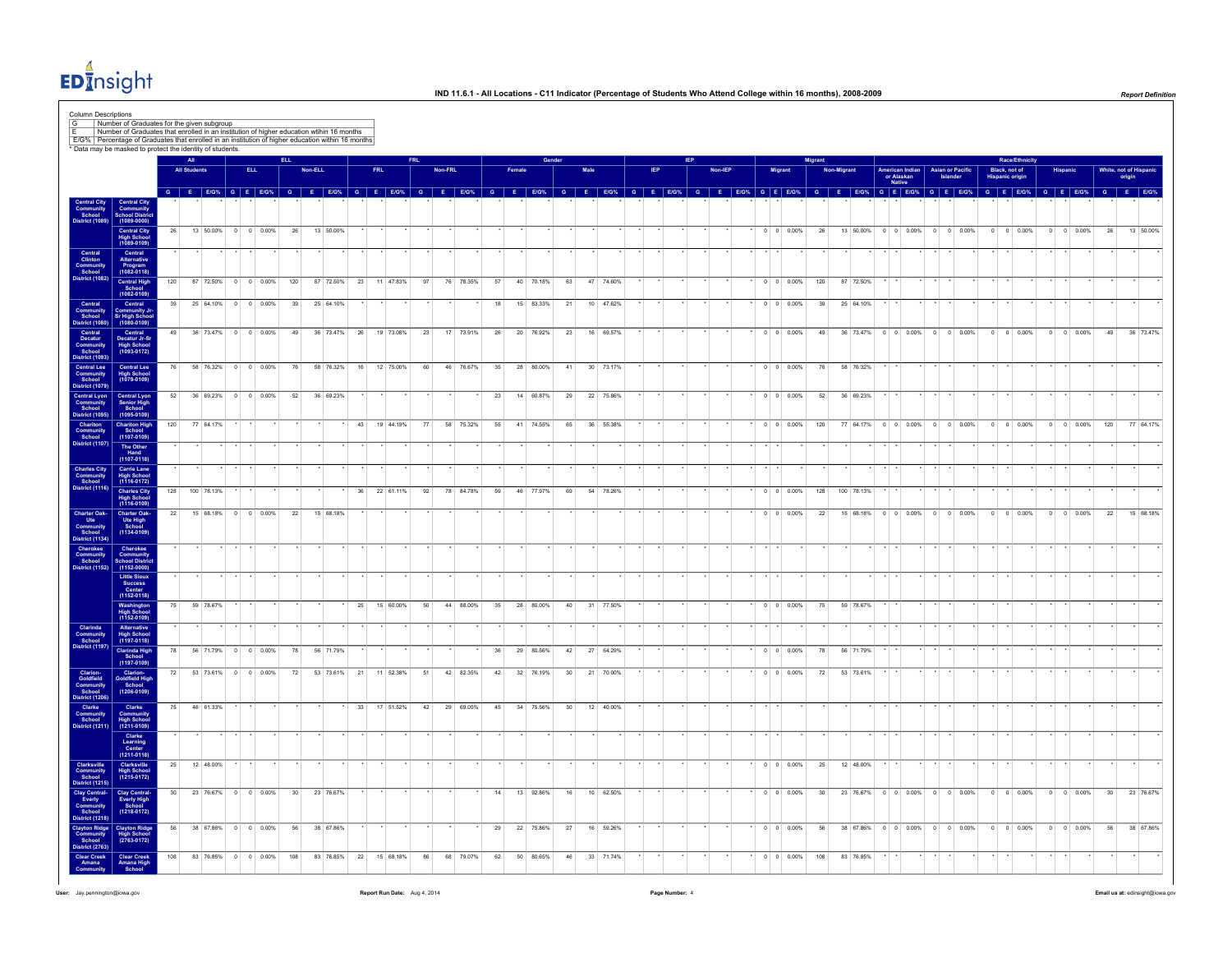

Column Descriptions

|                                                                  |                                                                          |                 | AII                 |           |                            |                    | <b>ELL</b> |                 |                        |    |     |           |    |         |           |          |        |           |                 |                        |           |  |  |                |                |                          | <b>Migrant</b> |             |                               |                                                |                |                    |                | Race/Ethni                              |                    |                                                                                                                                                                                                                               |                 |                                  |
|------------------------------------------------------------------|--------------------------------------------------------------------------|-----------------|---------------------|-----------|----------------------------|--------------------|------------|-----------------|------------------------|----|-----|-----------|----|---------|-----------|----------|--------|-----------|-----------------|------------------------|-----------|--|--|----------------|----------------|--------------------------|----------------|-------------|-------------------------------|------------------------------------------------|----------------|--------------------|----------------|-----------------------------------------|--------------------|-------------------------------------------------------------------------------------------------------------------------------------------------------------------------------------------------------------------------------|-----------------|----------------------------------|
|                                                                  |                                                                          |                 | <b>All Students</b> |           |                            | <b>ELL</b>         |            |                 | Non-ELL                |    | FRL |           |    | Non-FRL |           |          | Female |           |                 | Male                   |           |  |  | <b>Non-IEP</b> | <b>Migrant</b> |                          |                | Non-Migrant |                               | <b>American Indian</b><br>or Alaskan<br>Native |                | Asian or Pacific   |                | Black, not of<br><b>Hispanic origin</b> |                    |                                                                                                                                                                                                                               |                 | White, not of Hispanio<br>origin |
|                                                                  | entral Cit<br>Community<br>School Distri                                 |                 |                     |           |                            |                    |            |                 |                        |    |     |           |    |         |           |          |        |           |                 |                        |           |  |  |                |                |                          |                |             |                               |                                                |                |                    |                |                                         |                    | G E EIGN, G E EIGN, G E EIGN, G E EIGN, G E EIGN, G E EIGN, G E EIGN, G E EIGN, G E EIGN, G E EIGN, G E EIGN, G E EIGN, G E EIGN, G E EIGN, G E EIGN, G E EIGN, G E EIGN, G E EIGN, G E EIGN, G E EIGN, G E EIGN, G E EIGN, G |                 |                                  |
|                                                                  | $(1089 - 0000)$<br>Central City<br>High School<br>(1089-0109)            | 26              |                     |           | 13 50.00% 0 0 0.00%        |                    |            | 26              | 13 50.00%              |    |     |           |    |         |           |          |        |           |                 |                        |           |  |  |                |                | $0 \t 0 \t 0.00\%$       | 26             |             | 13 50.00% 0 0 0.00% 0 0 0.00% |                                                |                |                    |                | $0 \quad 0 \quad 0.00\%$                | $0 \t 0 \t 0.00\%$ |                                                                                                                                                                                                                               | 26              | 13 50,00%                        |
| Central<br>Clinton<br>Community<br>School<br>District (1082)     | Central<br>Alternative                                                   |                 |                     |           |                            |                    |            |                 |                        |    |     |           |    |         |           |          |        |           |                 |                        |           |  |  |                |                |                          |                |             |                               |                                                |                |                    |                |                                         |                    |                                                                                                                                                                                                                               |                 |                                  |
|                                                                  | Program<br>(1082-0118)<br>Central High<br>School                         | 120             |                     |           | 87 72 50 % 0 0 0 0 0 0 0 % |                    |            | 120             | 87 72.50%              | 23 |     | 11 47.83% | 97 |         | 76 78.35% | 57       |        | 40 70.18% | 63              |                        | 47 74.60% |  |  |                |                | $0 \t 0 \t 0.00\%$       | 120            |             | 87 72.50%                     |                                                |                |                    |                |                                         |                    |                                                                                                                                                                                                                               |                 |                                  |
| Central<br>Community<br>School<br>District (1080)                | $(1082 - 0109)$<br>Central<br>Community J                                |                 |                     |           | 39 25 64.10% 0 0 0.00%     |                    |            | 39              | 25 64.10%              |    |     |           |    |         |           | 18       |        | 15 83.33% | 21              |                        | 10 47.62% |  |  |                |                | $0 \quad 0 \quad 0.00\%$ | 39             |             | 25 64.10%                     |                                                |                |                    |                |                                         |                    |                                                                                                                                                                                                                               |                 |                                  |
| Central<br>Decatur<br>Community<br>School<br>District (1093)     | Sr High School<br>Central<br>Decatur Jr-Sr<br>High School<br>(1093-0172) | 49              |                     | 36 73.47% | $0 \t 0 \t 0.00\%$         |                    |            | 49              | 36 73.47%              | 26 |     | 19 73.08% | 23 |         | 17 73.91% | 26       |        | 20 76.92% | 23              |                        | 16 69.57% |  |  |                |                | $0 \t 0 \t 0.00\%$       | 49             |             | 36 73.47%                     | $0 \quad 0 \quad 0.00\%$                       |                | $0 \t 0 \t 0.00\%$ |                | $0 \t 0 \t 0.00\%$                      | $\circ$            | 0 0.00%                                                                                                                                                                                                                       | 49              | 36 73.47%                        |
|                                                                  |                                                                          | 76              |                     |           | 58 76.32% 0 0 0.00%        |                    |            | 76              | 58 76.32%              | 16 |     | 12 75.00% | 60 |         | 46 76.67% | 35       |        | 28 80.00% | 41              |                        | 30 73.17% |  |  |                |                | $0 \t 0 \t 0.00\%$       | 76             |             | 58 76.32%                     |                                                |                |                    |                |                                         |                    |                                                                                                                                                                                                                               |                 |                                  |
| Central Lee<br>Community<br>School<br>District (1079)            | Central Lee<br>High School<br>(1079-0109)                                |                 |                     |           |                            |                    |            |                 |                        |    |     |           |    |         |           |          |        |           |                 |                        |           |  |  |                |                |                          |                |             |                               |                                                |                |                    |                |                                         |                    |                                                                                                                                                                                                                               |                 |                                  |
| Central Lyon<br>Community<br>School<br>District (1095)           | Central Lyon<br>Senior High<br>School<br>(1095-0109)                     | 52              |                     |           | 36 69.23% 0 0 0.00%        |                    |            | 52              | 36 69.23%              |    |     |           |    |         |           | 23       |        | 14 60.87% | 29              |                        | 22 75.86% |  |  |                |                | $0 \t 0 \t 0.00\%$       | 52             |             | 36 69.23%                     |                                                |                |                    |                |                                         |                    |                                                                                                                                                                                                                               |                 |                                  |
| <b>Chariton</b><br>Community<br>School<br><b>District (1107)</b> | <b>Chariton High</b><br>School<br>(1107-0109)                            | 120             | 77 64.17%           |           |                            |                    |            |                 |                        | 43 |     | 19 44.19% | 77 |         | 58 75.32% | 55       |        | 41 74.55% | 65              |                        | 36 55.38% |  |  |                |                | $0 \quad 0 \quad 0.00\%$ | 120            |             | 77 64.17%                     | $0 \t 0 \t 0.00\%$                             |                | $0 \t 0 \t 0.00\%$ |                | $0 \t 0 \t 0.00\%$                      | $0 \t 0 \t 0.00\%$ |                                                                                                                                                                                                                               | 120             | 77 64.17%                        |
|                                                                  | The Other<br>$Hand$<br>(1107-0118)                                       |                 |                     |           |                            |                    |            |                 |                        |    |     |           |    |         |           |          |        |           |                 |                        |           |  |  |                |                |                          |                |             |                               |                                                |                |                    |                |                                         |                    |                                                                                                                                                                                                                               |                 |                                  |
| Charles City<br>Community<br>School<br>istrict (1116)            | Carrie Lane<br>High School<br>(1116-0172)                                | 128             | 100 78.13%          |           |                            |                    |            |                 |                        | 36 |     | 22 61.11% | 92 |         | 78 84.78% | 59       |        | 46 77.97% | 69              |                        | 54 78.26% |  |  |                |                | $0 \t 0 \t 0.00\%$       | 128            |             | 100 78.13%                    |                                                |                |                    |                |                                         |                    |                                                                                                                                                                                                                               |                 |                                  |
|                                                                  | Charles City<br>High School<br>(1116-0109)                               | 22              |                     |           | 15 68.18% 0 0 0.00%        |                    |            | 22              | 15 68.18%              |    |     |           |    |         |           |          |        |           |                 |                        |           |  |  |                |                | $0 \quad 0 \quad 0.00\%$ | 22             |             | 15 68.18% 0 0 0.00% 0 0 0.00% |                                                |                |                    |                | $0 \quad 0 \quad 0.00\%$                | $0 \t 0 \t 0.00\%$ |                                                                                                                                                                                                                               | 22              | 15 68.18%                        |
| Charter Oak-<br>Ute<br>Community<br>School<br>District (1134)    | Charter Oak-<br>Ute High<br>School<br>(1134-0109)                        |                 |                     |           |                            |                    |            |                 |                        |    |     |           |    |         |           |          |        |           |                 |                        |           |  |  |                |                |                          |                |             |                               |                                                |                |                    |                |                                         |                    |                                                                                                                                                                                                                               |                 |                                  |
| Cherokee<br>Community<br>School<br>Mistrict (1152)               | Cherokee<br>Community<br>School Distric<br>$(1152 - 0000)$               |                 |                     |           |                            |                    |            |                 |                        |    |     |           |    |         |           |          |        |           |                 |                        |           |  |  |                |                |                          |                |             |                               |                                                |                |                    |                |                                         |                    |                                                                                                                                                                                                                               |                 |                                  |
|                                                                  | Little Sioux<br>Success<br>Center<br>(1152-0118)                         |                 |                     |           |                            |                    |            |                 |                        |    |     |           |    |         |           |          |        |           |                 |                        |           |  |  |                |                |                          |                |             |                               |                                                |                |                    |                |                                         |                    |                                                                                                                                                                                                                               |                 |                                  |
|                                                                  | Washington<br>High School<br>(1152-0109)                                 | 75              | 59 78.67%           |           |                            |                    |            |                 |                        | 25 |     | 15 60.00% | 50 |         | 44 88.00% | 35       |        | 28 80.00% | 40              |                        | 31 77.50% |  |  |                |                | $0 \t 0 \t 0.00\%$       | 75             |             | 59 78.67%                     |                                                |                |                    |                |                                         |                    |                                                                                                                                                                                                                               |                 |                                  |
| Clarinda<br>Community<br>School<br>District (1197)               | Alternative<br>High School<br>(1197-0118)                                | 78              |                     | 56 71.79% |                            | $0 \t 0 \t 0.00\%$ |            |                 |                        |    |     |           |    |         |           |          |        | 29 80.56% |                 |                        |           |  |  |                |                | $0 \quad 0 \quad 0.00\%$ |                |             | 56 71.79%                     |                                                |                |                    |                |                                         |                    |                                                                                                                                                                                                                               |                 |                                  |
|                                                                  | Clarinda High<br>School<br>(1197-0109)                                   | 72              |                     |           | 53 73.61% 0 0 0.00%        |                    |            | 78<br>72        | 56 71.79%<br>53 73.61% | 21 |     | 11 52.38% | 51 |         | 42 82.35% | 36<br>42 |        | 32 76.19% | 42<br>30        | 27 64.29%<br>21 70.00% |           |  |  |                |                | $0 \quad 0 \quad 0.00\%$ | 78<br>72       |             | 53 73.61%                     |                                                |                |                    |                |                                         |                    |                                                                                                                                                                                                                               |                 |                                  |
| Clarion-<br>Goldfield<br>Community<br>School<br>Vistrict (1206)  | Clarion-<br>Goldfield High<br>School<br>(1206-0109)                      |                 |                     |           |                            |                    |            |                 |                        |    |     |           |    |         |           |          |        |           |                 |                        |           |  |  |                |                |                          |                |             |                               |                                                |                |                    |                |                                         |                    |                                                                                                                                                                                                                               |                 |                                  |
| Clarke<br>Community<br>School<br><b>District (1211)</b>          | Clarke<br>Community<br>High School<br>(1211-0109)                        | 75              |                     | 46 61.33% |                            |                    |            |                 |                        | 33 |     | 17 51.52% | 42 |         | 29 69.05% | 45       |        | 34 75.56% | 30 <sup>°</sup> |                        | 12 40.00% |  |  |                |                |                          |                |             |                               |                                                |                |                    |                |                                         |                    |                                                                                                                                                                                                                               |                 |                                  |
|                                                                  | Clarke<br>Learning<br>Center<br>(1211-0118)                              |                 |                     |           |                            |                    |            |                 |                        |    |     |           |    |         |           |          |        |           |                 |                        |           |  |  |                |                |                          |                |             |                               |                                                |                |                    |                |                                         |                    |                                                                                                                                                                                                                               |                 |                                  |
| Clarksville<br>Community<br>School<br>District (1215)            | Clarksville<br>High School<br>(1215-0172)                                | 25              |                     | 12 48.00% |                            |                    |            |                 |                        |    |     |           |    |         |           |          |        |           |                 |                        |           |  |  |                |                | $0 \t 0 \t 0.00\%$       | 25             |             | 12 48.00%                     |                                                |                |                    |                |                                         |                    |                                                                                                                                                                                                                               |                 |                                  |
|                                                                  | Clay Central-<br>Everly High<br>School                                   | 30 <sup>1</sup> |                     | 23 76.67% | $\overline{0}$             | $0 \quad 0.00\%$   |            | 30 <sup>°</sup> | 23 76.67%              |    |     |           |    |         |           | 14       | 13     | 92.86%    | 16              |                        | 10 62.50% |  |  |                |                | $0 \t 0 \t 0.00\%$       | 30             |             | 23 76.67%                     | $0 \quad 0 \quad 0.00\%$                       | $\overline{0}$ | $0 \quad 0.00\%$   | $\overline{0}$ | $0 \quad 0.00\%$                        | $^{\circ}$         | $0 \ 0.00\%$                                                                                                                                                                                                                  | 30 <sup>1</sup> | 23 76.67%                        |
| Clay Central<br>Everly<br>Community<br>School<br>District (1218) | $(1218 - 0172)$                                                          | 56              |                     | 38 67.86% |                            | $0 \t 0 \t 0.00\%$ |            | 56              | 38 67.86%              |    |     |           |    |         |           | 29       |        | 22 75.86% | $27\,$          |                        | 16 59.26% |  |  |                |                | $0 \t 0 \t 0.00\%$       | 56             |             | 38 67.86%                     | $0 \t 0 \t 0.00\%$                             |                | $0 \t 0 \t 0.00\%$ |                | $0 \t 0 \t 0.00\%$                      | $0 \t 0 \t 0.00\%$ |                                                                                                                                                                                                                               | 56              | 38 67.86%                        |
| Clayton Ridge<br>Community<br>School<br><b>District (2763)</b>   | Clayton Ridge<br>High School<br>(2763-0172)                              |                 |                     |           |                            |                    |            |                 |                        |    |     |           |    |         |           |          |        |           |                 |                        |           |  |  |                |                |                          |                |             |                               |                                                |                |                    |                |                                         |                    |                                                                                                                                                                                                                               |                 |                                  |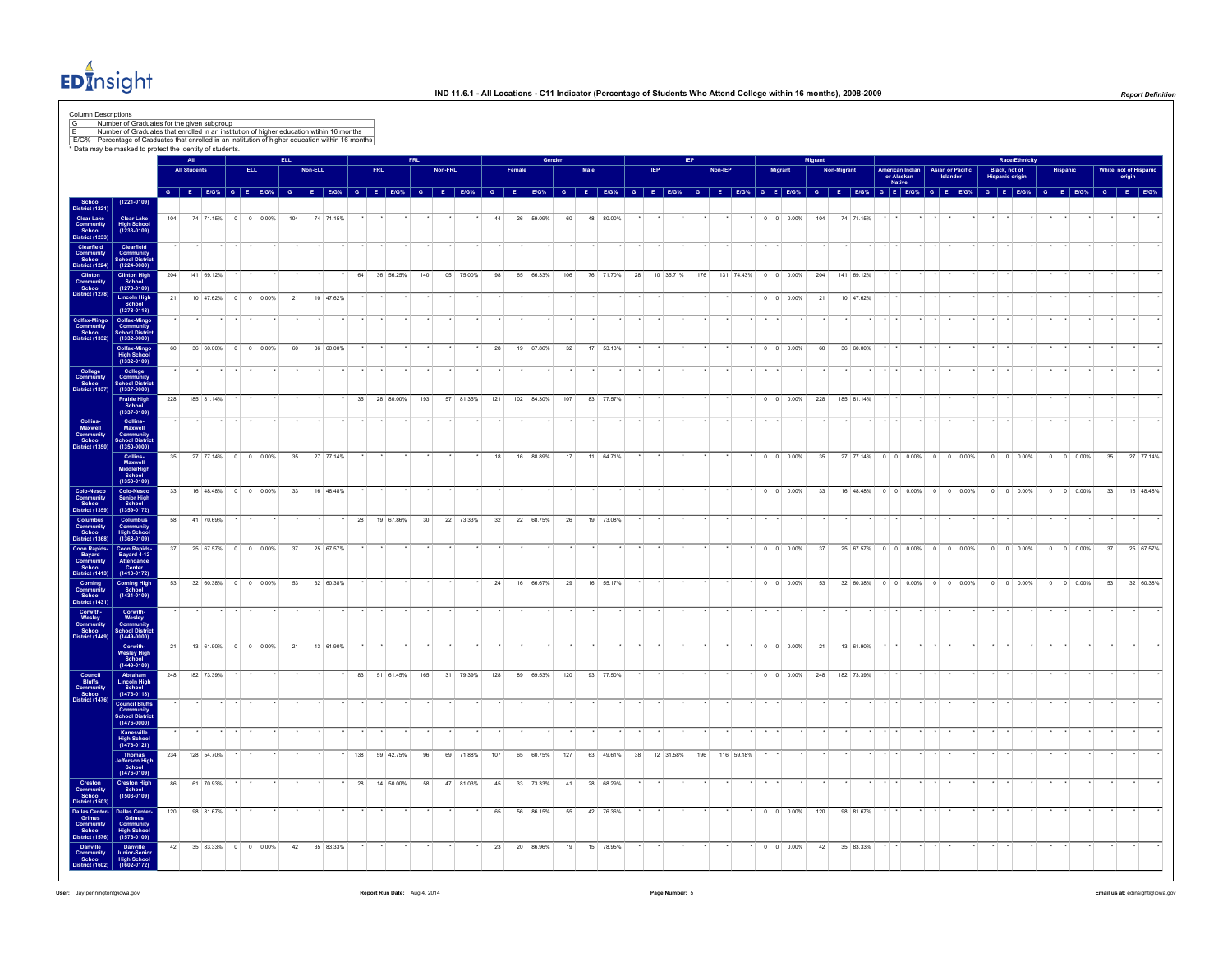

|                                                                                                                                                                                                                         |                                                                     |     | All                 |            |                     |     |           |     |                                                                                                                                                                                                                               |                 |         |            |     |            |     |              |    |           |           |     |         |            |                          |     |                               |                                         |                             |                                         | Race/Ethnicity     |                    |                    |           |
|-------------------------------------------------------------------------------------------------------------------------------------------------------------------------------------------------------------------------|---------------------------------------------------------------------|-----|---------------------|------------|---------------------|-----|-----------|-----|-------------------------------------------------------------------------------------------------------------------------------------------------------------------------------------------------------------------------------|-----------------|---------|------------|-----|------------|-----|--------------|----|-----------|-----------|-----|---------|------------|--------------------------|-----|-------------------------------|-----------------------------------------|-----------------------------|-----------------------------------------|--------------------|--------------------|--------------------|-----------|
|                                                                                                                                                                                                                         |                                                                     |     | <b>All Student</b>  | <b>ELL</b> |                     |     | Non-ELL   |     | <b>FRL</b>                                                                                                                                                                                                                    |                 | Non-FRL |            |     |            |     |              |    |           |           |     | Non-IEP |            | Migrant                  |     |                               | American Indian<br>or Alaskan<br>Native | Asian or Pacific<br>Islande | Black, not of<br><b>Hispanic origin</b> |                    |                    | White, not of Hisp | origin    |
|                                                                                                                                                                                                                         |                                                                     |     |                     |            |                     |     |           |     | G E EIGN, G E EIGN, G E EIGN, G E EIGN, G E EIGN, G E EIGN, G E EIGN, G E EIGN, G E EIGN, G E EIGN, G E EIGN, G E EIGN, G E EIGN, G E EIGN, G E EIGN, G E EIGN, G E EIGN, G E EIGN, G E EIGN, G E EIGN, G E EIGN, G E EIGN, G |                 |         |            |     |            |     |              |    |           |           |     |         |            |                          |     |                               |                                         |                             |                                         |                    |                    |                    |           |
| School<br>District (1221)                                                                                                                                                                                               | $(1221 - 0109)$                                                     | 104 |                     |            | 74 71.15% 0 0 0.00% | 104 | 74 71.15% |     |                                                                                                                                                                                                                               |                 |         |            | 44  | 26 59.09%  | 60  | 48 80.00%    |    |           |           |     |         |            | $0 \t 0 \t 0.00\%$       | 104 | 74 71.15%                     |                                         |                             |                                         |                    |                    |                    |           |
| Clear Lake<br>Community<br>School<br>District (1233)                                                                                                                                                                    | Clear Lake<br>High School<br>(1233-0109)                            |     |                     |            |                     |     |           |     |                                                                                                                                                                                                                               |                 |         |            |     |            |     |              |    |           |           |     |         |            |                          |     |                               |                                         |                             |                                         |                    |                    |                    |           |
| Clearfield<br>Community<br>School<br>District (1224                                                                                                                                                                     | Clearfield<br>Community<br>School Distric<br>(1224-0000)            |     |                     |            |                     |     |           |     |                                                                                                                                                                                                                               |                 |         |            |     |            |     |              |    |           |           |     |         |            |                          |     |                               |                                         |                             |                                         |                    |                    |                    |           |
|                                                                                                                                                                                                                         | Clinton High<br>School                                              | 204 | 141 69.12%          |            |                     |     |           | 64  | 36 56.25%                                                                                                                                                                                                                     | 140             |         | 105 75.00% | 98  | 65 66.33%  | 106 | 76 71.70% 28 |    |           | 10 35.71% | 176 |         |            | 131 74.43% 0 0 0.00%     | 204 | 141 69.12%                    |                                         |                             |                                         |                    |                    |                    |           |
| Clinton<br>Community<br>School<br>District (1278)                                                                                                                                                                       | $(1278 - 0109)$                                                     | 21  |                     |            | 10 47.62% 0 0 0.00% | 21  | 10 47.62% |     |                                                                                                                                                                                                                               |                 |         |            |     |            |     |              |    |           |           |     |         |            | $0 \quad 0 \quad 0.00\%$ | 21  | 10 47.62%                     |                                         |                             |                                         |                    |                    |                    |           |
|                                                                                                                                                                                                                         | Lincoln High<br>School<br>(1278-0118)<br>Colfax-Mingo<br>Community  |     |                     |            |                     |     |           |     |                                                                                                                                                                                                                               |                 |         |            |     |            |     |              |    |           |           |     |         |            |                          |     |                               |                                         |                             |                                         |                    |                    |                    |           |
| Colfax-Mingo<br>Community<br>School<br>District (1332)                                                                                                                                                                  | School Distri<br>(1332-0000)                                        |     |                     |            |                     |     |           |     |                                                                                                                                                                                                                               |                 |         |            |     |            |     |              |    |           |           |     |         |            |                          |     |                               |                                         |                             |                                         |                    |                    |                    |           |
|                                                                                                                                                                                                                         | Colfax-Mingo<br>High School<br>(1332-0109)                          | 60  |                     |            | 36 60.00% 0 0 0.00% | 60  | 36 60.00% |     |                                                                                                                                                                                                                               |                 |         |            | 28  | 19 67.86%  | 32  | 17 53.13%    |    |           |           |     |         |            | $0 \t 0 \t 0.00\%$       | 60  | 36 60.00%                     |                                         |                             |                                         |                    |                    |                    |           |
| College<br>Community<br>School<br>District (1337)                                                                                                                                                                       | College<br>Community<br>School Distric<br>(1337-0000)               |     |                     |            |                     |     |           |     |                                                                                                                                                                                                                               |                 |         |            |     |            |     |              |    |           |           |     |         |            |                          |     |                               |                                         |                             |                                         |                    |                    |                    |           |
|                                                                                                                                                                                                                         | Prairie High<br>School<br>(1337-0109)                               | 228 | 185 81.14%          |            |                     |     |           | 35  | 28 80.00%                                                                                                                                                                                                                     | 193             |         | 157 81.35% | 121 | 102 84.30% | 107 | 83 77.57%    |    |           |           |     |         |            | $0 \quad 0 \quad 0.00\%$ | 228 | 185 81.14%                    |                                         |                             |                                         |                    |                    |                    |           |
|                                                                                                                                                                                                                         |                                                                     |     |                     |            |                     |     |           |     |                                                                                                                                                                                                                               |                 |         |            |     |            |     |              |    |           |           |     |         |            |                          |     |                               |                                         |                             |                                         |                    |                    |                    |           |
| Collins<br>Maxwell<br>Community<br>School<br>istrict (1350)                                                                                                                                                             | Collins-<br>Maxwell<br>Community<br>School Distric<br>(1350-0000)   |     |                     |            |                     |     |           |     |                                                                                                                                                                                                                               |                 |         |            |     |            |     |              |    |           |           |     |         |            |                          |     |                               |                                         |                             |                                         |                    |                    |                    |           |
|                                                                                                                                                                                                                         | Collins<br>Maxwell<br>Middle/High<br>School<br>(1350-0109)          | 35  | 27 77.14% 0 0 0.00% |            |                     | 35  | 27 77.14% |     |                                                                                                                                                                                                                               |                 |         |            | 18  | 16 88.89%  | 17  | 11 64.71%    |    |           |           |     |         |            | $0 \quad 0 \quad 0.00\%$ | 35  | 27 77.14% 0 0 0.00% 0 0 0.00% |                                         |                             |                                         | $0 \t 0 \t 0.00\%$ | $0 \t 0 \t 0.00\%$ | 35                 | 27 77.14% |
|                                                                                                                                                                                                                         |                                                                     | 33  |                     |            | 16 48.48% 0 0 0.00% | 33  | 16 48.48% |     |                                                                                                                                                                                                                               |                 |         |            |     |            |     |              |    |           |           |     |         |            | $0 \quad 0 \quad 0.00\%$ | 33  | 16 48.48% 0 0 0.00% 0 0 0.00% |                                         |                             |                                         | $0 \t 0 \t 0.00\%$ | $0 \t 0 \t 0.00\%$ | 33 <sup>1</sup>    | 16 48.48% |
| Colo-Nesco<br>Community<br>School<br>District (1359)                                                                                                                                                                    | Colo-Nesco<br>Senior High<br>School<br>$(1359 - 0172)$              |     |                     |            |                     |     |           |     |                                                                                                                                                                                                                               |                 |         |            |     |            |     |              |    |           |           |     |         |            |                          |     |                               |                                         |                             |                                         |                    |                    |                    |           |
| Columbus<br>Community<br>School<br>District (1368                                                                                                                                                                       | Columbus<br>Community<br>High School<br>(1368-0109)                 | 58  | 41 70.69%           |            |                     |     |           | 28  | 19 67.86%                                                                                                                                                                                                                     | 30 <sup>°</sup> |         | 22 73.33%  | 32  | 22 68.75%  | 26  | 19 73.08%    |    |           |           |     |         |            |                          |     |                               |                                         |                             |                                         |                    |                    |                    |           |
|                                                                                                                                                                                                                         |                                                                     | 37  |                     |            | 25 67.57% 0 0 0.00% | 37  | 25 67.57% |     |                                                                                                                                                                                                                               |                 |         |            |     |            |     |              |    |           |           |     |         |            | $0 \t 0 \t 0.00\%$       | 37  | 25 67.57% 0 0 0.00% 0 0 0.00% |                                         |                             |                                         | $0 \t 0 \t 0.00\%$ | $0 \t 0 \t 0.00\%$ | 37                 | 25 67.57% |
|                                                                                                                                                                                                                         | Coon Rapids-<br>Bayard 4-12<br>Attendance<br>Center<br>(1413-0172)  |     |                     |            |                     |     |           |     |                                                                                                                                                                                                                               |                 |         |            |     |            |     |              |    |           |           |     |         |            |                          |     |                               |                                         |                             |                                         |                    |                    |                    |           |
|                                                                                                                                                                                                                         | <b>Corning High</b><br>School<br>$(1431 - 0109)$                    | 53  |                     |            | 32 60.38% 0 0 0.00% | 53  | 32 60.38% |     |                                                                                                                                                                                                                               |                 |         |            | 24  | 16 66.67%  | 29  | 16 55.17%    |    |           |           |     |         |            | $0 \t 0 \t 0.00\%$       | 53  | 32 60.38% 0 0 0.00% 0 0 0.00% |                                         |                             |                                         | $0$ 0 0.00%        | $0$ 0 0.00%        | 53                 | 32 60.38% |
|                                                                                                                                                                                                                         |                                                                     |     |                     |            |                     |     |           |     |                                                                                                                                                                                                                               |                 |         |            |     |            |     |              |    |           |           |     |         |            |                          |     |                               |                                         |                             |                                         |                    |                    |                    |           |
| District (1368)<br>Coon Rapids<br>Community<br>Sayard<br>Community<br>School<br>Community<br>Cordination<br>District (1431)<br>Corwith-Wesley<br>Community<br>School<br>Community<br>Corwith-Wesley<br>Constrict (1431) | Corwith-<br>Wesley<br>Community<br>School Distric<br>(1449-0000)    |     |                     |            |                     |     |           |     |                                                                                                                                                                                                                               |                 |         |            |     |            |     |              |    |           |           |     |         |            |                          |     |                               |                                         |                             |                                         |                    |                    |                    |           |
|                                                                                                                                                                                                                         | Corwith-<br>Wesley High<br>School<br>(1449-0109)                    | 21  |                     |            | 13 61.90% 0 0 0.00% | 21  | 13 61.90% |     |                                                                                                                                                                                                                               |                 |         |            |     |            |     |              |    |           |           |     |         |            | $0 \t 0 \t 0.00\%$       | 21  | 13 61.90%                     |                                         |                             |                                         |                    |                    |                    |           |
| Council<br>Bluffs<br>Community<br>School<br>Vistrict (1476)                                                                                                                                                             | Abraham<br>Lincoln High<br>School<br>(1476-0118)                    | 248 | 182 73 39%          |            |                     |     |           |     | 83 51 61 45%                                                                                                                                                                                                                  | 165             |         | 131 79 39% | 128 | 89 69 53%  | 120 | 93 77.50%    |    |           |           |     |         |            | $0 \quad 0 \quad 0.00\%$ | 248 | 182 73.39%                    |                                         |                             |                                         |                    |                    |                    |           |
|                                                                                                                                                                                                                         | <b>Council Bluffs</b>                                               |     |                     |            |                     |     |           |     |                                                                                                                                                                                                                               |                 |         |            |     |            |     |              |    |           |           |     |         |            |                          |     |                               |                                         |                             |                                         |                    |                    |                    |           |
|                                                                                                                                                                                                                         | Community<br>School Distric<br>(1476-0000)                          |     |                     |            |                     |     |           |     |                                                                                                                                                                                                                               |                 |         |            |     |            |     |              |    |           |           |     |         |            |                          |     |                               |                                         |                             |                                         |                    |                    |                    |           |
|                                                                                                                                                                                                                         | Kanesville<br>High School<br>(1476-0121)                            |     |                     |            |                     |     |           |     |                                                                                                                                                                                                                               |                 |         |            |     |            |     |              |    |           |           |     |         |            |                          |     |                               |                                         |                             |                                         |                    |                    |                    |           |
|                                                                                                                                                                                                                         | Thomas<br>Jefferson High<br>School<br>(1476-0109)                   | 234 | 128 54.70%          |            |                     |     |           | 138 | 59 42.75%                                                                                                                                                                                                                     | 96              |         | 69 71.88%  | 107 | 65 60.75%  | 127 | 63 49.61%    | 38 | 12 31.58% |           | 196 |         | 116 59.18% |                          |     |                               |                                         |                             |                                         |                    |                    |                    |           |
| Creston<br>Community<br>School                                                                                                                                                                                          | Creston High<br>School<br>(1503-0109)                               | 86  | 61 70.93%           |            |                     |     |           | 28  | 14 50.00%                                                                                                                                                                                                                     | 58              |         | 47 81.03%  | 45  | 33 73.33%  | 41  | 28 68.29%    |    |           |           |     |         |            |                          |     |                               |                                         |                             |                                         |                    |                    |                    |           |
| Vistrict (1503                                                                                                                                                                                                          |                                                                     | 120 | 98 81.67%           |            |                     |     |           |     |                                                                                                                                                                                                                               |                 |         |            | 65  | 56 86.15%  | 55  | 42 76.36%    |    |           |           |     |         |            | $0 \quad 0 \quad 0.00\%$ | 120 | 98 81.67%                     |                                         |                             |                                         |                    |                    |                    |           |
| Dallas Center-<br>Grimes<br>Community<br>School                                                                                                                                                                         | Dallas Center-<br>Grimes<br>Community<br>High School<br>(1576-0109) |     |                     |            |                     |     |           |     |                                                                                                                                                                                                                               |                 |         |            |     |            |     |              |    |           |           |     |         |            |                          |     |                               |                                         |                             |                                         |                    |                    |                    |           |
| strict (157)<br>Danville<br>Community<br>School                                                                                                                                                                         | Danville<br>Junior-Senior<br>High School                            | 42  |                     |            | 35 83.33% 0 0 0.00% | 42  | 35 83.33% |     |                                                                                                                                                                                                                               |                 |         |            | 23  | 20 86.96%  | 19  | 15 78.95%    |    |           |           |     |         |            | $0 \quad 0 \quad 0.00\%$ | 42  | 35 83.33%                     |                                         |                             |                                         |                    |                    |                    |           |
|                                                                                                                                                                                                                         |                                                                     |     |                     |            |                     |     |           |     |                                                                                                                                                                                                                               |                 |         |            |     |            |     |              |    |           |           |     |         |            |                          |     |                               |                                         |                             |                                         |                    |                    |                    |           |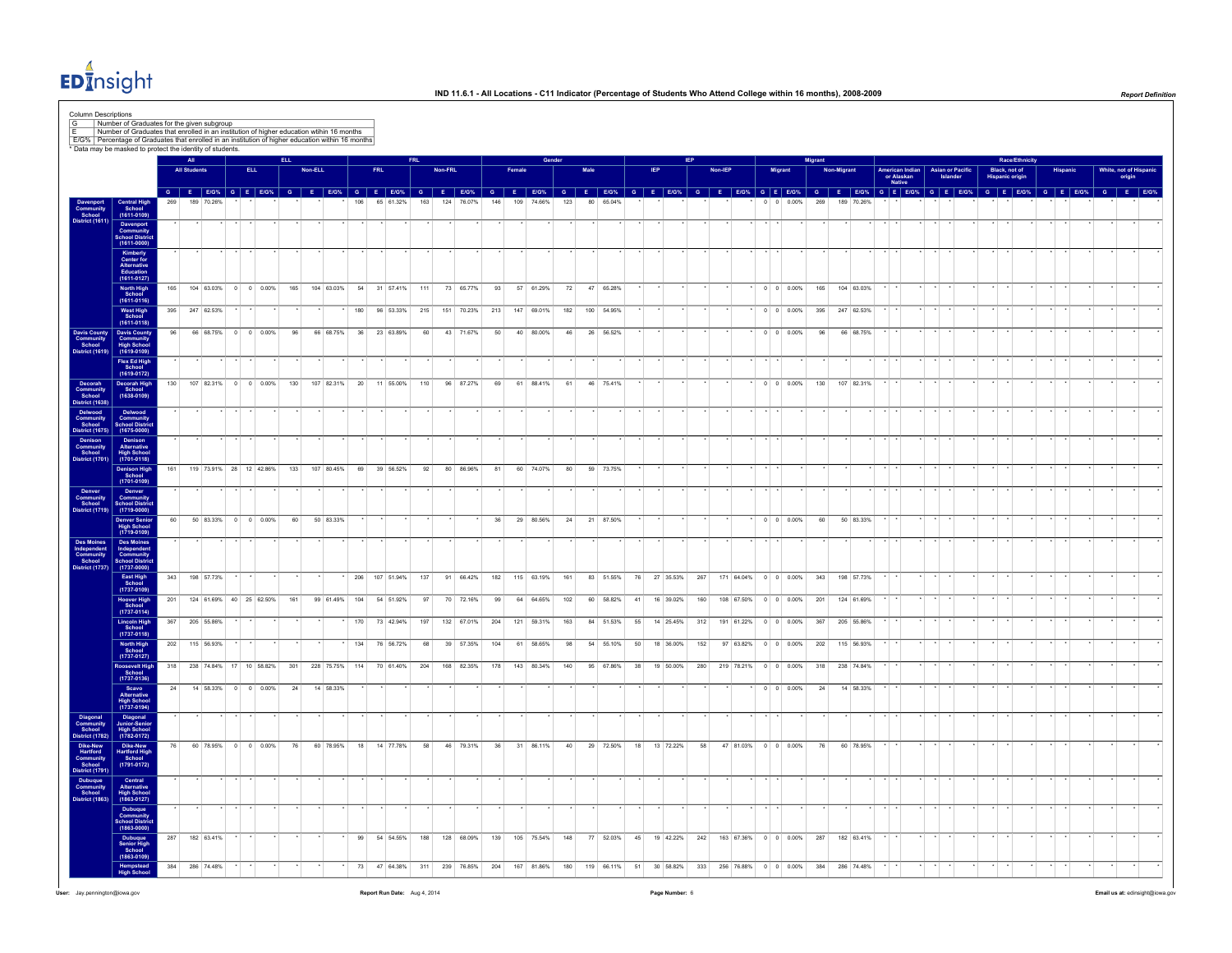

| Number of Graduates that enrolled in an institution of higher education wtihin 16 months                                  | E/G% Percentage of Graduates that enrolled in an institution of higher education within 16 months<br>* Data may be masked to protect the identity of students. |     | <b>All</b><br><b>All Students</b> |                         | <b>ELL</b> |                         | ELL. | Non-ELL    |               |     | <b>FRL</b>                                                                                                                                                                                                                    | <b>FRL</b> | Non-FRL |            |     | Female |            | Gender |    |            |    |           |     | Non-IEP |            | <b>Migrant</b>           | Migrant | Non-Migrant |                | American Indian      | <b>Asian or Pacific</b> | Black, not of  | <b>Race/Ethnicity</b> | Hispanic |  | White, not of Hispanic |
|---------------------------------------------------------------------------------------------------------------------------|----------------------------------------------------------------------------------------------------------------------------------------------------------------|-----|-----------------------------------|-------------------------|------------|-------------------------|------|------------|---------------|-----|-------------------------------------------------------------------------------------------------------------------------------------------------------------------------------------------------------------------------------|------------|---------|------------|-----|--------|------------|--------|----|------------|----|-----------|-----|---------|------------|--------------------------|---------|-------------|----------------|----------------------|-------------------------|----------------|-----------------------|----------|--|------------------------|
|                                                                                                                           |                                                                                                                                                                |     |                                   |                         |            |                         |      |            |               |     |                                                                                                                                                                                                                               |            |         |            |     |        |            |        |    |            |    |           |     |         |            |                          |         |             |                | or Alaskan<br>Native |                         | Hispanic origi |                       |          |  | origin                 |
| Community<br>School<br>Vistrict (161                                                                                      | Central High<br>School<br>(1611-0109)<br>Davenport<br>Community<br>School Distric<br>(1611-0000)                                                               |     |                                   |                         |            |                         |      |            |               |     | G E EIGN, G E EIGN, G E EIGN, G E EIGN, G E EIGN, G E EIGN, G E EIGN, G E EIGN, G E EIGN, G E EIGN, G E EIGN, G E EIGN, G E EIGN, G E EIGN, G E EIGN, G E EIGN, G E EIGN, G E EIGN, G E EIGN, G E EIGN, G E EIGN, G E EIGN, G |            | 124     | 76.07%     | 146 | 109    | 74.66%     | 123    | 80 |            |    |           |     |         |            | 0.00%                    | 269     | 189         |                |                      |                         |                |                       |          |  |                        |
|                                                                                                                           | Kimberly<br>Center for<br>Alternative<br>Education<br>(1611-0127)                                                                                              | 165 |                                   |                         |            | 104 63 03% 0 0 0 0 00%  |      |            |               |     | 165 104 63.03% 54 31 57.41% 111                                                                                                                                                                                               |            |         | 73 65.77%  |     | 93     | 57 61.29%  | 72     |    | 47 65 28%  |    |           |     |         |            | $0 \quad 0 \quad 0.00\%$ |         |             | 165 104 63.03% |                      |                         |                |                       |          |  |                        |
|                                                                                                                           | North High<br>School<br>(1611-0116)<br>West High<br>School<br>(1611-0118)                                                                                      |     | 395 247 62.53%                    |                         |            |                         |      |            |               | 180 | 96 53.33% 215 151 70.23% 213 147 69.01%                                                                                                                                                                                       |            |         |            |     |        |            | 182    |    | 100 54.95% |    |           |     |         |            | $0 \ 0 \ 0.00\%$         |         |             | 395 247 62.53% |                      |                         |                |                       |          |  |                        |
| Davis County<br>Community<br>School<br>District (1619)                                                                    | Davis County<br>Community<br>High Schoo<br>(1619-0109)                                                                                                         | 96  |                                   | 66 68.75% 0 0 0.00%     |            |                         | 96   |            | 66 68.75%     | 36  | 23 63.89%                                                                                                                                                                                                                     | 60         |         | 43 71.67%  | 50  |        | 40 80.00%  | 46     |    | 26 56.52%  |    |           |     |         |            | $0 \t 0 \t 0.00\%$       | 96      |             | 66 68.75%      |                      |                         |                |                       |          |  |                        |
|                                                                                                                           | Flex Ed High<br>School<br>(1619-0172)                                                                                                                          |     |                                   |                         |            |                         |      |            |               |     |                                                                                                                                                                                                                               |            |         |            |     |        |            |        |    |            |    |           |     |         |            |                          |         |             |                |                      |                         |                |                       |          |  |                        |
| Decorah<br>Community<br>School<br>District (1638                                                                          | Decorah High<br>School<br>(1638-0109)                                                                                                                          | 130 |                                   | 107 82.31% 0 0 0.00%    |            |                         | 130  |            | 107 82.31%    | 20  | 11 55.00%                                                                                                                                                                                                                     | 110        |         | 96 87.27%  | 69  |        | 61 88.41%  | 61     |    | 46 75.41%  |    |           |     |         |            | $0 \t 0 \t 0.00\%$       | 130     |             | 107 82.31%     |                      |                         |                |                       |          |  |                        |
|                                                                                                                           | Delwood<br>Community<br>School Distric<br>(1675-0000)                                                                                                          |     |                                   |                         |            |                         |      |            |               |     |                                                                                                                                                                                                                               |            |         |            |     |        |            |        |    |            |    |           |     |         |            |                          |         |             |                |                      |                         |                |                       |          |  |                        |
| District (1990)<br>Delwood<br>Community<br>School<br>District (1675)<br>Denison<br>Community<br>School<br>District (1701) | Denison<br>Alternative<br>High School<br>(1701-0118)                                                                                                           |     |                                   |                         |            |                         |      |            |               |     |                                                                                                                                                                                                                               |            |         |            |     |        |            |        |    |            |    |           |     |         |            |                          |         |             |                |                      |                         |                |                       |          |  |                        |
|                                                                                                                           | Denison High<br>School<br>(1701-0109)                                                                                                                          | 161 |                                   |                         |            | 119 73.91% 28 12 42.86% | 133  | 107 80.45% |               |     | 69 39 56.52%                                                                                                                                                                                                                  | 92         |         | 80 86.96%  | 81  |        | 60 74.07%  | 80     |    | 59 73.75%  |    |           |     |         |            |                          |         |             |                |                      |                         |                |                       |          |  |                        |
| Denver<br>Community<br>School<br>strict (1719                                                                             | Denver<br>Community<br>School Distric<br>(1719-0000)                                                                                                           | 60  |                                   | 50 83 33% 0 0 0 0 0 0 % |            |                         | 60   | 50 83 33%  |               |     |                                                                                                                                                                                                                               |            |         |            | 36  |        | 29 80 56%  | 24     |    | 21 87.50%  |    |           |     |         |            | $0 \quad 0 \quad 0.00\%$ | 60      |             | 50 83 33%      |                      |                         |                |                       |          |  |                        |
|                                                                                                                           | Denver Senior<br>High School<br>(1719-0109)<br>Des Moines<br>Independent<br>Community                                                                          |     |                                   |                         |            |                         |      |            |               |     |                                                                                                                                                                                                                               |            |         |            |     |        |            |        |    |            |    |           |     |         |            |                          |         |             |                |                      |                         |                |                       |          |  |                        |
| Des Moines<br>Independent<br>Community<br>School<br>District (1737)                                                       | School District<br>(1737-0000)                                                                                                                                 | 343 | 198 57.73%                        |                         |            |                         |      |            |               | 206 | 107 51.94%                                                                                                                                                                                                                    | 137        |         | 91 66.42%  | 182 |        | 115 63.19% | 161    |    | 83 51.55%  | 76 | 27 35.53% | 267 |         | 171 64.04% | $0 \t 0 \t 0.00\%$       | 343     |             | 198 57.73%     |                      |                         |                |                       |          |  |                        |
|                                                                                                                           | East High<br>School<br>$(1737 - 0109)$                                                                                                                         |     | 201 124 61.69% 40 25 62.50%       |                         |            |                         | 161  |            | 99 61.49% 104 |     | 54 51.92%                                                                                                                                                                                                                     | 97         |         | 70 72.16%  | 99  |        | 64 64.65%  | 102    |    | 60 58.82%  | 41 | 16 39.02% | 160 |         |            | 108 67.50% 0 0 0.00%     | 201     |             | 124 61.69%     |                      |                         |                |                       |          |  |                        |
|                                                                                                                           | Hoover High<br>School<br>(1737-0114)<br>Lincoln High<br>School<br>(1737-0118)                                                                                  |     | 367 205 55.86%                    |                         |            |                         |      |            |               | 170 | 73 42.94%                                                                                                                                                                                                                     | 197        |         | 132 67.01% | 204 |        | 121 59.31% | 163    |    | 84 51.53%  | 55 | 14 25.45% | 312 |         | 191 61.22% | $0 \quad 0 \quad 0.00\%$ | 367     |             | 205 55.86%     |                      |                         |                |                       |          |  |                        |
|                                                                                                                           | North High<br>School<br>(1737-0127)                                                                                                                            | 202 | 115 56.93%                        |                         |            |                         |      |            |               | 134 | 76 56.72%                                                                                                                                                                                                                     | 68         |         | 39 57.35%  | 104 |        | 61 58.65%  | 98     |    | 54 55.10%  | 50 | 18 36.00% | 152 |         | 97 63.82%  | $0 \t 0 \t 0.00\%$       | 202     |             | 115 56.93%     |                      |                         |                |                       |          |  |                        |
|                                                                                                                           | Roosevelt High<br>School<br>$(1737 - 0136)$                                                                                                                    |     | 318 238 74.84% 17 10 58.82%       |                         |            |                         | 301  |            |               |     | 228 75.75% 114 70 61.40%                                                                                                                                                                                                      | 204        |         | 168 82.35% | 178 |        | 143 80.34% | 140    |    | 95 67.86%  | 38 | 19 50.00% | 280 |         |            | 219 78.21% 0 0 0.00%     | 318     |             | 238 74.84%     |                      |                         |                |                       |          |  |                        |
|                                                                                                                           | Scavo<br>Alternative<br>High School<br>(1737-0194)                                                                                                             | 24  |                                   |                         |            | 14 58.33% 0 0 0.00%     | 24   | 14 58.33%  |               |     |                                                                                                                                                                                                                               |            |         |            |     |        |            |        |    |            |    |           |     |         |            | $0 \quad 0 \quad 0.00\%$ | 24      |             | 14 58.33%      |                      |                         |                |                       |          |  |                        |
| Diagonal<br>Community<br>School<br>District (1782)                                                                        | Diagonal<br>Junior-Senior<br>High School<br>(1782-0172)                                                                                                        |     |                                   |                         |            |                         |      |            |               |     |                                                                                                                                                                                                                               |            |         |            |     |        |            |        |    |            |    |           |     |         |            |                          |         |             |                |                      |                         |                |                       |          |  |                        |
| Dike-New<br>Hartford<br>Community<br>School<br>District (1791)<br>Dubuque<br>Community<br>School<br>District (1863)       | Dike-New<br>Hartford High<br>School<br>(1791-0172)                                                                                                             |     | 60 78.95%                         |                         |            | $0 \t 0 \t 0.00\%$      | 76   | 60 78.95%  |               | 18  | 14 77.78%                                                                                                                                                                                                                     | 58         |         | 46 79.31%  | 36  | 31     | 86.11%     | 40     |    | 29 72.50%  | 18 | 13 72.22% | 58  |         | 47 81.03%  | $0 \t 0 \t 0.00\%$       | 76      |             | 60 78.95%      |                      |                         |                |                       |          |  |                        |
|                                                                                                                           | Central<br>Alternative<br>High School<br>(1863-0127)                                                                                                           |     |                                   |                         |            |                         |      |            |               |     |                                                                                                                                                                                                                               |            |         |            |     |        |            |        |    |            |    |           |     |         |            |                          |         |             |                |                      |                         |                |                       |          |  |                        |
|                                                                                                                           | Dubuque<br>Community<br>School Distric<br>(1863-0000)                                                                                                          |     |                                   |                         |            |                         |      |            |               |     |                                                                                                                                                                                                                               |            |         |            |     |        |            |        |    |            |    |           |     |         |            |                          |         |             |                |                      |                         |                |                       |          |  |                        |
|                                                                                                                           | Dubuque<br>Senior High<br>School<br>(1863-0109)                                                                                                                | 287 | 182 63.41%                        |                         |            |                         |      |            |               | 99  | 54 54.55%                                                                                                                                                                                                                     | 188        |         | 128 68.09% | 139 |        | 105 75.54% | 148    |    | 77 52.03%  | 45 | 19 42.22% | 242 |         | 163 67.36% | $0 \t 0 \t 0.00\%$       | 287     |             | 182 63.41%     |                      |                         |                |                       |          |  |                        |
|                                                                                                                           | Hempstead<br><b>High School</b>                                                                                                                                | 384 | 286 74.48%                        |                         |            |                         |      |            |               |     | 73 47 64.38% 311                                                                                                                                                                                                              |            |         | 239 76.85% | 204 |        | 167 81.86% | 180    |    | 119 66.11% | 51 | 30 58.82% | 333 |         |            | 256 76.88% 0 0 0.00%     | 384     |             | 286 74.48%     |                      |                         |                |                       |          |  |                        |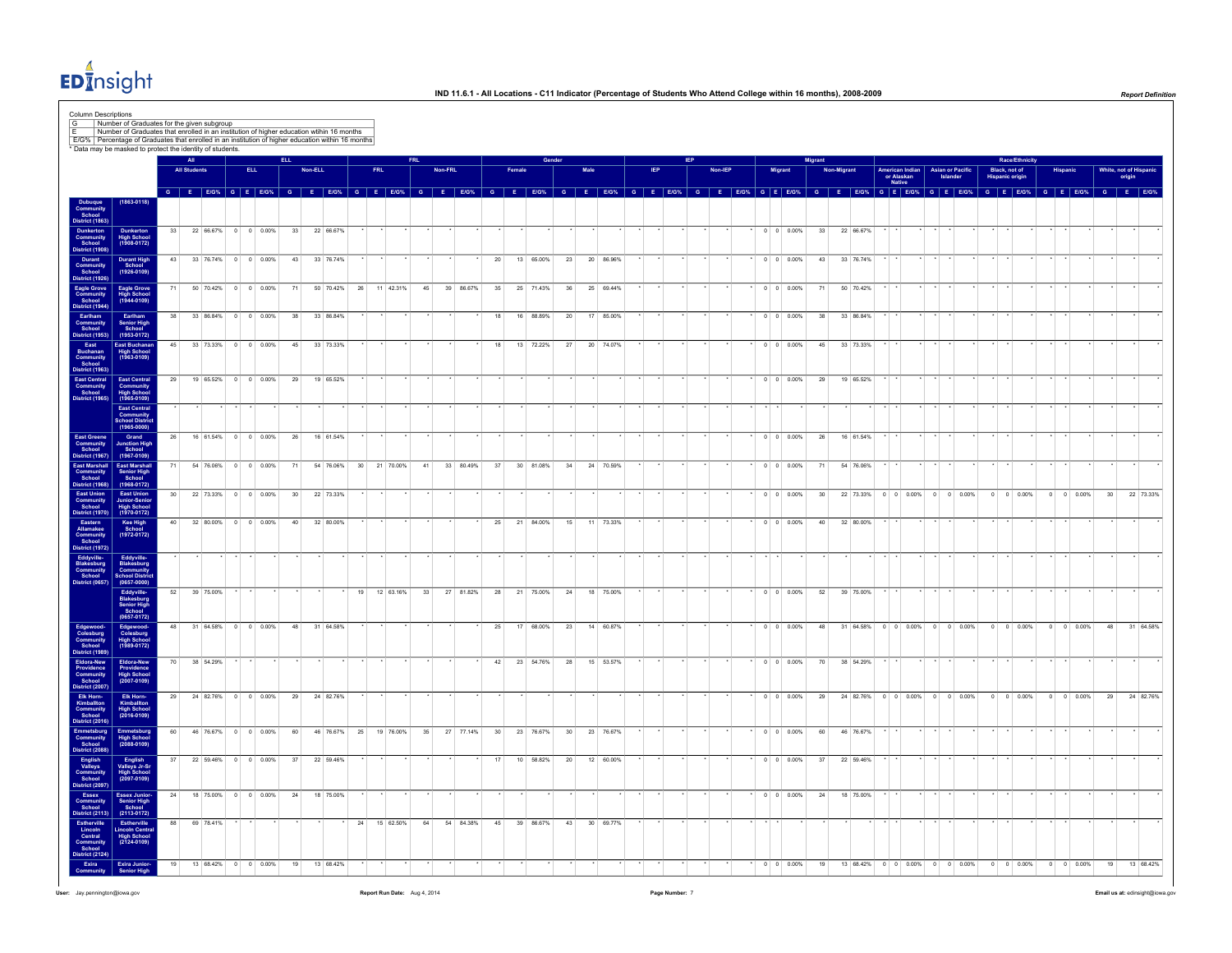

|                                                                                                                                              |    |                     |           |                        |                     |    |         |           |    |      |                                              |    |         |           |    |                 |           |                 |          |           |                           |  |         |  |         |                                              | <b>Aigran</b> |            |           |                                         |                                     |                                         | Race/Ethnicity     |                    |                     |           |
|----------------------------------------------------------------------------------------------------------------------------------------------|----|---------------------|-----------|------------------------|---------------------|----|---------|-----------|----|------|----------------------------------------------|----|---------|-----------|----|-----------------|-----------|-----------------|----------|-----------|---------------------------|--|---------|--|---------|----------------------------------------------|---------------|------------|-----------|-----------------------------------------|-------------------------------------|-----------------------------------------|--------------------|--------------------|---------------------|-----------|
|                                                                                                                                              |    | <b>All Students</b> |           |                        | <b>ELL</b>          |    | Non-ELL |           |    | FRI. |                                              |    | Non-FRI |           |    |                 |           |                 | Male     |           |                           |  | Non-IEP |  | Migrant |                                              |               | Non-Migran |           | American Indian<br>or Alaskan<br>Native | <b>Asian or Pacific</b><br>Islander | Black, not of<br><b>Hispanic origin</b> |                    |                    | White, not of Hispa | origin    |
|                                                                                                                                              |    |                     |           |                        |                     |    |         |           |    |      | G E E/G% G E E/G% G E E/G% G E E/G% G E E/G% |    |         |           |    | $G$ $F$ $F/G$ % |           | $\overline{a}$  | <b>F</b> |           | $FIGV_6$ $G$ $F$ $F/GV_6$ |  |         |  |         | G E EIG% G E EIG% G E EIG% G E EIG% G E EIG% |               |            |           |                                         |                                     |                                         | $G$ $F$ $F/G$ %    | G E FIG% G E FIG%  |                     |           |
| $(1863 - 0118)$                                                                                                                              |    |                     |           |                        |                     |    |         |           |    |      |                                              |    |         |           |    |                 |           |                 |          |           |                           |  |         |  |         |                                              |               |            |           |                                         |                                     |                                         |                    |                    |                     |           |
| Dunkerton<br>High School<br>(1908-0172)                                                                                                      | 33 |                     |           | 22 66.67% 0 0 0.00%    |                     | 33 |         | 22 66.67% |    |      |                                              |    |         |           |    |                 |           |                 |          |           |                           |  |         |  |         | $0 \quad 0 \quad 0.00\%$                     | 33            |            | 22 66.67% |                                         |                                     |                                         |                    |                    |                     |           |
|                                                                                                                                              | 43 |                     |           | 33 76.74% 0 0 0.00%    |                     | 43 |         | 33 76.74% |    |      |                                              |    |         |           | 20 |                 | 13 65.00% | 23              |          | 20 86.96% |                           |  |         |  |         | $0 \t 0 \t 0.00\%$                           | 43            |            | 33 76.74% |                                         |                                     |                                         |                    |                    |                     |           |
| Durant High<br>School<br>(1926-0109)                                                                                                         |    |                     |           |                        |                     |    |         |           |    |      |                                              |    |         |           |    |                 |           |                 |          |           |                           |  |         |  |         |                                              |               |            |           |                                         |                                     |                                         |                    |                    |                     |           |
| Eagle Grove<br>Community<br>School<br>District (1944)<br>Eagle Grove<br>High School<br>(1944-0109)                                           | 71 |                     |           | 50 70.42% 0 0 0.00%    |                     | 71 |         | 50 70.42% | 26 |      | 11 42.31%                                    | 45 |         | 39 86.67% | 35 |                 | 25 71.43% | 36              |          | 25 69.44% |                           |  |         |  |         | $0 \quad 0 \quad 0.00\%$                     | 71            |            | 50 70.42% |                                         |                                     |                                         |                    |                    |                     |           |
| Earlham<br>Senior High<br>School                                                                                                             | 38 |                     |           | 33 86.84% 0 0 0.00%    |                     | 38 |         | 33 86.84% |    |      |                                              |    |         |           | 18 |                 | 16 88.89% | 20 <sup>1</sup> |          | 17 85,00% |                           |  |         |  |         | 0 0 0 0 0 0 %                                | 38            |            | 33 86.84% |                                         |                                     |                                         |                    |                    |                     |           |
| $(1953 - 0172)$<br>East Buchanar<br>High School<br>(1963-0109)                                                                               | 45 |                     |           | 33 73.33% 0 0 0.00%    |                     | 45 |         | 33 73.33% |    |      |                                              |    |         |           | 18 |                 | 13 72.22% | 27              |          | 20 74.07% |                           |  |         |  |         | $0 \quad 0 \quad 0.00\%$                     | 45            |            | 33 73.33% |                                         |                                     |                                         |                    |                    |                     |           |
|                                                                                                                                              |    |                     |           |                        |                     |    |         |           |    |      |                                              |    |         |           |    |                 |           |                 |          |           |                           |  |         |  |         |                                              |               |            |           |                                         |                                     |                                         |                    |                    |                     |           |
| East Central<br>Community<br>School<br>East Central<br>Community<br>High School<br>(1965-0109)                                               | 29 |                     |           | 19 65 52% 0 0 0 00%    |                     | 29 |         | 19 65.52% |    |      |                                              |    |         |           |    |                 |           |                 |          |           |                           |  |         |  |         | $0 \quad 0 \quad 0.00\%$                     | 29            |            | 19 65.52% |                                         |                                     |                                         |                    |                    |                     |           |
| East Central<br>Community                                                                                                                    |    |                     |           |                        |                     |    |         |           |    |      |                                              |    |         |           |    |                 |           |                 |          |           |                           |  |         |  |         |                                              |               |            |           |                                         |                                     |                                         |                    |                    |                     |           |
| School District<br>(1965-0000)                                                                                                               | 26 |                     | 16 61.54% |                        | $0 \t 0 \t 0.00\%$  | 26 |         | 16 61.54% |    |      |                                              |    |         |           |    |                 |           |                 |          |           |                           |  |         |  |         | $0 \t 0 \t 0.00\%$                           | ${\bf 26}$    |            | 16 61.54% |                                         |                                     |                                         |                    |                    |                     |           |
| Grand<br>Junction High<br>School<br>(1967-0109)<br>East Marshall                                                                             | 71 |                     |           | 54 76.06% 0 0 0.00%    |                     | 71 |         | 54 76.06% |    |      | 30 21 70.00%                                 | 41 |         | 33 80.49% | 37 |                 | 30 81.08% | 34              |          | 24 70.59% |                           |  |         |  |         | $0 \quad 0 \quad 0.00\%$                     | 71            |            | 54 76.06% |                                         |                                     |                                         |                    |                    |                     |           |
| Senior High<br>School<br>$(1968 - 0172)$                                                                                                     |    |                     |           |                        |                     |    |         |           |    |      |                                              |    |         |           |    |                 |           |                 |          |           |                           |  |         |  |         |                                              |               |            |           |                                         |                                     |                                         |                    |                    |                     |           |
| <b>District (1968)</b><br>East Union<br>Community<br>School<br>District (1970)<br>East Union<br>Junior-Senior<br>High School<br>(1970-0172)  | 30 |                     |           | 22 73.33% 0 0 0.00%    |                     | 30 |         | 22 73.33% |    |      |                                              |    |         |           |    |                 |           |                 |          |           |                           |  |         |  |         | $0 \quad 0 \quad 0.00\%$                     | 30            |            |           |                                         | 22 73.33% 0 0 0.00% 0 0 0.00%       |                                         | $0 \t 0 \t 0.00\%$ | $0 \t 0 \t 0.00\%$ | 30                  | 22 73.33% |
| Kee High<br>School<br>(1972-0172)                                                                                                            |    |                     |           | 40 32 80.00% 0 0 0.00% |                     | 40 |         | 32 80.00% |    |      |                                              |    |         |           | 25 |                 | 21 84.00% | 15              |          | 11 73.33% |                           |  |         |  |         | $0 \quad 0 \quad 0.00\%$                     | 40            |            | 32 80.00% |                                         |                                     |                                         |                    |                    |                     |           |
|                                                                                                                                              |    |                     |           |                        |                     |    |         |           |    |      |                                              |    |         |           |    |                 |           |                 |          |           |                           |  |         |  |         |                                              |               |            |           |                                         |                                     |                                         |                    |                    |                     |           |
| Eddyville-<br>Blakesburg<br>Community<br>School<br>District (0657)<br>Eddyville-<br>Blakesburg<br>Community<br>School Distric<br>(0657-0000) |    |                     |           |                        |                     |    |         |           |    |      |                                              |    |         |           |    |                 |           |                 |          |           |                           |  |         |  |         |                                              |               |            |           |                                         |                                     |                                         |                    |                    |                     |           |
|                                                                                                                                              | 52 |                     | 39 75.00% |                        |                     |    |         |           | 19 |      | 12 63.16%                                    | 33 |         | 27 81.82% | 28 |                 | 21 75.00% | 24              |          | 18 75.00% |                           |  |         |  |         | $0 \t 0 \t 0.00\%$                           | 52            |            | 39 75.00% |                                         |                                     |                                         |                    |                    |                     |           |
| Eddyville-<br>Blakesburg<br>Senior High<br>School<br>(0657-0172)                                                                             |    |                     |           |                        |                     |    |         |           |    |      |                                              |    |         |           |    |                 |           |                 |          |           |                           |  |         |  |         |                                              |               |            |           |                                         |                                     |                                         |                    |                    |                     |           |
| Edgewood-<br>Colesburg<br>High School<br>(1989-0172)                                                                                         |    |                     |           | 48 31 64.58% 0 0 0.00% |                     | 48 |         | 31 64.58% |    |      |                                              |    |         |           | 25 |                 | 17 68.00% | 23              |          | 14 60.87% |                           |  |         |  |         | $\cdot$ 0 0 0.00%                            | 48            |            |           |                                         | 31 64.58% 0 0 0.00% 0 0 0.00%       |                                         | $0 \t 0 \t 0.00\%$ | $0 \t 0 \t 0.00\%$ | 48                  | 31 64.58% |
| Eldora-New<br>Providence<br>High School<br>(2007-0109)                                                                                       | 70 |                     | 38 54.29% |                        |                     |    |         |           |    |      |                                              |    |         |           | 42 |                 | 23 54 76% | - 28            |          | 15 53.57% |                           |  |         |  |         | $0 \quad 0 \quad 0.00\%$                     | 70            |            | 38 54 29% |                                         |                                     |                                         |                    |                    |                     |           |
|                                                                                                                                              | 29 |                     |           | 24 82.76% 0 0 0.00%    |                     | 29 |         | 24 82.76% |    |      |                                              |    |         |           |    |                 |           |                 |          |           |                           |  |         |  |         | $0 \t 0 \t 0.00\%$                           | 29            |            |           |                                         | 24 82.76% 0 0 0.00% 0 0 0.00%       |                                         | $0 \t 0 \t 0.00\%$ | $0 \t 0 \t 0.00\%$ | 29                  | 24 82.76% |
| Elk Horn-<br>Kimballton<br>High School<br>(2016-0109)                                                                                        |    |                     |           |                        |                     |    |         |           |    |      |                                              |    |         |           |    |                 |           |                 |          |           |                           |  |         |  |         |                                              |               |            |           |                                         |                                     |                                         |                    |                    |                     |           |
| Emmetsburg<br>High School<br>(2088-0109)                                                                                                     | 60 |                     |           | 46 76.67% 0 0 0.00%    |                     | 60 |         | 46 76.67% | 25 |      | 19 76.00%                                    | 35 |         | 27 77.14% | 30 |                 | 23 76.67% | 30 <sup>°</sup> |          | 23 76.67% |                           |  |         |  |         | $0 \t 0 \t 0.00\%$                           | 60            |            | 46 76.67% |                                         |                                     |                                         |                    |                    |                     |           |
|                                                                                                                                              | 37 |                     |           | 22 59.46% 0 0 0.00%    |                     | 37 |         | 22 59.46% |    |      |                                              |    |         |           |    |                 | 10 58.82% | 20              |          | 12 60.00% |                           |  |         |  |         | $0 \t 0 \t 0.00\%$                           | 37            |            | 22 59.46% |                                         |                                     |                                         |                    |                    |                     |           |
| English<br>Valleys Jr-Sr<br>High School<br>(2097-0109)                                                                                       |    |                     |           |                        |                     |    |         |           |    |      |                                              |    |         |           |    |                 |           |                 |          |           |                           |  |         |  |         |                                              |               |            |           |                                         |                                     |                                         |                    |                    |                     |           |
| Essex Junior-<br>Senior High<br>School<br>(2113-0172)                                                                                        | 24 |                     |           | 18 75.00% 0 0 0.00%    |                     | 24 |         | 18 75.00% |    |      |                                              |    |         |           |    |                 |           |                 |          |           |                           |  |         |  |         | $0 \t 0 \t 0.00\%$                           | 24            |            | 18 75.00% |                                         |                                     |                                         |                    |                    |                     |           |
| Estherville<br>Lincoln Central<br>High School<br>(2124-0109)                                                                                 | 88 |                     | 69 78.41% |                        |                     |    |         |           | 24 |      | 15 62.50%                                    | 64 | 54      | 84.38%    | 45 |                 | 39 86.67% | 43              |          | 30 69.77% |                           |  |         |  |         |                                              |               |            |           |                                         |                                     |                                         |                    |                    |                     |           |
|                                                                                                                                              |    |                     |           |                        |                     |    |         |           |    |      |                                              |    |         |           |    |                 |           |                 |          |           |                           |  |         |  |         |                                              |               |            |           |                                         |                                     |                                         |                    |                    |                     |           |
| <b>Exira Junior-</b>                                                                                                                         | 19 |                     |           |                        | 13 68.42% 0 0 0.00% | 19 |         | 13 68.42% |    |      |                                              |    |         |           |    |                 |           |                 |          |           |                           |  |         |  |         |                                              |               |            |           |                                         |                                     |                                         |                    |                    | 19                  | 13 68.42% |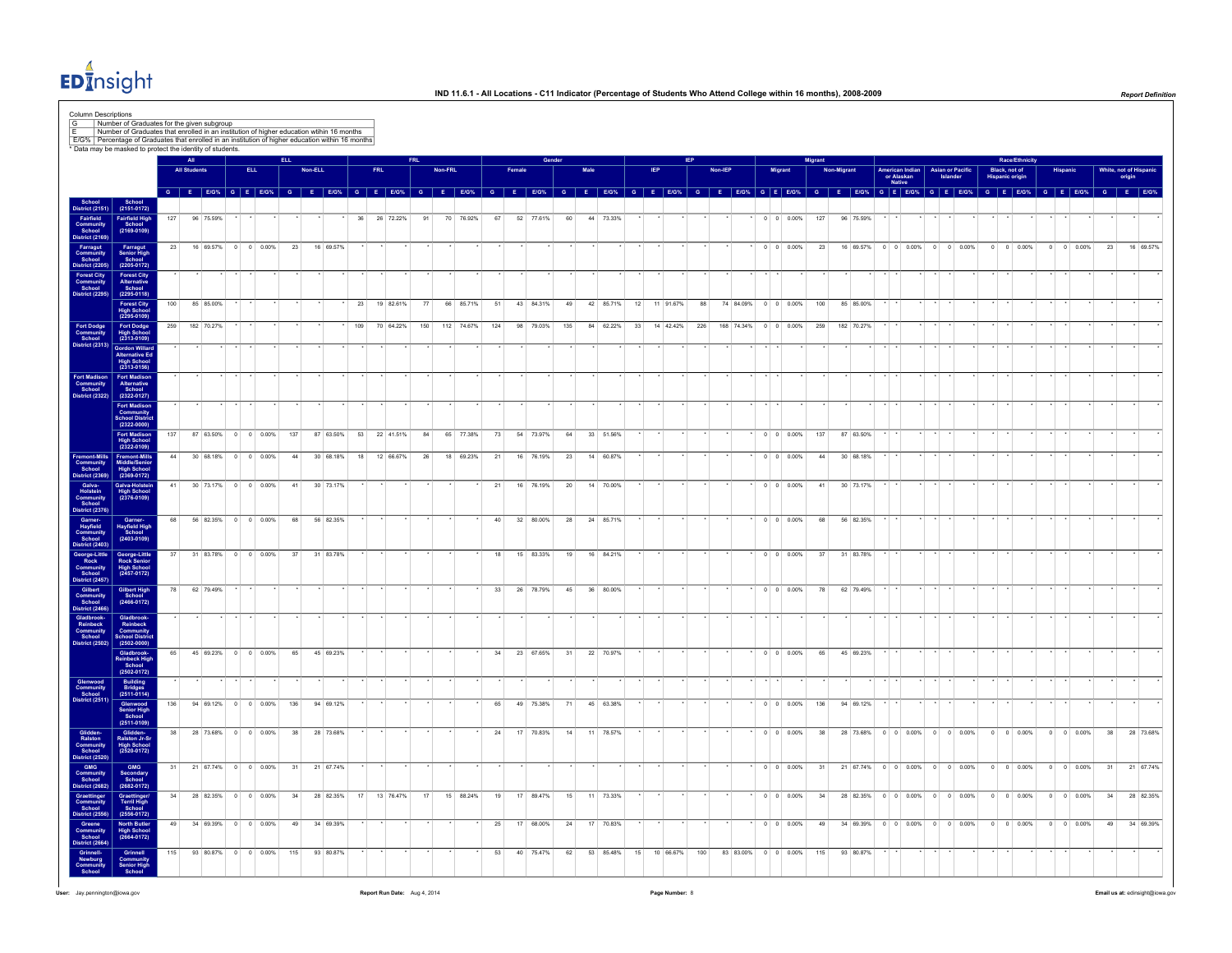

|                                                                                                                                                                                                                               |                                                                       |     |                     |                     |         |                       |     |                  |                                              |     |     |              |     |         |            |         |        |           |                 |      |                   |    |              |     |         |        |                          | Migran |             |                                                |                                         |         |                                     |               | Race/Ethnicity         |                |                    |              |    |                                                                |
|-------------------------------------------------------------------------------------------------------------------------------------------------------------------------------------------------------------------------------|-----------------------------------------------------------------------|-----|---------------------|---------------------|---------|-----------------------|-----|------------------|----------------------------------------------|-----|-----|--------------|-----|---------|------------|---------|--------|-----------|-----------------|------|-------------------|----|--------------|-----|---------|--------|--------------------------|--------|-------------|------------------------------------------------|-----------------------------------------|---------|-------------------------------------|---------------|------------------------|----------------|--------------------|--------------|----|----------------------------------------------------------------|
|                                                                                                                                                                                                                               |                                                                       |     | <b>All Students</b> |                     |         | <b>ELL</b>            |     | Non-ELL          |                                              |     | FRL |              |     | Non-FRL |            |         | Female |           |                 | Male |                   |    |              |     | Non-IEP | Migran |                          |        | Non-Migrant |                                                | American Indian<br>or Alaskan<br>Native |         | <b>Asian or Pacific</b><br>Islander | Black, not of | <b>Hispanic origin</b> |                | Hispanio           |              |    | White, not of Hispan<br>origin                                 |
|                                                                                                                                                                                                                               |                                                                       |     |                     |                     |         |                       |     |                  | G E E/G% G E E/G% G E E/G% G E E/G% G E E/G% |     |     |              |     |         |            |         |        | G E E/G%  |                 |      | G E E/G% G E E/G% |    |              |     |         |        |                          |        |             | G E E/G% G E E/G% G E E/G% G E E/G% G E E/G% G |                                         |         |                                     |               |                        |                |                    |              |    | G E EIG <sup>%</sup> G E EIG <sup>%</sup> G E EIG <sup>%</sup> |
| School<br>District (2151)                                                                                                                                                                                                     | School<br>(2151-0172)                                                 | 127 |                     | 96 75.59%           |         |                       |     |                  |                                              | 36  |     | 26 72.22%    | 91  |         | 70 76.92%  | 67      |        | 52 77.61% | 60              |      | 44 73.33%         |    |              |     |         |        | $0 \t 0 \t 0.00\%$       | 127    |             | 96 75.59%                                      |                                         |         |                                     |               |                        |                |                    |              |    |                                                                |
| Fairfield<br>Community<br>School<br>District (2169)                                                                                                                                                                           | Fairfield High<br>School<br>(2169-0109)                               |     |                     |                     |         |                       |     |                  |                                              |     |     |              |     |         |            |         |        |           |                 |      |                   |    |              |     |         |        |                          |        |             |                                                |                                         |         |                                     |               |                        |                |                    |              |    |                                                                |
| Farragut<br>Community<br>School<br>District (2205)                                                                                                                                                                            | Farragut<br>Senior High<br>School<br>(2205-0172)                      | 23  |                     |                     |         | 16 69.57% 0 0 0.00%   |     | 23               | 16 69.57%                                    |     |     |              |     |         |            |         |        |           |                 |      |                   |    |              |     |         |        | $0 \t 0 \t 0.00\%$       | 23     |             | 16 69.57% 0 0 0.00% 0 0 0.00%                  |                                         |         |                                     |               | $0 \t 0 \t 0.00\%$     |                | $0 \t 0 \t 0.00\%$ |              | 23 | 16 69.57%                                                      |
| Forest City<br>Community<br>School                                                                                                                                                                                            | Forest City<br>Alternative<br>School                                  |     |                     |                     |         |                       |     |                  |                                              |     |     |              |     |         |            |         |        |           |                 |      |                   |    |              |     |         |        |                          |        |             |                                                |                                         |         |                                     |               |                        |                |                    |              |    |                                                                |
| strict (2295)                                                                                                                                                                                                                 | $(2295 - 0118)$<br>Forest City<br>High School<br>(2295-0109)          | 100 |                     | 85 85,00%           |         |                       |     |                  |                                              | 23  |     | 19 82.61%    | 77  |         | 66 85.71%  | 51      |        | 43 84.31% | 49              |      | 42 85.71%         |    | 12 11 91.67% | 88  |         |        | 74 84.09% 0 0 0.00%      | 100    |             | 85 85.00%                                      |                                         |         |                                     |               |                        |                |                    |              |    |                                                                |
| Fort Dodge<br>Community<br>School                                                                                                                                                                                             | Fort Dodge<br>High School<br>(2313-0109)                              | 259 |                     | 182 70.27%          |         |                       |     |                  |                                              | 109 |     | 70 64.22%    | 150 |         | 112 74.67% | 124     |        | 98 79.03% | 135             |      | 84 62.22%         | 33 | 14 42.42%    | 226 |         |        | 168 74.34% 0 0 0.00%     | 259    |             | 182 70.27%                                     |                                         |         |                                     |               |                        |                |                    |              |    |                                                                |
| strict (2313)                                                                                                                                                                                                                 | <b>Gordon Willard</b>                                                 |     |                     |                     |         |                       |     |                  |                                              |     |     |              |     |         |            |         |        |           |                 |      |                   |    |              |     |         |        |                          |        |             |                                                |                                         |         |                                     |               |                        |                |                    |              |    |                                                                |
|                                                                                                                                                                                                                               | Alternative Ed<br>High School<br>(2313-0156)                          |     |                     |                     |         |                       |     |                  |                                              |     |     |              |     |         |            |         |        |           |                 |      |                   |    |              |     |         |        |                          |        |             |                                                |                                         |         |                                     |               |                        |                |                    |              |    |                                                                |
| Fort Madison<br>Community<br>School<br><b>istrict (2322)</b>                                                                                                                                                                  | Fort Madison<br>Alternative<br>School<br>$(2322 - 0127)$              |     |                     |                     |         |                       |     |                  |                                              |     |     |              |     |         |            |         |        |           |                 |      |                   |    |              |     |         |        |                          |        |             |                                                |                                         |         |                                     |               |                        |                |                    |              |    |                                                                |
|                                                                                                                                                                                                                               | Fort Madison<br>Community<br>School Distric<br>$(2322 - 0000)$        |     |                     |                     |         |                       |     |                  |                                              |     |     |              |     |         |            |         |        |           |                 |      |                   |    |              |     |         |        |                          |        |             |                                                |                                         |         |                                     |               |                        |                |                    |              |    |                                                                |
|                                                                                                                                                                                                                               | <b>Fort Madison</b><br>High School<br>(2322-0109)                     | 137 |                     |                     |         | 87 63.50% 0 0 0.00%   | 137 |                  | 87 63.50%                                    | 53  |     | 22 41.51%    | 84  |         | 65 77.38%  | 73      |        | 54 73.97% | 64              |      | 33 51.56%         |    |              |     |         |        | $0 \quad 0 \quad 0.00\%$ | 137    |             | 87 63.50%                                      |                                         |         |                                     |               |                        |                |                    |              |    |                                                                |
| Fremont-Mills<br>Community<br>School<br>District (2369)                                                                                                                                                                       | Fremont-Mills<br>Middle/Senior<br>High School<br>(2369-0172)          | 44  |                     |                     |         | $30.6818\%$ 0 0 0 00% |     | 44               | 30 68.18%                                    |     |     | 18 12 66.67% | 26  |         | 18 69.23%  | 21      |        | 16 76.19% | 23              |      | 14 60.87%         |    |              |     |         |        | $0 \quad 0 \quad 0.00\%$ | 44     |             | 30 68.18%                                      |                                         |         |                                     |               |                        |                |                    |              |    |                                                                |
|                                                                                                                                                                                                                               | Galva-Holstein<br>High School<br>(2376-0109)                          | 41  |                     |                     |         | 30 73.17% 0 0 0.00%   | 41  |                  | 30 73.17%                                    |     |     |              |     |         |            | 21      |        | 16 76.19% | 20 <sup>°</sup> |      | 14 70.00%         |    |              |     |         |        | $0 \quad 0 \quad 0.00\%$ | 41     |             | 30 73.17%                                      |                                         |         |                                     |               |                        |                |                    |              |    |                                                                |
| Gaiva-Holstein<br>Holstein<br>Community<br>District (2376)<br>District (2376)<br>Gamenting<br>Layfield<br>Community<br>School<br>Obstrict (2457)<br>Community<br>Community<br>Community<br>District (2466)<br>District (2466) | Garner-<br>Hayfield High<br>School<br>$(2403 - 0109)$                 | 68  |                     |                     |         | 56 82.35% 0 0 0.00%   |     | 68               | 56 82.35%                                    |     |     |              |     |         |            | 40      |        | 32 80.00% | 28              |      | 24 85.71%         |    |              |     |         |        | $0 \quad 0 \quad 0.00\%$ | 68     |             | 56 82.35%                                      |                                         |         |                                     |               |                        |                |                    |              |    |                                                                |
|                                                                                                                                                                                                                               |                                                                       | 37  |                     | 31 83.78%           |         | $0$ 0 0.00%           |     | 37               | 31 83.78%                                    |     |     |              |     |         |            | 18      | 15     | 83.33%    | 19              |      | 16 84.21%         |    |              |     |         |        | $0 \t 0 \t 0.00\%$       | 37     |             | 31 83.78%                                      |                                         |         |                                     |               |                        |                |                    |              |    |                                                                |
|                                                                                                                                                                                                                               | George-Little<br>Rock Senior<br>High School<br>(2457-0172)            |     |                     |                     |         |                       |     |                  |                                              |     |     |              |     |         |            |         |        |           |                 |      |                   |    |              |     |         |        |                          |        |             |                                                |                                         |         |                                     |               |                        |                |                    |              |    |                                                                |
|                                                                                                                                                                                                                               | Gilbert High<br>School<br>(2466-0172)                                 |     |                     | 62 79.49%           |         |                       |     |                  |                                              |     |     |              |     |         |            | 33      |        | 26 78.79% | 45              |      | 36 80.00%         |    |              |     |         |        | $0 \t 0 \t 0.00\%$       | 78     |             | 62 79.49%                                      |                                         |         |                                     |               |                        |                |                    |              |    |                                                                |
| Gladbrook<br>Reinbeck<br>Community<br>School<br>District (2502)                                                                                                                                                               | Gladbrook-<br>Reinbeck<br>Community<br>School District<br>(2502-0000) |     |                     |                     |         |                       |     |                  |                                              |     |     |              |     |         |            |         |        |           |                 |      |                   |    |              |     |         |        |                          |        |             |                                                |                                         |         |                                     |               |                        |                |                    |              |    |                                                                |
|                                                                                                                                                                                                                               | Gladbrook-<br>Reinbeck High<br>School<br>(2502-0172)                  | 65  |                     |                     |         | 45 69.23% 0 0 0.00%   |     | 65               | 45 69.23%                                    |     |     |              |     |         |            | 34      |        | 23 67.65% | 31              |      | 22 70.97%         |    |              |     |         |        | $0 \t 0 \t 0.00\%$       | 65     |             | 45 69.23%                                      |                                         |         |                                     |               |                        |                |                    |              |    |                                                                |
| Glenwood<br>Community<br>School<br>District (2511)                                                                                                                                                                            | Building<br>Bridges<br>(2511-0114)                                    |     |                     |                     |         |                       |     |                  |                                              |     |     |              |     |         |            |         |        |           |                 |      |                   |    |              |     |         |        |                          |        |             |                                                |                                         |         |                                     |               |                        |                |                    |              |    |                                                                |
|                                                                                                                                                                                                                               | Glenwood<br>Senior High<br>School<br>(2511-0109)                      | 136 |                     |                     |         | 94 69.12% 0 0 0.00%   | 136 |                  | 94 69.12%                                    |     |     |              |     |         |            | 65      |        | 49 75.38% | 71              |      | 45 63.38%         |    |              |     |         |        | $0 \t 0 \t 0.00\%$       | 136    |             | 94 69.12%                                      |                                         |         |                                     |               |                        |                |                    |              |    |                                                                |
|                                                                                                                                                                                                                               | Glidden-<br>Ralston Jr-Sr<br>High School<br>(2520-0172)               | 38  |                     | 28 73.68%           | $\circ$ | $0 \t 0.00\%$         |     | 38               | 28 73.68%                                    |     |     |              |     |         |            | $^{24}$ | 17     | 70.83%    | 14              | 11   | 78.57%            |    |              |     |         |        | $0 \t 0 \t 0.00\%$       | 38     |             | 28 73.68%                                      | $0 \t 0 \t 0.00\%$                      | $\circ$ | $0 \t 0.00\%$                       | $\circ$       | $0 \ 0.00\%$           | $\circ$        |                    | 0 0.00%      | 38 | 28 73.68%                                                      |
| Glidden-<br>Ralston<br>Community<br>School<br>District (2620)<br>Gommunity<br>School<br>District (2682)                                                                                                                       |                                                                       | 31  |                     |                     |         | 21 67.74% 0 0 0.00%   |     | 31               | 21 67.74%                                    |     |     |              |     |         |            |         |        |           |                 |      |                   |    |              |     |         |        | $0 \t 0 \t 0.00\%$       | 31     |             | 21 67.74% 0 0 0.00% 0 0 0.00%                  |                                         |         |                                     |               | $0 \t 0 \t 0.00\%$     |                | $0 \t 0 \t 0.00\%$ |              | 31 | 21 67.74%                                                      |
|                                                                                                                                                                                                                               | GMG<br>Secondary<br>School<br>(2682-0172)                             | 34  |                     |                     |         | 28 82.35% 0 0 0.00%   | 34  |                  | 28 82.35%                                    | 17  |     | 13 76.47%    | 17  |         | 15 88.24%  | 19      |        | 17 89.47% | 15              |      | 11 73.33%         |    |              |     |         |        | $0 \t 0 \t 0.00\%$       | 34     |             | 28 82.35% 0 0 0.00% 0 0 0.00%                  |                                         |         |                                     |               | $0$ 0 0.00%            | $\overline{0}$ |                    | $0 \ 0.00\%$ | 34 | 28 82.35%                                                      |
| Graetinger<br>Graetinger<br>Community<br>School<br>District (2556)<br>Greene<br>Community<br>School<br>District (2664)                                                                                                        | Graettinger/<br>Terril High<br>School<br>(2556-0172)                  | 49  |                     |                     |         | 34 69.39% 0 0 0.00%   |     | 49               | 34 69.39%                                    |     |     |              |     |         |            | 25      |        | 17 68.00% | 24              | 17   | 70.83%            |    |              |     |         |        | $0 \t 0 \t 0.00\%$       | 49     |             | 34 69.39%                                      | $0 \t 0 \t 0.00\%$                      |         | $0 \t 0 \t 0.00\%$                  |               | $0 \ 0 \ 0.00\%$       | $\overline{0}$ | $0 \ 0.00\%$       |              | 49 | 34 69.39%                                                      |
|                                                                                                                                                                                                                               | North Butler<br>High School<br>(2664-0172)                            |     |                     |                     |         |                       |     |                  |                                              |     |     |              |     |         |            |         |        |           |                 |      |                   |    |              |     |         |        |                          |        |             |                                                |                                         |         |                                     |               |                        |                |                    |              |    |                                                                |
| Grinnell-<br>Newburg<br>Community                                                                                                                                                                                             | Grinnell<br>Community<br>Senior High<br>School                        |     |                     | 93 80.87% 0 0 0.00% |         |                       |     | 115<br>93 80.87% |                                              |     |     |              |     |         |            |         |        |           |                 |      | 53 85.48%         |    |              |     |         |        |                          |        |             |                                                |                                         |         |                                     |               |                        |                |                    |              |    |                                                                |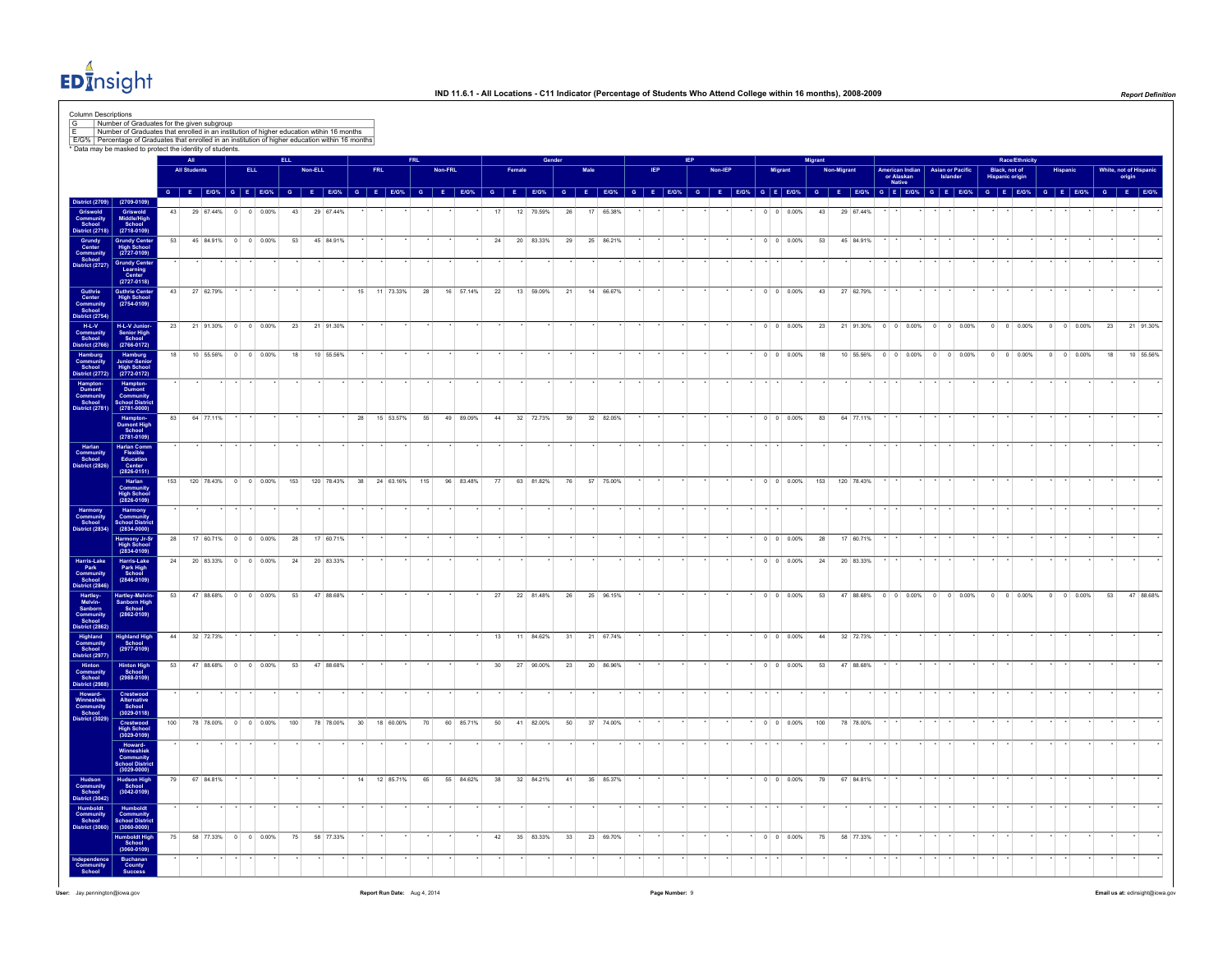

|                                                                                                                                                                                                                                                                          |                                                                     |     | <b>All Student</b> |           |                        | <b>ELL</b>         |     | Non-ELL      |           |                 | <b>FRL</b> |                         |     | Non-FRL |                                                                |    | Female |           |    | Male |                        | <b>IFP</b> |                                                                                                               | Non-IEP |  | Migrant |                          | Migran | Non-Migran |                                  |                                         |  | <b>Asian or Pacific</b> | Black, not of          | Race/Ethnicity     |                    | White, not of Hispan |           |
|--------------------------------------------------------------------------------------------------------------------------------------------------------------------------------------------------------------------------------------------------------------------------|---------------------------------------------------------------------|-----|--------------------|-----------|------------------------|--------------------|-----|--------------|-----------|-----------------|------------|-------------------------|-----|---------|----------------------------------------------------------------|----|--------|-----------|----|------|------------------------|------------|---------------------------------------------------------------------------------------------------------------|---------|--|---------|--------------------------|--------|------------|----------------------------------|-----------------------------------------|--|-------------------------|------------------------|--------------------|--------------------|----------------------|-----------|
|                                                                                                                                                                                                                                                                          |                                                                     |     |                    |           |                        |                    |     |              |           |                 |            |                         |     |         |                                                                |    |        |           |    |      |                        |            |                                                                                                               |         |  |         |                          |        |            |                                  | American Indian<br>or Alaskan<br>Native |  | Islander                | <b>Hispanic origin</b> |                    |                    |                      | origin    |
| District (2709                                                                                                                                                                                                                                                           | $(2709 - 0109)$                                                     |     |                    |           |                        |                    |     |              |           |                 |            |                         |     |         | G E EIG% G E EIG% G E EIG% G E EIG% G E EIG% G E EIG% G E EIG% |    |        |           |    |      |                        |            | G E EIGY, G E EIGY, G E EIGY, G E EIGY, G E EIGY, G E EIGY, G E EIGY, G E EIGY, G E EIGY, G E EIGY, G E EIGY, |         |  |         |                          |        |            |                                  |                                         |  |                         |                        |                    |                    |                      |           |
| Griswold<br>Community<br>School<br>District (2718)                                                                                                                                                                                                                       | Griswold<br>Middle/High<br>School<br>(2718-0109)                    | 43  |                    |           | 29 67.44% 0 0 0.00%    |                    | 43  | 29 67.44%    |           |                 |            |                         |     |         |                                                                | 17 |        | 12 70.59% | 26 |      | 17 65.38%              |            |                                                                                                               |         |  |         | $0 \t 0 \t 0.00\%$       |        |            | 43 29 67.44%                     |                                         |  |                         |                        |                    |                    |                      |           |
| Grundy<br>Center<br>Community<br>School<br>District (2727)                                                                                                                                                                                                               | Grundy Center<br>High School<br>(2727-0109)                         | 53  |                    |           | 45 84.91% 0 0 0.00%    |                    |     | 53 45 84.91% |           |                 |            |                         |     |         |                                                                | 24 |        | 20 83.33% | 29 |      | 25 86.21%              |            |                                                                                                               |         |  |         | $\cdot$ 0 0 0.00%        | 53     |            | 45 84.91%                        |                                         |  |                         |                        |                    |                    |                      |           |
|                                                                                                                                                                                                                                                                          | Grundy Center<br>Learning<br>Center<br>(2727-0118)                  | 43  |                    | 27 62.79% |                        |                    |     |              |           | 15              |            | 11 73.33%               | 28  |         | 16 57.14%                                                      | 22 |        | 13 59.09% | 21 |      | 14 66.67%              |            |                                                                                                               |         |  |         | $0 \quad 0 \quad 0.00\%$ | 43     |            | 27 62.79%                        |                                         |  |                         |                        |                    |                    |                      |           |
| Guthrie<br>Center<br>Community<br>School<br>District (2754)<br>School<br>Nistat (2760)                                                                                                                                                                                   | Guthrie Center<br>High School<br>(2754-0109)                        |     |                    |           |                        |                    |     |              |           |                 |            |                         |     |         |                                                                |    |        |           |    |      |                        |            |                                                                                                               |         |  |         |                          |        |            |                                  |                                         |  |                         |                        |                    |                    |                      |           |
| listrict (2766)                                                                                                                                                                                                                                                          | H-L-V Junior-<br>Senior High<br>School<br>$(2766 - 0172)$           | 23  |                    |           | 21 91.30% 0 0 0.00%    |                    |     | 23 21 91.30% |           |                 |            |                         |     |         |                                                                |    |        |           |    |      |                        |            |                                                                                                               |         |  |         | $0 \quad 0 \quad 0.00\%$ |        |            | 23 21 91.30% 0 0 0.00% 0 0 0.00% |                                         |  |                         |                        | $0 \t 0 \t 0.00\%$ | $0 \t 0 \t 0.00\%$ | 23                   | 21 91.30% |
| Hamburg<br>Community<br>School<br>District (2772)                                                                                                                                                                                                                        | Hamburg<br>Junior-Senior<br>High School<br>(2772-0172)              | 18  |                    |           | 10 55.56% 0 0 0.00%    |                    | 18  | 10 55.56%    |           |                 |            |                         |     |         |                                                                |    |        |           |    |      |                        |            |                                                                                                               |         |  |         | $0 \t 0 \t 0.00\%$       | 18     |            | 10 55.56% 0 0 0.00% 0 0 0.00%    |                                         |  |                         |                        | $0 \t 0 \t 0.00\%$ | $0 \t 0 \t 0.00\%$ | 18                   | 10 55.56% |
| Hampton-<br>Dumont<br>Community<br>School<br>District (2781)                                                                                                                                                                                                             | Hampton-<br>Dumont<br>Community<br>School Distric<br>(2781-0000)    |     |                    |           |                        |                    |     |              |           |                 |            |                         |     |         |                                                                |    |        |           |    |      |                        |            |                                                                                                               |         |  |         |                          |        |            |                                  |                                         |  |                         |                        |                    |                    |                      |           |
|                                                                                                                                                                                                                                                                          | Hampton-<br>Dumont High<br>School<br>(2781-0109)                    | 83  |                    | 64 77.11% |                        |                    |     |              |           | 28              |            | 15 53.57%               | 55  |         | 49 89.09%                                                      | 44 |        | 32 72.73% | 39 |      | 32 82.05%              |            |                                                                                                               |         |  |         | $0 \t 0 \t 0.00\%$       | 83     |            | 64 77.11%                        |                                         |  |                         |                        |                    |                    |                      |           |
| Harlan<br>Community<br>School<br>District (2826)                                                                                                                                                                                                                         | Harlan Comm<br>Flexible<br>Education<br>Center<br>(2826-0151)       |     |                    |           |                        |                    |     |              |           |                 |            |                         |     |         |                                                                |    |        |           |    |      |                        |            |                                                                                                               |         |  |         |                          |        |            |                                  |                                         |  |                         |                        |                    |                    |                      |           |
|                                                                                                                                                                                                                                                                          | Harlan<br>Community<br>High School<br>(2826-0109)                   | 153 |                    |           | 120 78.43% 0 0 0.00%   |                    | 153 |              |           |                 |            | 120 78.43% 38 24 63.16% | 115 |         | 96 83.48%                                                      | 77 |        | 63 81.82% | 76 |      | 57 75.00%              |            |                                                                                                               |         |  |         | $0 \t 0 \t 0.00\%$       |        |            | 153 120 78.43%                   |                                         |  |                         |                        |                    |                    |                      |           |
| Harmony<br>Community<br>School<br>District (2834)                                                                                                                                                                                                                        | Harmony<br>Community<br>School Distric<br>(2834-0000)               |     |                    |           |                        |                    |     |              |           |                 |            |                         |     |         |                                                                |    |        |           |    |      |                        |            |                                                                                                               |         |  |         |                          |        |            |                                  |                                         |  |                         |                        |                    |                    |                      |           |
|                                                                                                                                                                                                                                                                          | Harmony Jr-Sr<br>High School<br>(2834-0109)                         | 28  |                    |           | 17 60.71% 0 0 0.00%    |                    | 28  | 17 60.71%    |           |                 |            |                         |     |         |                                                                |    |        |           |    |      |                        |            |                                                                                                               |         |  |         | $0 \t 0 \t 0.00\%$       | 28     |            | 17 60.71%                        |                                         |  |                         |                        |                    |                    |                      |           |
| Harris-Lake<br>Park<br>Community<br>School<br>District (2846)                                                                                                                                                                                                            | Harris-Lake<br>Park High<br>School<br>(2846-0109)                   | 24  |                    |           | 20 83.33% 0 0 0.00%    |                    | 24  | 20 83.33%    |           |                 |            |                         |     |         |                                                                |    |        |           |    |      |                        |            |                                                                                                               |         |  |         | $0 \quad 0 \quad 0.00\%$ | 24     |            | 20 83.33%                        |                                         |  |                         |                        |                    |                    |                      |           |
| Hartley<br>Melvin<br>Sanborn<br>Community<br>School<br>District (2862)<br>Highland<br>Community<br>School<br>District (2988)<br>Howard<br>Minneshiek<br>Community<br>District (2988)<br>Howard<br>Community<br>School<br>Community<br>School<br>Community<br>School<br>C | Hartley-Melvin-<br>Sanborn High<br>School<br>$(2862 - 0109)$        | 53  |                    |           | 47 88.68% 0 0 0.00%    |                    | 53  | 47 88.68%    |           |                 |            |                         |     |         |                                                                | 27 |        | 22 81.48% | 26 |      | 25 96.15%              |            |                                                                                                               |         |  |         | $0 \t 0 \t 0.00\%$       | 53     |            | 47 88.68% 0 0 0.00% 0 0 0.00%    |                                         |  |                         |                        | $0 \t 0 \t 0.00\%$ | $0 \t 0 \t 0.00\%$ | 53                   | 47 88.68% |
|                                                                                                                                                                                                                                                                          | Highland High<br>School<br>(2977-0109)                              | 44  |                    | 32 72.73% |                        |                    |     |              |           |                 |            |                         |     |         |                                                                | 13 |        | 11 84.62% | 31 |      | 21 67.74%              |            |                                                                                                               |         |  |         | $0 \t 0 \t 0.00\%$       | 44     |            | 32 72.73%                        |                                         |  |                         |                        |                    |                    |                      |           |
|                                                                                                                                                                                                                                                                          | Hinton High<br>School<br>(2988-0109)                                | 53  |                    |           | 47 88.68% 0 0 0.00%    |                    | 53  | 47 88.68%    |           |                 |            |                         |     |         |                                                                | 30 |        | 27 90.00% | 23 |      | 20 86.96%              |            |                                                                                                               |         |  |         | $0 \quad 0 \quad 0.00\%$ | 53     |            | 47 88.68%                        |                                         |  |                         |                        |                    |                    |                      |           |
|                                                                                                                                                                                                                                                                          | Crestwood<br>Alternative<br>School<br>$(3029 - 0118)$               |     |                    |           |                        |                    |     |              |           |                 |            |                         |     |         |                                                                |    |        |           |    |      |                        |            |                                                                                                               |         |  |         |                          |        |            |                                  |                                         |  |                         |                        |                    |                    |                      |           |
|                                                                                                                                                                                                                                                                          | Crestwood<br>High School<br>(3029-0109)                             | 100 |                    | 78 78.00% |                        | $0 \t 0 \t 0.00\%$ | 100 |              | 78 78.00% | 30 <sup>°</sup> |            | 18 60.00%               | 70  |         | 60 85.71%                                                      | 50 |        | 41 82.00% | 50 |      | 37 74.00%              |            |                                                                                                               |         |  |         | $0 \t 0 \t 0.00\%$       | 100    |            | 78 78.00%                        |                                         |  |                         |                        |                    |                    |                      |           |
|                                                                                                                                                                                                                                                                          | Howard-<br>Winneshiek<br>Community<br>School Distric<br>(3029-0000) |     |                    |           |                        |                    |     |              |           |                 |            |                         |     |         |                                                                |    |        |           |    |      |                        |            |                                                                                                               |         |  |         |                          |        |            |                                  |                                         |  |                         |                        |                    |                    |                      |           |
|                                                                                                                                                                                                                                                                          | Hudson High<br>School<br>(3042-0109)                                | 79  |                    | 67 84.81% |                        |                    |     |              |           | 14              |            | 12 85.71%               | 65  |         | 55 84.62%                                                      | 38 |        | 32 84.21% | 41 |      | 35 85.37%              |            |                                                                                                               |         |  |         | $0 \t 0 \t 0.00\%$       | 79     |            | 67 84.81%                        |                                         |  |                         |                        |                    |                    |                      |           |
| Hudson<br>Community<br>School<br>District (3042)<br>Humboldt<br>Community<br>School<br>District (3060)                                                                                                                                                                   | Humboldt<br>Community<br>School Distric<br>(3060-0000)              |     |                    |           |                        |                    |     |              |           |                 |            |                         |     |         |                                                                |    |        |           |    |      |                        |            |                                                                                                               |         |  |         |                          |        |            |                                  |                                         |  |                         |                        |                    |                    |                      |           |
|                                                                                                                                                                                                                                                                          | Humboldt High<br>School                                             |     |                    |           | 75 58 77.33% 0 0 0.00% |                    |     | 75 58 77.33% |           |                 |            |                         |     |         |                                                                | 42 |        |           |    |      | 35 83.33% 33 23 69.70% |            |                                                                                                               |         |  |         | $\cdot$ 0 0 0.00%        |        |            | 75 58 77.33% .                   |                                         |  |                         |                        |                    |                    |                      |           |
| Independence<br>Community<br>School                                                                                                                                                                                                                                      | $(3060 - 0109)$<br>Buchanan<br>County<br>Success                    |     |                    |           |                        |                    |     |              |           |                 |            |                         |     |         |                                                                |    |        |           |    |      |                        |            |                                                                                                               |         |  |         |                          |        |            |                                  |                                         |  |                         |                        |                    |                    |                      |           |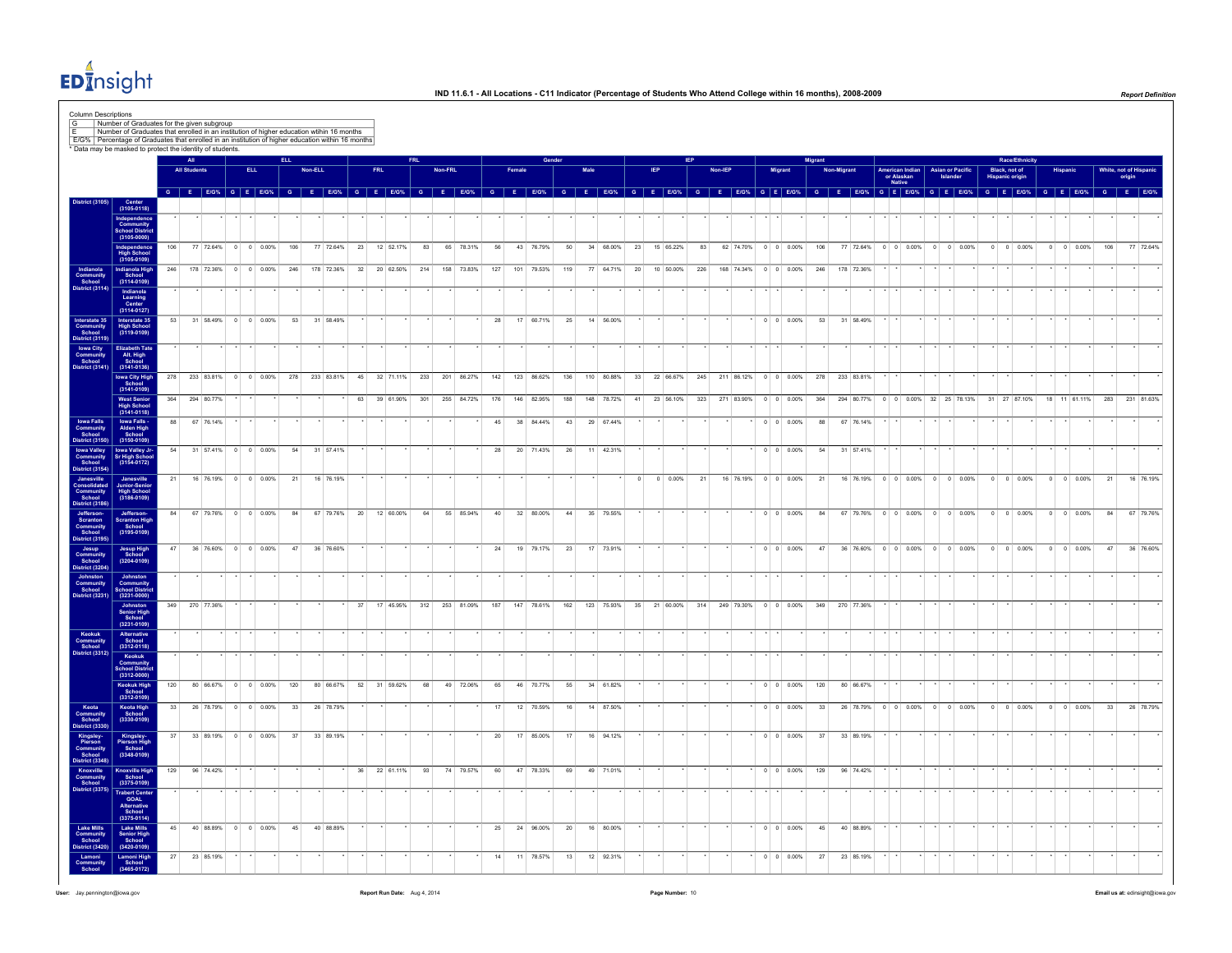

|                                                                                                                                                                                                                                                                                                                                                                                                                                                                                                                       |                                                                |     |                               |           |                     |            |     |            |                 |                 |            |                             |                |         |               |     |                 |                |      |            |    |          |                                                  |        |                |            |                          | Migrant  |            |                                       |                                         |         |                                    |                  |                | <b>Race/Ethnicity</b>                   |                |                             |                    |           |
|-----------------------------------------------------------------------------------------------------------------------------------------------------------------------------------------------------------------------------------------------------------------------------------------------------------------------------------------------------------------------------------------------------------------------------------------------------------------------------------------------------------------------|----------------------------------------------------------------|-----|-------------------------------|-----------|---------------------|------------|-----|------------|-----------------|-----------------|------------|-----------------------------|----------------|---------|---------------|-----|-----------------|----------------|------|------------|----|----------|--------------------------------------------------|--------|----------------|------------|--------------------------|----------|------------|---------------------------------------|-----------------------------------------|---------|------------------------------------|------------------|----------------|-----------------------------------------|----------------|-----------------------------|--------------------|-----------|
|                                                                                                                                                                                                                                                                                                                                                                                                                                                                                                                       |                                                                |     | <b>All Studer</b>             |           |                     | <b>ELL</b> |     | Non-ELL    |                 |                 | <b>FRL</b> |                             |                | Non-FRL |               |     |                 |                | Male |            |    |          |                                                  |        | <b>Non-IEP</b> |            | Migran                   |          | Non-Migrar |                                       | American Indian<br>or Alaskan<br>Native |         | <b>Asian or Pacific</b><br>Islanda |                  |                | Black, not of<br><b>Hispanic origin</b> | <b>Hispani</b> |                             | White, not of Hisp | origin    |
| listrict (310)                                                                                                                                                                                                                                                                                                                                                                                                                                                                                                        | Center<br>(3105-0118)                                          |     | $G$ $E$ $E/G%$ $G$ $E$ $E/G%$ |           |                     |            |     |            | $G$ $E$ $E/G$ % | $G$ $F$ $F/G$ % |            |                             | $\overline{G}$ |         | <b>E</b> E/G% |     | $G$ $F$ $F/G$ % | $\overline{G}$ | E    | E/G%       |    |          | $G$ $E$ $E/G$ %                                  | $\sim$ | E              |            | E/G% G E E/G%            | <b>G</b> | E.         | E/G% G E E/G% G E E/G%                |                                         |         |                                    |                  |                | $G$ $E$ $E/G%$                          |                | G E E/G% G E                |                    |           |
|                                                                                                                                                                                                                                                                                                                                                                                                                                                                                                                       |                                                                |     |                               |           |                     |            |     |            |                 |                 |            |                             |                |         |               |     |                 |                |      |            |    |          |                                                  |        |                |            |                          |          |            |                                       |                                         |         |                                    |                  |                |                                         |                |                             |                    |           |
|                                                                                                                                                                                                                                                                                                                                                                                                                                                                                                                       | Independenc<br>Community<br>School Distric<br>(3105-0000)      |     |                               |           |                     |            |     |            |                 |                 |            |                             |                |         |               |     |                 |                |      |            |    |          |                                                  |        |                |            |                          |          |            |                                       |                                         |         |                                    |                  |                |                                         |                |                             |                    |           |
|                                                                                                                                                                                                                                                                                                                                                                                                                                                                                                                       | Independence<br>High School<br>(3105-0109)                     | 106 |                               |           | 77 72.64% 0 0 0.00% |            | 106 | 77 72.64%  |                 | 23              |            | 12 52.17%                   | 83             |         | 65 78.31%     | 56  | 43 76.79%       | 50             |      | 34 68.00%  | 23 |          | 15 65.22%                                        | 83     |                | 62 74,70%  | $0 \t 0 \t 0.00\%$       | 106      |            | 77 72.64%                             | $0 \t 0 \t 0.00\%$                      |         | $0 \t 0 \t 0.00\%$                 |                  |                | $0 \t 0 \t 0.00\%$                      | $\circ$        | $0 - 0.00%$                 | 106                | 77 72.64% |
| Indianola<br>Community<br>School<br>District (3114)                                                                                                                                                                                                                                                                                                                                                                                                                                                                   | Indianola High<br>School<br>(3114-0109)                        | 246 | 178 72.36%                    |           | $0 \t 0 \t 0.00\%$  |            | 246 | 178 72.36% |                 | 32              |            | 20 62.50%                   | 214            |         | 158 73.83%    | 127 | 101 79.53%      | 119            |      | 77 64.71%  | 20 |          | 10 50.00%                                        | 226    |                | 168 74.34% | $0 \t 0 \t 0.00\%$       | 246      |            | 178 72.36%                            |                                         |         |                                    |                  |                |                                         |                |                             |                    |           |
|                                                                                                                                                                                                                                                                                                                                                                                                                                                                                                                       | Indianola<br>Learning<br>Center<br>(3114-0127)                 |     |                               |           |                     |            |     |            |                 |                 |            |                             |                |         |               |     |                 |                |      |            |    |          |                                                  |        |                |            |                          |          |            |                                       |                                         |         |                                    |                  |                |                                         |                |                             |                    |           |
| Interstate 35<br>Community<br>School<br>District (3119)                                                                                                                                                                                                                                                                                                                                                                                                                                                               | Interstate 35<br>High School<br>(3119-0109)                    | 53  | 31 58.49%                     |           | $0 \t 0 \t 0.00\%$  |            | 53  | 31 58.49%  |                 |                 |            |                             |                |         |               | 28  | 17 60.71%       | 25             |      | 14 56.00%  |    |          |                                                  |        |                |            | $0 \t 0 \t 0.00\%$       | 53       |            | 31 58.49%                             |                                         |         |                                    |                  |                |                                         |                |                             |                    |           |
| Iowa City<br>Community<br>School<br>Jistrict (3141)                                                                                                                                                                                                                                                                                                                                                                                                                                                                   | <b>Elizabeth Tate</b><br>Alt. High<br>School<br>(3141-0136)    |     |                               |           |                     |            |     |            |                 |                 |            |                             |                |         |               |     |                 |                |      |            |    |          |                                                  |        |                |            |                          |          |            |                                       |                                         |         |                                    |                  |                |                                         |                |                             |                    |           |
|                                                                                                                                                                                                                                                                                                                                                                                                                                                                                                                       | Iowa City High<br>School<br>(3141-0109)                        |     | 278 233 83.81% 0 0 0.00%      |           |                     |            |     |            |                 |                 |            | 278 233 83.81% 45 32 71.11% | 233            |         | 201 86.27%    | 142 | 123 86.62%      | 136            |      | 110 80.88% |    |          | 33 22 66.67%                                     |        |                |            | 245 211 86.12% 0 0 0.00% | 278      |            | 233 83.81%                            |                                         |         |                                    |                  |                |                                         |                |                             |                    |           |
|                                                                                                                                                                                                                                                                                                                                                                                                                                                                                                                       | West Senior<br>High School<br>(3141-0118)                      |     | 364 294 80.77%                |           |                     |            |     |            |                 |                 |            | 63 39 61.90%                | 301            |         | 255 84.72%    | 176 | 146 82.95%      | 188            |      | 148 78.72% |    |          | 41 23 56.10%                                     |        |                |            | 323 271 83.90% 0 0 0.00% |          |            | 364 294 80.77% 0 0 0.00% 32 25 78.13% |                                         |         |                                    |                  |                | 31 27 87.10%                            |                | 18 11 61.11% 283 231 81.63% |                    |           |
|                                                                                                                                                                                                                                                                                                                                                                                                                                                                                                                       |                                                                | 88  | 67 76.14%                     |           |                     |            |     |            |                 |                 |            |                             |                |         |               | 45  | 38 84.44%       | 43             |      | 29 67.44%  |    |          |                                                  |        |                |            | $0 \quad 0 \quad 0.00\%$ | 88       |            | 67 76.14%                             |                                         |         |                                    |                  |                |                                         |                |                             |                    |           |
| Iowa Falls<br>Community<br>School<br>District (3150)                                                                                                                                                                                                                                                                                                                                                                                                                                                                  | Iowa Falls<br>Alden High<br>School<br>$(3150 - 0109)$          |     |                               |           |                     |            |     |            |                 |                 |            |                             |                |         |               |     |                 |                |      |            |    |          |                                                  |        |                |            |                          |          |            |                                       |                                         |         |                                    |                  |                |                                         |                |                             |                    |           |
| Iowa Valley<br>Community<br>School<br>District (3154)                                                                                                                                                                                                                                                                                                                                                                                                                                                                 | lowa Valley Jr-<br>Sr High School<br>(3154-0172)               | 54  |                               |           | 31 57.41% 0 0 0.00% |            | 54  | 31 57.41%  |                 |                 |            |                             |                |         |               | 28  | 20 71.43%       | 26             |      | 11 42.31%  |    |          |                                                  |        |                |            | $0 \quad 0 \quad 0.00\%$ | 54       |            | 31 57.41%                             |                                         |         |                                    |                  |                |                                         |                |                             |                    |           |
|                                                                                                                                                                                                                                                                                                                                                                                                                                                                                                                       | Janesville<br>Junior-Senio<br>High School<br>(3186-0109)       | 21  |                               |           | 16 76.19% 0 0 0.00% |            | 21  | 16 76.19%  |                 |                 |            |                             |                |         |               |     |                 |                |      |            |    | $\Omega$ | $0 0.00\%$                                       | 21     |                |            | 16 76.19% 0 0 0.00%      | 21       |            | 16 76.19% 0 0 0.00% 0 0 0.00%         |                                         |         |                                    |                  |                | $0 \t 0 \t 0.00\%$                      |                | $0 \t 0 \t 0.00\%$          | 21                 | 16 76.19% |
| $\begin{array}{c} \textit{Janes} \textit{will} \\ \textit{Conmodulated} \\ \textit{Commutity} \\ \textit{Schood} \\ \textit{Distric} \textit{(3186)} \\ \textit{Jefferson-Scranton} \\ \textit{Commutity} \\ \textit{Schood} \\ \textit{Oismumuity} \\ \textit{Schood} \\ \textit{Jons} \\ \textit{Commutity} \\ \textit{Schood} \\ \textit{Jombn} \\ \textit{Commutity} \\ \textit{Schood} \\ \textit{Jombn} \\ \textit{Commutity} \\ \textit{Stood} \\ \textit{Jobnst} \\ \textit{O} \\ \textit{Diff} \textit{(323$ | Jefferson-<br>Scranton High<br>School<br>(3195-0109)           | 84  |                               |           | 67 79.76% 0 0 0.00% |            | 84  |            | 67 79 76% 20    |                 |            | 12 60.00%                   | 64             |         | 55 85 94%     | 40  | 32 80 00%       | 44             |      | 35 79.55%  |    |          |                                                  |        |                |            | $0 \quad 0 \quad 0.00\%$ | 84       |            |                                       |                                         |         |                                    |                  |                | $0 \t 0 \t 0.00\%$                      |                | $0 \t 0 \t 0.00\%$          | 84                 | 67 79.76% |
|                                                                                                                                                                                                                                                                                                                                                                                                                                                                                                                       | Jesup High<br>School<br>(3204-0109)                            | 47  |                               | 36 76,60% | $0 \t 0 \t 0.00\%$  |            | 47  | 36 76,60%  |                 |                 |            |                             |                |         |               | 24  | 19 79.17%       | 23             | 17   | 73.91%     |    |          |                                                  |        |                |            | $0 \quad 0 \quad 0.00\%$ | 47       |            | 36 76,60%                             | $0 \quad 0 \quad 0.00\%$                | $\circ$ |                                    | $0 \quad 0.00\%$ | $\overline{0}$ | $0 \quad 0.00\%$                        | $^{\circ}$     | $0 \quad 0.00\%$            | 47                 | 36 76,60% |
|                                                                                                                                                                                                                                                                                                                                                                                                                                                                                                                       | Johnston<br>Community<br>School Distric<br>(3231-0000)         |     |                               |           |                     |            |     |            |                 |                 |            |                             |                |         |               |     |                 |                |      |            |    |          |                                                  |        |                |            |                          |          |            |                                       |                                         |         |                                    |                  |                |                                         |                |                             |                    |           |
|                                                                                                                                                                                                                                                                                                                                                                                                                                                                                                                       | Johnston<br>Senior High<br>School<br>(3231-0109)               |     | 349 270 77.36%                |           |                     |            |     |            |                 | 37              |            | 17 45.95%                   | 312            |         | 253 81.09%    | 187 | 147 78.61%      | 162            |      |            |    |          | 123 75.93% 35 21 60.00% 314 249 79.30% 0 0 0.00% |        |                |            |                          | 349      |            | 270 77.36%                            |                                         |         |                                    |                  |                |                                         |                |                             |                    |           |
| Keokuk<br>Community<br>School<br>District (3312)                                                                                                                                                                                                                                                                                                                                                                                                                                                                      | Alternative<br>School<br>(3312-0118)                           |     |                               |           |                     |            |     |            |                 |                 |            |                             |                |         |               |     |                 |                |      |            |    |          |                                                  |        |                |            |                          |          |            |                                       |                                         |         |                                    |                  |                |                                         |                |                             |                    |           |
|                                                                                                                                                                                                                                                                                                                                                                                                                                                                                                                       | Keokuk<br>Community<br>School Distric<br>(3312-0000)           |     |                               |           |                     |            |     |            |                 |                 |            |                             |                |         |               |     |                 |                |      |            |    |          |                                                  |        |                |            |                          |          |            |                                       |                                         |         |                                    |                  |                |                                         |                |                             |                    |           |
|                                                                                                                                                                                                                                                                                                                                                                                                                                                                                                                       | Keokuk High<br>School<br>(3312-0109)                           | 120 |                               | 80 66 67% | $0 \t 0 \t 0.00\%$  |            | 120 | 80 66.67%  |                 | 52              |            | 31 59.62%                   | 68             |         | 49 72.06%     | 65  | 46 70.77%       | 55             |      | 34 61.82%  |    |          |                                                  |        |                |            | $0 \t 0 \t 0.00\%$       | 120      |            | 80 66.67%                             |                                         |         |                                    |                  |                |                                         |                |                             |                    |           |
|                                                                                                                                                                                                                                                                                                                                                                                                                                                                                                                       | Keota High<br>School<br>(3330-0109)                            | 33  |                               |           | 26 78.79% 0 0 0.00% |            | 33  | 26 78.79%  |                 |                 |            |                             |                |         |               | 17  | 12 70.59%       | 16             |      | 14 87.50%  |    |          |                                                  |        |                |            | $0 \t 0 \t 0.00\%$       | 33       |            | 26 78.79%                             | $0 \quad 0 \quad 0.00\%$                |         | $0 \ 0 \ 0.00\%$                   |                  |                | $0 \ 0 \ 0.00\%$                        |                | $0 \ 0 \ 0.00\%$            | 33                 | 26 78.79% |
| Keota<br>Community<br>Sichool<br>District (3330)<br>Kingsley<br>Pierson<br>Community<br>School<br>Knoxville<br>Community<br>School<br>Strict (3348)<br>District (3375)                                                                                                                                                                                                                                                                                                                                                | Kingsley-<br>Pierson High<br>School<br>$(3348 - 0109)$         | 37  |                               |           | 33 89.19% 0 0 0.00% |            | 37  | 33 89.19%  |                 |                 |            |                             |                |         |               | 20  | 17 85.00%       | 17             |      | 16 94.12%  |    |          |                                                  |        |                |            | $0 \quad 0 \quad 0.00\%$ | 37       |            | 33 89.19%                             |                                         |         |                                    |                  |                |                                         |                |                             |                    |           |
|                                                                                                                                                                                                                                                                                                                                                                                                                                                                                                                       | Knoxville High<br>School<br>(3375-0109)                        | 129 | 96 74.42%                     |           |                     |            |     |            |                 | 36              |            | 22 61.11%                   | 93             |         | 74 79.57%     | 60  | 47 78.33%       | 69             |      | 49 71.01%  |    |          |                                                  |        |                |            | $0 \t 0 \t 0.00\%$       | 129      |            | 96 74.42%                             |                                         |         |                                    |                  |                |                                         |                |                             |                    |           |
|                                                                                                                                                                                                                                                                                                                                                                                                                                                                                                                       | Trabert Center<br>GOAL<br>Alternative<br>School<br>(3375-0114) |     |                               |           |                     |            |     |            |                 |                 |            |                             |                |         |               |     |                 |                |      |            |    |          |                                                  |        |                |            |                          |          |            |                                       |                                         |         |                                    |                  |                |                                         |                |                             |                    |           |
| Lake Mills<br>Community<br>School<br>District (3420)                                                                                                                                                                                                                                                                                                                                                                                                                                                                  | Lake Mills<br>Senior High<br>School                            | 45  |                               |           | 40 88.89% 0 0 0.00% |            | 45  | 40 88.89%  |                 |                 |            |                             |                |         |               | 25  | 24 96.00%       | 20             |      | 16 80.00%  |    |          |                                                  |        |                |            | $0 \quad 0 \quad 0.00\%$ | 45       |            | 40 88.89%                             |                                         |         |                                    |                  |                |                                         |                |                             |                    |           |
|                                                                                                                                                                                                                                                                                                                                                                                                                                                                                                                       |                                                                |     |                               |           |                     |            |     |            |                 |                 |            |                             |                |         |               |     |                 |                |      |            |    |          |                                                  |        |                |            |                          |          |            |                                       |                                         |         |                                    |                  |                |                                         |                |                             |                    |           |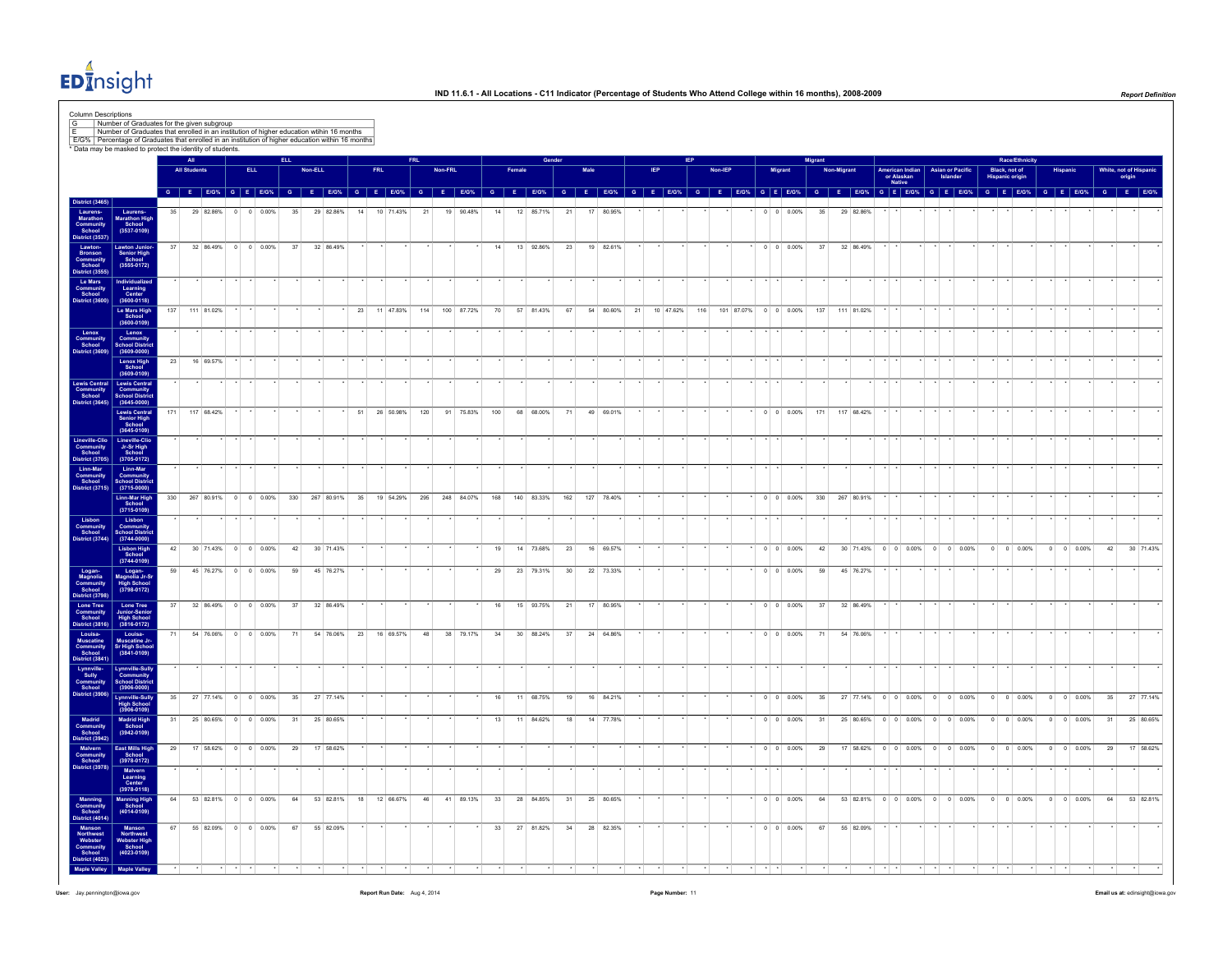

| <b>All Students</b><br><b>ELL</b><br>Non-ELL<br><b>Asian or Pacific</b><br>Black, not of<br>White, not of Hisp<br><b>American Indian</b><br>or Alaskan<br>Native<br><b>Hispanic origin</b><br>$G$   E   E/G%   G   E   E/G%   G   E   E/G%   G   E   E/G%   G   E   E/G%   G   E   E/G%   G   E   E/G%<br>G   E   E/G%   G   E   E/G%   G   E   E/G%   G   E   E/G%   G   E   E/G%   G   E   E/G%   G   E   E/G%   G   E   E/G%<br>G E E/G% G E E/G%<br>District (1990)<br>Laurens-<br>Laurens-<br>Marathon Community<br>School<br>Bronson<br>Bostocle<br>District (3555)<br>Le Mars<br>Community<br>School<br>District (3600)<br>District (3600)<br>Laurens-<br>Marathon High<br>School<br>(3537-0109)<br>29 82.86%<br>$0 \t 0 \t 0.00\%$<br>35<br>29 82.86%<br>14<br>10 71.43%<br>21<br>19 90.48%<br>12 85.71%<br>21<br>17 80.95%<br>$0 \t 0 \t 0.00\%$<br>35<br>29 82.86%<br>35<br>14<br>37<br>32 86.49% 0 0 0.00%<br>19 82.61%<br>32 86.49%<br>Lawton Junior<br>Senior High<br>School<br>(3555-0172)<br>37<br>32 86.49%<br>14<br>13 92.86%<br>23<br>$0 \quad 0 \quad 0.00\%$<br>37<br>Individualized<br>Learning<br>Center<br>(3600-0118)<br>Le Mars High<br>School<br>(3600-0109)<br>100 87.72%<br>116 101 87.07% 0 0 0.00%<br>137<br>111 81.02%<br>23<br>11 47.83%<br>114<br>70<br>57 81.43%<br>67<br>54 80.60%<br>21<br>10 47.62%<br>137<br>111 81.02%<br>Lenox<br>Community<br>School District<br>(3609-0000)<br>Lenox High<br>School<br>(3609-0109)<br>23<br>16 69.57%<br>Lewis Central<br>Community<br>School School District<br>District (3645) (3645-0000)<br>$(3645 - 0000)$<br>Lewis Central<br>Senior High<br>School<br>171 117 68.42%<br>51<br>26 50.98% 120 91 75.83%<br>100<br>68 68.00%<br>71<br>49 69.01%<br>$\cdot$ 0 0 0.00% 171 117 68.42%<br>$(3645 - 0109)$<br>Lineville-Clic<br>Jr-Sr High<br>School<br>(3705-0172)<br>Linn-Mar<br>Community<br>School Distric<br>$(3715 - 0000)$<br>Linn-Mar High<br>School<br>(3715-0109)<br>330<br>267 80.91% 0 0 0.00%<br>248 84.07%<br>162 127 78.40%<br>0 0 0.00% 330 267 80.91%<br>330<br>267 80.91%<br>35<br>19 54.29%<br>295<br>168<br>140 83.33%<br>Lisbon<br>Community Community<br>School School District<br>District (3744) (3744-0000)<br>Lisbon High<br>School<br>(3744-0109)<br>42<br>30 71.43% 0 0 0.00%<br>42<br>30 71.43%<br>19<br>14 73.68%<br>23<br>16 69.57%<br>$0 \t 0 \t 0.00\%$<br>42<br>30 71.43% 0 0 0.00% 0 0 0.00%<br>$0 \t 0 \t 0.00\%$<br>$0 \quad 0 \quad 0.00\%$<br>42<br>Logan-<br>Magnolia Jr-Sr<br>High School<br>(3798-0172)<br>59<br>45 76.27% 0 0 0.00%<br>22 73.33%<br>45 76.27%<br>59<br>45 76.27%<br>23 79.31%<br>30 <sup>°</sup><br>$0 \quad 0 \quad 0.00\%$<br>59<br>29<br>Lone Tree<br>Junior-Senior<br>High School<br>(3816-0172)<br>37<br>32 86.49% 0 0 0.00%<br>37<br>32 86.49%<br>16<br>15 93.75%<br>21<br>17 80.95%<br>$0 \t 0 \t 0.00\%$<br>37<br>32 86.49%<br>Louisa-<br>Muscatine Jr-<br>Sr High Schoo<br>71<br>54 76.06% 0 0 0.00%<br>71<br>54 76.06% 23 16 69.57%<br>48<br>38 79.17%<br>34<br>30 88.24%<br>37<br>24 64.86%<br>$0 \quad 0 \quad 0.00\%$<br>71<br>54 76.06%<br>$(3841 - 0109)$<br>Lynnville-Sully<br>Community<br>School Distric<br>(3906-0000)<br>Lynnville-Sully<br>High School<br>(3906-0109)<br>35 <sup>5</sup><br>27 77.14% 0 0 0.00%<br>27 77.14%<br>68.75%<br>16 84.21%<br>$0 \quad 0 \quad 0.00\%$<br>27 77.14% 0 0 0.00% 0 0 0.00%<br>$0 \t 0 \t 0.00\%$<br>$0 \t 0 \t 0.00\%$<br>35<br>35<br>16<br>11<br>19<br>35<br>Madrid High<br>School<br>25 80.65% 0 0 0.00%<br>25 80.65%<br>$0 \t 0 \t 0.00\%$<br>31<br>31<br>13<br>11 84.62%<br>18<br>14 77.78%<br>31<br>25 80.65% 0 0 0.00% 0 0 0.00%<br>$\circ$<br>$0 \t 0.00\%$<br>$0 \t 0 \t 0.00\%$<br>31<br>$(3942 - 0109)$<br>East Mills High<br>School<br>(3978-0172)<br>17 58.62% 0 0 0.00%<br>$0 \t 0 \t 0.00\%$<br>17 58.62% 0 0 0.00% 0 0 0.00%<br>$0$ 0 0.00%<br>29<br>29<br>29<br>17 58.62%<br>29<br>$0 \t 0 \t 0.00\%$<br>Malvern<br>Learning<br>Center<br>(3978-0118)<br>Manning High<br>School<br>(4014-0109)<br>53 82.81% 0 0 0.00%<br>64<br>64<br>53 82.81%<br>18<br>12 66.67%<br>41 89.13%<br>33<br>28 84.85%<br>25 80.65%<br>$0 \quad 0 \quad 0.00\%$<br>53 82.81% 0 0 0.00% 0 0 0.00%<br>$0 \t 0 \t 0.00\%$<br>$0 \t 0 \t 0.00\%$<br>64<br>46<br>31<br>64<br>Manson<br>Northwest<br>Webster High<br>School<br>(4023-0109)<br>67<br>55 82.09% 0 0 0.00%<br>67<br>55 82.09%<br>33<br>27 81.82%<br>34<br>28 82.35%<br>$\cdot$ 0 0 0.00%<br>67<br>55 82.09% |                                                                         |  | All |  | <b>ELL</b> |  | <b>FRL</b> | <b>FRL</b> | Non-FRL |  |  |  |  |  |  |  | Migrant |  |  |  |  | Race/Ethnicity |  |  |        |           |
|---------------------------------------------------------------------------------------------------------------------------------------------------------------------------------------------------------------------------------------------------------------------------------------------------------------------------------------------------------------------------------------------------------------------------------------------------------------------------------------------------------------------------------------------------------------------------------------------------------------------------------------------------------------------------------------------------------------------------------------------------------------------------------------------------------------------------------------------------------------------------------------------------------------------------------------------------------------------------------------------------------------------------------------------------------------------------------------------------------------------------------------------------------------------------------------------------------------------------------------------------------------------------------------------------------------------------------------------------------------------------------------------------------------------------------------------------------------------------------------------------------------------------------------------------------------------------------------------------------------------------------------------------------------------------------------------------------------------------------------------------------------------------------------------------------------------------------------------------------------------------------------------------------------------------------------------------------------------------------------------------------------------------------------------------------------------------------------------------------------------------------------------------------------------------------------------------------------------------------------------------------------------------------------------------------------------------------------------------------------------------------------------------------------------------------------------------------------------------------------------------------------------------------------------------------------------------------------------------------------------------------------------------------------------------------------------------------------------------------------------------------------------------------------------------------------------------------------------------------------------------------------------------------------------------------------------------------------------------------------------------------------------------------------------------------------------------------------------------------------------------------------------------------------------------------------------------------------------------------------------------------------------------------------------------------------------------------------------------------------------------------------------------------------------------------------------------------------------------------------------------------------------------------------------------------------------------------------------------------------------------------------------------------------------------------------------------------------------------------------------------------------------------------------------------------------------------------------------------------------------------------------------------------------------------------------------------------------------------------------------------------------------------------------------------------------------------------------------------------------------------------------------------------------------------------------------------------------------------------------------------------------------------------------------------------------------------------------------------------------------------------------------------------------------------------------------------------------|-------------------------------------------------------------------------|--|-----|--|------------|--|------------|------------|---------|--|--|--|--|--|--|--|---------|--|--|--|--|----------------|--|--|--------|-----------|
|                                                                                                                                                                                                                                                                                                                                                                                                                                                                                                                                                                                                                                                                                                                                                                                                                                                                                                                                                                                                                                                                                                                                                                                                                                                                                                                                                                                                                                                                                                                                                                                                                                                                                                                                                                                                                                                                                                                                                                                                                                                                                                                                                                                                                                                                                                                                                                                                                                                                                                                                                                                                                                                                                                                                                                                                                                                                                                                                                                                                                                                                                                                                                                                                                                                                                                                                                                                                                                                                                                                                                                                                                                                                                                                                                                                                                                                                                                                                                                                                                                                                                                                                                                                                                                                                                                                                                                                                                                                               |                                                                         |  |     |  |            |  |            |            |         |  |  |  |  |  |  |  |         |  |  |  |  |                |  |  | origin |           |
|                                                                                                                                                                                                                                                                                                                                                                                                                                                                                                                                                                                                                                                                                                                                                                                                                                                                                                                                                                                                                                                                                                                                                                                                                                                                                                                                                                                                                                                                                                                                                                                                                                                                                                                                                                                                                                                                                                                                                                                                                                                                                                                                                                                                                                                                                                                                                                                                                                                                                                                                                                                                                                                                                                                                                                                                                                                                                                                                                                                                                                                                                                                                                                                                                                                                                                                                                                                                                                                                                                                                                                                                                                                                                                                                                                                                                                                                                                                                                                                                                                                                                                                                                                                                                                                                                                                                                                                                                                                               | <b>District (3465)</b>                                                  |  |     |  |            |  |            |            |         |  |  |  |  |  |  |  |         |  |  |  |  |                |  |  |        |           |
|                                                                                                                                                                                                                                                                                                                                                                                                                                                                                                                                                                                                                                                                                                                                                                                                                                                                                                                                                                                                                                                                                                                                                                                                                                                                                                                                                                                                                                                                                                                                                                                                                                                                                                                                                                                                                                                                                                                                                                                                                                                                                                                                                                                                                                                                                                                                                                                                                                                                                                                                                                                                                                                                                                                                                                                                                                                                                                                                                                                                                                                                                                                                                                                                                                                                                                                                                                                                                                                                                                                                                                                                                                                                                                                                                                                                                                                                                                                                                                                                                                                                                                                                                                                                                                                                                                                                                                                                                                                               |                                                                         |  |     |  |            |  |            |            |         |  |  |  |  |  |  |  |         |  |  |  |  |                |  |  |        |           |
|                                                                                                                                                                                                                                                                                                                                                                                                                                                                                                                                                                                                                                                                                                                                                                                                                                                                                                                                                                                                                                                                                                                                                                                                                                                                                                                                                                                                                                                                                                                                                                                                                                                                                                                                                                                                                                                                                                                                                                                                                                                                                                                                                                                                                                                                                                                                                                                                                                                                                                                                                                                                                                                                                                                                                                                                                                                                                                                                                                                                                                                                                                                                                                                                                                                                                                                                                                                                                                                                                                                                                                                                                                                                                                                                                                                                                                                                                                                                                                                                                                                                                                                                                                                                                                                                                                                                                                                                                                                               |                                                                         |  |     |  |            |  |            |            |         |  |  |  |  |  |  |  |         |  |  |  |  |                |  |  |        |           |
|                                                                                                                                                                                                                                                                                                                                                                                                                                                                                                                                                                                                                                                                                                                                                                                                                                                                                                                                                                                                                                                                                                                                                                                                                                                                                                                                                                                                                                                                                                                                                                                                                                                                                                                                                                                                                                                                                                                                                                                                                                                                                                                                                                                                                                                                                                                                                                                                                                                                                                                                                                                                                                                                                                                                                                                                                                                                                                                                                                                                                                                                                                                                                                                                                                                                                                                                                                                                                                                                                                                                                                                                                                                                                                                                                                                                                                                                                                                                                                                                                                                                                                                                                                                                                                                                                                                                                                                                                                                               |                                                                         |  |     |  |            |  |            |            |         |  |  |  |  |  |  |  |         |  |  |  |  |                |  |  |        |           |
|                                                                                                                                                                                                                                                                                                                                                                                                                                                                                                                                                                                                                                                                                                                                                                                                                                                                                                                                                                                                                                                                                                                                                                                                                                                                                                                                                                                                                                                                                                                                                                                                                                                                                                                                                                                                                                                                                                                                                                                                                                                                                                                                                                                                                                                                                                                                                                                                                                                                                                                                                                                                                                                                                                                                                                                                                                                                                                                                                                                                                                                                                                                                                                                                                                                                                                                                                                                                                                                                                                                                                                                                                                                                                                                                                                                                                                                                                                                                                                                                                                                                                                                                                                                                                                                                                                                                                                                                                                                               |                                                                         |  |     |  |            |  |            |            |         |  |  |  |  |  |  |  |         |  |  |  |  |                |  |  |        |           |
|                                                                                                                                                                                                                                                                                                                                                                                                                                                                                                                                                                                                                                                                                                                                                                                                                                                                                                                                                                                                                                                                                                                                                                                                                                                                                                                                                                                                                                                                                                                                                                                                                                                                                                                                                                                                                                                                                                                                                                                                                                                                                                                                                                                                                                                                                                                                                                                                                                                                                                                                                                                                                                                                                                                                                                                                                                                                                                                                                                                                                                                                                                                                                                                                                                                                                                                                                                                                                                                                                                                                                                                                                                                                                                                                                                                                                                                                                                                                                                                                                                                                                                                                                                                                                                                                                                                                                                                                                                                               | Lenox<br>Community<br>School<br>District (3609)                         |  |     |  |            |  |            |            |         |  |  |  |  |  |  |  |         |  |  |  |  |                |  |  |        |           |
|                                                                                                                                                                                                                                                                                                                                                                                                                                                                                                                                                                                                                                                                                                                                                                                                                                                                                                                                                                                                                                                                                                                                                                                                                                                                                                                                                                                                                                                                                                                                                                                                                                                                                                                                                                                                                                                                                                                                                                                                                                                                                                                                                                                                                                                                                                                                                                                                                                                                                                                                                                                                                                                                                                                                                                                                                                                                                                                                                                                                                                                                                                                                                                                                                                                                                                                                                                                                                                                                                                                                                                                                                                                                                                                                                                                                                                                                                                                                                                                                                                                                                                                                                                                                                                                                                                                                                                                                                                                               |                                                                         |  |     |  |            |  |            |            |         |  |  |  |  |  |  |  |         |  |  |  |  |                |  |  |        |           |
|                                                                                                                                                                                                                                                                                                                                                                                                                                                                                                                                                                                                                                                                                                                                                                                                                                                                                                                                                                                                                                                                                                                                                                                                                                                                                                                                                                                                                                                                                                                                                                                                                                                                                                                                                                                                                                                                                                                                                                                                                                                                                                                                                                                                                                                                                                                                                                                                                                                                                                                                                                                                                                                                                                                                                                                                                                                                                                                                                                                                                                                                                                                                                                                                                                                                                                                                                                                                                                                                                                                                                                                                                                                                                                                                                                                                                                                                                                                                                                                                                                                                                                                                                                                                                                                                                                                                                                                                                                                               |                                                                         |  |     |  |            |  |            |            |         |  |  |  |  |  |  |  |         |  |  |  |  |                |  |  |        |           |
|                                                                                                                                                                                                                                                                                                                                                                                                                                                                                                                                                                                                                                                                                                                                                                                                                                                                                                                                                                                                                                                                                                                                                                                                                                                                                                                                                                                                                                                                                                                                                                                                                                                                                                                                                                                                                                                                                                                                                                                                                                                                                                                                                                                                                                                                                                                                                                                                                                                                                                                                                                                                                                                                                                                                                                                                                                                                                                                                                                                                                                                                                                                                                                                                                                                                                                                                                                                                                                                                                                                                                                                                                                                                                                                                                                                                                                                                                                                                                                                                                                                                                                                                                                                                                                                                                                                                                                                                                                                               |                                                                         |  |     |  |            |  |            |            |         |  |  |  |  |  |  |  |         |  |  |  |  |                |  |  |        |           |
|                                                                                                                                                                                                                                                                                                                                                                                                                                                                                                                                                                                                                                                                                                                                                                                                                                                                                                                                                                                                                                                                                                                                                                                                                                                                                                                                                                                                                                                                                                                                                                                                                                                                                                                                                                                                                                                                                                                                                                                                                                                                                                                                                                                                                                                                                                                                                                                                                                                                                                                                                                                                                                                                                                                                                                                                                                                                                                                                                                                                                                                                                                                                                                                                                                                                                                                                                                                                                                                                                                                                                                                                                                                                                                                                                                                                                                                                                                                                                                                                                                                                                                                                                                                                                                                                                                                                                                                                                                                               | Lineville-Clio<br>Community<br>School<br>District (3705)                |  |     |  |            |  |            |            |         |  |  |  |  |  |  |  |         |  |  |  |  |                |  |  |        |           |
|                                                                                                                                                                                                                                                                                                                                                                                                                                                                                                                                                                                                                                                                                                                                                                                                                                                                                                                                                                                                                                                                                                                                                                                                                                                                                                                                                                                                                                                                                                                                                                                                                                                                                                                                                                                                                                                                                                                                                                                                                                                                                                                                                                                                                                                                                                                                                                                                                                                                                                                                                                                                                                                                                                                                                                                                                                                                                                                                                                                                                                                                                                                                                                                                                                                                                                                                                                                                                                                                                                                                                                                                                                                                                                                                                                                                                                                                                                                                                                                                                                                                                                                                                                                                                                                                                                                                                                                                                                                               | Linn-Mar<br>Community<br>School<br>District (3715)                      |  |     |  |            |  |            |            |         |  |  |  |  |  |  |  |         |  |  |  |  |                |  |  |        |           |
|                                                                                                                                                                                                                                                                                                                                                                                                                                                                                                                                                                                                                                                                                                                                                                                                                                                                                                                                                                                                                                                                                                                                                                                                                                                                                                                                                                                                                                                                                                                                                                                                                                                                                                                                                                                                                                                                                                                                                                                                                                                                                                                                                                                                                                                                                                                                                                                                                                                                                                                                                                                                                                                                                                                                                                                                                                                                                                                                                                                                                                                                                                                                                                                                                                                                                                                                                                                                                                                                                                                                                                                                                                                                                                                                                                                                                                                                                                                                                                                                                                                                                                                                                                                                                                                                                                                                                                                                                                                               |                                                                         |  |     |  |            |  |            |            |         |  |  |  |  |  |  |  |         |  |  |  |  |                |  |  |        |           |
|                                                                                                                                                                                                                                                                                                                                                                                                                                                                                                                                                                                                                                                                                                                                                                                                                                                                                                                                                                                                                                                                                                                                                                                                                                                                                                                                                                                                                                                                                                                                                                                                                                                                                                                                                                                                                                                                                                                                                                                                                                                                                                                                                                                                                                                                                                                                                                                                                                                                                                                                                                                                                                                                                                                                                                                                                                                                                                                                                                                                                                                                                                                                                                                                                                                                                                                                                                                                                                                                                                                                                                                                                                                                                                                                                                                                                                                                                                                                                                                                                                                                                                                                                                                                                                                                                                                                                                                                                                                               |                                                                         |  |     |  |            |  |            |            |         |  |  |  |  |  |  |  |         |  |  |  |  |                |  |  |        |           |
|                                                                                                                                                                                                                                                                                                                                                                                                                                                                                                                                                                                                                                                                                                                                                                                                                                                                                                                                                                                                                                                                                                                                                                                                                                                                                                                                                                                                                                                                                                                                                                                                                                                                                                                                                                                                                                                                                                                                                                                                                                                                                                                                                                                                                                                                                                                                                                                                                                                                                                                                                                                                                                                                                                                                                                                                                                                                                                                                                                                                                                                                                                                                                                                                                                                                                                                                                                                                                                                                                                                                                                                                                                                                                                                                                                                                                                                                                                                                                                                                                                                                                                                                                                                                                                                                                                                                                                                                                                                               |                                                                         |  |     |  |            |  |            |            |         |  |  |  |  |  |  |  |         |  |  |  |  |                |  |  |        | 30 71.43% |
|                                                                                                                                                                                                                                                                                                                                                                                                                                                                                                                                                                                                                                                                                                                                                                                                                                                                                                                                                                                                                                                                                                                                                                                                                                                                                                                                                                                                                                                                                                                                                                                                                                                                                                                                                                                                                                                                                                                                                                                                                                                                                                                                                                                                                                                                                                                                                                                                                                                                                                                                                                                                                                                                                                                                                                                                                                                                                                                                                                                                                                                                                                                                                                                                                                                                                                                                                                                                                                                                                                                                                                                                                                                                                                                                                                                                                                                                                                                                                                                                                                                                                                                                                                                                                                                                                                                                                                                                                                                               | Logan-<br>Magnolia<br>Community<br>School<br>District (3798             |  |     |  |            |  |            |            |         |  |  |  |  |  |  |  |         |  |  |  |  |                |  |  |        |           |
|                                                                                                                                                                                                                                                                                                                                                                                                                                                                                                                                                                                                                                                                                                                                                                                                                                                                                                                                                                                                                                                                                                                                                                                                                                                                                                                                                                                                                                                                                                                                                                                                                                                                                                                                                                                                                                                                                                                                                                                                                                                                                                                                                                                                                                                                                                                                                                                                                                                                                                                                                                                                                                                                                                                                                                                                                                                                                                                                                                                                                                                                                                                                                                                                                                                                                                                                                                                                                                                                                                                                                                                                                                                                                                                                                                                                                                                                                                                                                                                                                                                                                                                                                                                                                                                                                                                                                                                                                                                               | Lone Tree<br>Community<br>School<br>District (3816)                     |  |     |  |            |  |            |            |         |  |  |  |  |  |  |  |         |  |  |  |  |                |  |  |        |           |
|                                                                                                                                                                                                                                                                                                                                                                                                                                                                                                                                                                                                                                                                                                                                                                                                                                                                                                                                                                                                                                                                                                                                                                                                                                                                                                                                                                                                                                                                                                                                                                                                                                                                                                                                                                                                                                                                                                                                                                                                                                                                                                                                                                                                                                                                                                                                                                                                                                                                                                                                                                                                                                                                                                                                                                                                                                                                                                                                                                                                                                                                                                                                                                                                                                                                                                                                                                                                                                                                                                                                                                                                                                                                                                                                                                                                                                                                                                                                                                                                                                                                                                                                                                                                                                                                                                                                                                                                                                                               | Louisa-<br>Muscatine<br>Community<br>School<br>District (3841)          |  |     |  |            |  |            |            |         |  |  |  |  |  |  |  |         |  |  |  |  |                |  |  |        |           |
|                                                                                                                                                                                                                                                                                                                                                                                                                                                                                                                                                                                                                                                                                                                                                                                                                                                                                                                                                                                                                                                                                                                                                                                                                                                                                                                                                                                                                                                                                                                                                                                                                                                                                                                                                                                                                                                                                                                                                                                                                                                                                                                                                                                                                                                                                                                                                                                                                                                                                                                                                                                                                                                                                                                                                                                                                                                                                                                                                                                                                                                                                                                                                                                                                                                                                                                                                                                                                                                                                                                                                                                                                                                                                                                                                                                                                                                                                                                                                                                                                                                                                                                                                                                                                                                                                                                                                                                                                                                               | Lynnville-<br>Sully<br>Community<br>School<br>District (3906)           |  |     |  |            |  |            |            |         |  |  |  |  |  |  |  |         |  |  |  |  |                |  |  |        |           |
|                                                                                                                                                                                                                                                                                                                                                                                                                                                                                                                                                                                                                                                                                                                                                                                                                                                                                                                                                                                                                                                                                                                                                                                                                                                                                                                                                                                                                                                                                                                                                                                                                                                                                                                                                                                                                                                                                                                                                                                                                                                                                                                                                                                                                                                                                                                                                                                                                                                                                                                                                                                                                                                                                                                                                                                                                                                                                                                                                                                                                                                                                                                                                                                                                                                                                                                                                                                                                                                                                                                                                                                                                                                                                                                                                                                                                                                                                                                                                                                                                                                                                                                                                                                                                                                                                                                                                                                                                                                               |                                                                         |  |     |  |            |  |            |            |         |  |  |  |  |  |  |  |         |  |  |  |  |                |  |  |        | 27 77.14% |
|                                                                                                                                                                                                                                                                                                                                                                                                                                                                                                                                                                                                                                                                                                                                                                                                                                                                                                                                                                                                                                                                                                                                                                                                                                                                                                                                                                                                                                                                                                                                                                                                                                                                                                                                                                                                                                                                                                                                                                                                                                                                                                                                                                                                                                                                                                                                                                                                                                                                                                                                                                                                                                                                                                                                                                                                                                                                                                                                                                                                                                                                                                                                                                                                                                                                                                                                                                                                                                                                                                                                                                                                                                                                                                                                                                                                                                                                                                                                                                                                                                                                                                                                                                                                                                                                                                                                                                                                                                                               | Madrid<br>Community<br>School<br>District (3942)                        |  |     |  |            |  |            |            |         |  |  |  |  |  |  |  |         |  |  |  |  |                |  |  |        | 25 80.65% |
|                                                                                                                                                                                                                                                                                                                                                                                                                                                                                                                                                                                                                                                                                                                                                                                                                                                                                                                                                                                                                                                                                                                                                                                                                                                                                                                                                                                                                                                                                                                                                                                                                                                                                                                                                                                                                                                                                                                                                                                                                                                                                                                                                                                                                                                                                                                                                                                                                                                                                                                                                                                                                                                                                                                                                                                                                                                                                                                                                                                                                                                                                                                                                                                                                                                                                                                                                                                                                                                                                                                                                                                                                                                                                                                                                                                                                                                                                                                                                                                                                                                                                                                                                                                                                                                                                                                                                                                                                                                               | Malvern<br>Community<br>School<br>District (3978)                       |  |     |  |            |  |            |            |         |  |  |  |  |  |  |  |         |  |  |  |  |                |  |  |        | 17 58.62% |
|                                                                                                                                                                                                                                                                                                                                                                                                                                                                                                                                                                                                                                                                                                                                                                                                                                                                                                                                                                                                                                                                                                                                                                                                                                                                                                                                                                                                                                                                                                                                                                                                                                                                                                                                                                                                                                                                                                                                                                                                                                                                                                                                                                                                                                                                                                                                                                                                                                                                                                                                                                                                                                                                                                                                                                                                                                                                                                                                                                                                                                                                                                                                                                                                                                                                                                                                                                                                                                                                                                                                                                                                                                                                                                                                                                                                                                                                                                                                                                                                                                                                                                                                                                                                                                                                                                                                                                                                                                                               |                                                                         |  |     |  |            |  |            |            |         |  |  |  |  |  |  |  |         |  |  |  |  |                |  |  |        |           |
|                                                                                                                                                                                                                                                                                                                                                                                                                                                                                                                                                                                                                                                                                                                                                                                                                                                                                                                                                                                                                                                                                                                                                                                                                                                                                                                                                                                                                                                                                                                                                                                                                                                                                                                                                                                                                                                                                                                                                                                                                                                                                                                                                                                                                                                                                                                                                                                                                                                                                                                                                                                                                                                                                                                                                                                                                                                                                                                                                                                                                                                                                                                                                                                                                                                                                                                                                                                                                                                                                                                                                                                                                                                                                                                                                                                                                                                                                                                                                                                                                                                                                                                                                                                                                                                                                                                                                                                                                                                               | Manning<br>Community<br>School<br>District (4014                        |  |     |  |            |  |            |            |         |  |  |  |  |  |  |  |         |  |  |  |  |                |  |  |        | 53 82.81% |
|                                                                                                                                                                                                                                                                                                                                                                                                                                                                                                                                                                                                                                                                                                                                                                                                                                                                                                                                                                                                                                                                                                                                                                                                                                                                                                                                                                                                                                                                                                                                                                                                                                                                                                                                                                                                                                                                                                                                                                                                                                                                                                                                                                                                                                                                                                                                                                                                                                                                                                                                                                                                                                                                                                                                                                                                                                                                                                                                                                                                                                                                                                                                                                                                                                                                                                                                                                                                                                                                                                                                                                                                                                                                                                                                                                                                                                                                                                                                                                                                                                                                                                                                                                                                                                                                                                                                                                                                                                                               | Manson<br>Northwest<br>Webster<br>Community<br>School<br>Istrict (4023) |  |     |  |            |  |            |            |         |  |  |  |  |  |  |  |         |  |  |  |  |                |  |  |        |           |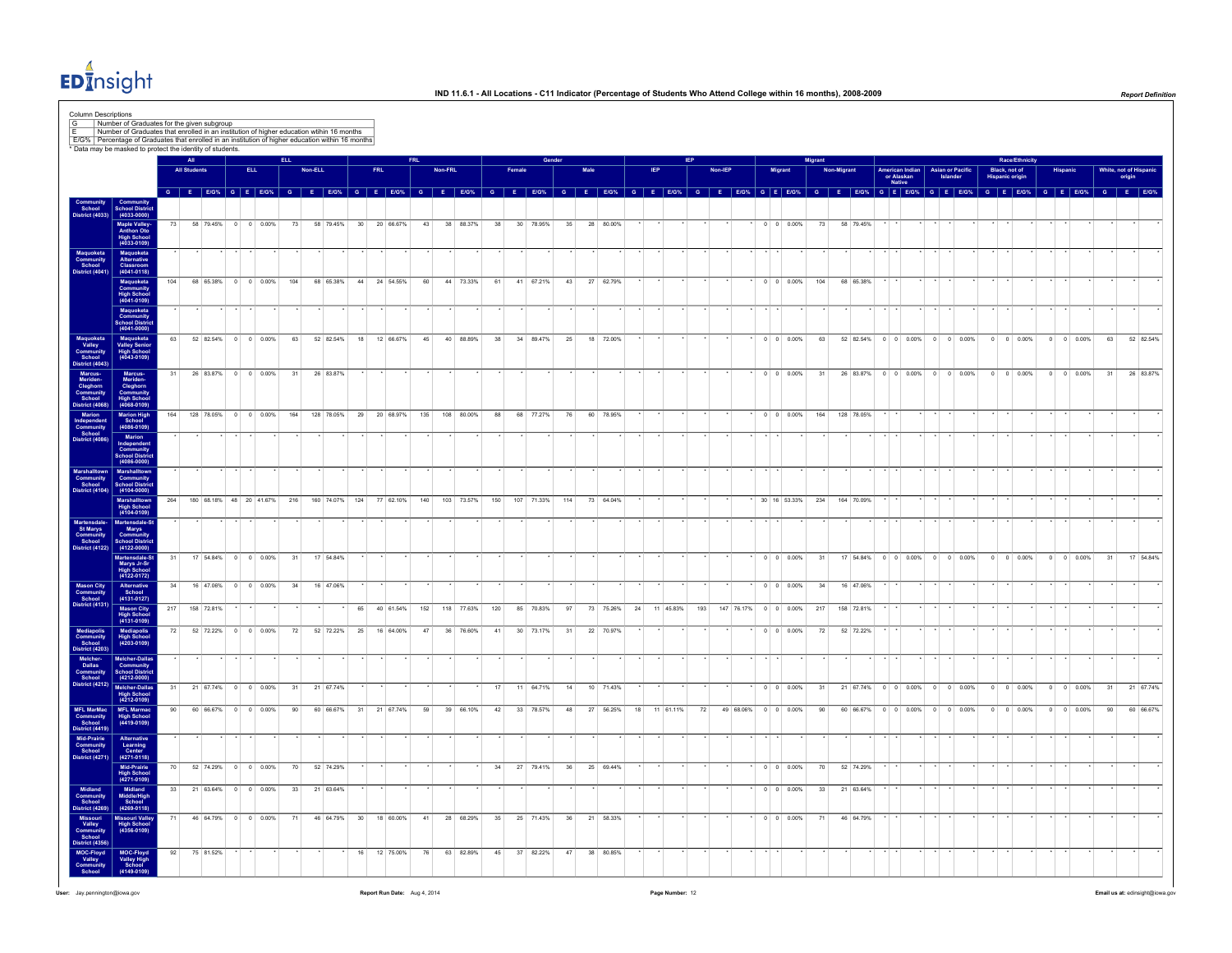

|                                                                    |                                                                            |     |                        |           |                             |                    |     |         |                                     |                 |     |              |     |         |            |     |                 |            |     |      |                   |    |           |               |            |  |                          | Migran         |             |                               |                                         |                                     |                       |                                         | Race/Ethnicity           |                |                          |    |        |                      |
|--------------------------------------------------------------------|----------------------------------------------------------------------------|-----|------------------------|-----------|-----------------------------|--------------------|-----|---------|-------------------------------------|-----------------|-----|--------------|-----|---------|------------|-----|-----------------|------------|-----|------|-------------------|----|-----------|---------------|------------|--|--------------------------|----------------|-------------|-------------------------------|-----------------------------------------|-------------------------------------|-----------------------|-----------------------------------------|--------------------------|----------------|--------------------------|----|--------|----------------------|
|                                                                    |                                                                            |     | <b>All Students</b>    |           |                             | <b>ELL</b>         |     | Non-ELL |                                     |                 | FRL |              |     | Non-FRL |            |     | Female          |            |     | Male |                   |    |           |               | Non-IEP    |  | Migran                   |                | Non-Migrant |                               | American Indian<br>or Alaskan<br>Native | <b>Asian or Pacific</b><br>Islander |                       | Black, not of<br><b>Hispanic origin</b> |                          |                | <b>Hispanio</b>          |    | origin | White, not of Hispan |
|                                                                    |                                                                            |     |                        |           |                             |                    |     |         | G E E/G% G E E/G% G E E/G% G E E/G% |                 |     |              |     |         | G E E/G%   |     |                 | G E E/G%   |     |      | G E E/G% G E E/G% |    |           | $ \mathbf{G}$ |            |  | $E$ E/G% G $E$ E/G%      | $\overline{a}$ |             | E E/G% G E E/G% G E E/G%      |                                         |                                     |                       |                                         | $G$ $F$ $F/G$ %          |                | G E E/G% G E E/G%        |    |        |                      |
| School                                                             | Community<br>School Distric<br>(4033-0000)                                 |     |                        |           |                             |                    |     |         |                                     |                 |     |              |     |         |            |     |                 |            |     |      |                   |    |           |               |            |  |                          |                |             |                               |                                         |                                     |                       |                                         |                          |                |                          |    |        |                      |
|                                                                    | Maple Valley<br>Anthon Oto<br>High School<br>(4033-0109)                   | 73  |                        | 58 79.45% |                             | $0 \t 0 \t 0.00\%$ | 73  |         | 58 79.45%                           | 30              |     | 20 66.67%    | 43  |         | 38 88.37%  | 38  |                 | 30 78.95%  | 35  |      | 28 80.00%         |    |           |               |            |  | $0 \quad 0 \quad 0.00\%$ | 73             |             | 58 79.45%                     |                                         |                                     |                       |                                         |                          |                |                          |    |        |                      |
| Maquoketa<br>Community<br>School<br>District (4041)                | Maquoketa<br>Alternative<br>Classroom<br>(4041-0118)                       |     |                        |           |                             |                    |     |         |                                     |                 |     |              |     |         |            |     |                 |            |     |      |                   |    |           |               |            |  |                          |                |             |                               |                                         |                                     |                       |                                         |                          |                |                          |    |        |                      |
|                                                                    | Maquoketa<br>Community<br>High School<br>(4041-0109)                       | 104 |                        |           | 68 65.38% 0 0 0.00% 104     |                    |     |         | 68 65.38% 44 24 54.55%              |                 |     |              | 60  |         | 44 73.33%  | 61  |                 | 41 67.21%  |     |      | 43 27 62.79%      |    |           |               |            |  | $0 \quad 0 \quad 0.00\%$ | 104            |             | 68 65.38%                     |                                         |                                     |                       |                                         |                          |                |                          |    |        |                      |
|                                                                    | Maquoketa<br>Community<br>ol Dis<br>(4041-0000)                            |     |                        |           |                             |                    |     |         |                                     |                 |     |              |     |         |            |     |                 |            |     |      |                   |    |           |               |            |  |                          |                |             |                               |                                         |                                     |                       |                                         |                          |                |                          |    |        |                      |
| Maquoketa<br>Valley<br>Community<br>School<br>District (4043       | Maquoketa<br>Valley Senior<br>High School<br>(4043-0109)                   | 63  |                        | 52 82.54% | $0 \t 0 \t 0.00\%$          |                    | 63  |         | 52 82.54%                           | 18              |     | 12 66.67%    | 45  |         | 40 88.89%  | 38  |                 | 34 89.47%  | 25  |      | 18 72.00%         |    |           |               |            |  | $0 \t 0 \t 0.00\%$       | 63             |             | 52 82.54% 0 0 0.00% 0 0 0.00% |                                         |                                     |                       |                                         | $0 \t 0 \t 0.00\%$       | $\overline{0}$ | $0 \t 0.00\%$            |    | 63     | 52 82.54%            |
|                                                                    |                                                                            | 31  |                        |           | 26 83.87% 0 0 0.00%         |                    | 31  |         | 26 83.87%                           |                 |     |              |     |         |            |     |                 |            |     |      |                   |    |           |               |            |  | $0 \quad 0 \quad 0.00\%$ | 31             |             | 26 83.87%                     |                                         |                                     | $0$ 0 0.00% 0 0 0.00% |                                         | $0 \ 0 \ 0.00\%$         | $\overline{0}$ | $0 \ 0.00\%$             | 31 |        | 26 83.87%            |
| Marcus<br>Meriden-Cleghorn<br>Community<br>School<br>Jistrict (406 | Marcus-<br>Meriden-<br>Cleghorn<br>Community<br>High School<br>(4068-0109) |     |                        |           |                             |                    |     |         |                                     |                 |     |              |     |         |            |     |                 |            |     |      |                   |    |           |               |            |  |                          |                |             |                               |                                         |                                     |                       |                                         |                          |                |                          |    |        |                      |
| Marion<br>Independent<br>Community<br>School<br>District (4086)    | Marion High<br>School<br>(4086-0109)                                       | 164 |                        |           | 128 78.05% 0 0 0.00%        |                    | 164 |         | 128 78.05%                          |                 |     | 29 20 68.97% | 135 |         | 108 80.00% | 88  |                 | 68 77.27%  | 76  |      | 60 78.95%         |    |           |               |            |  | $0 \quad 0 \quad 0.00\%$ | 164            |             | 128 78.05%                    |                                         |                                     |                       |                                         |                          |                |                          |    |        |                      |
|                                                                    | Marion<br>Independent<br>Community<br>School Distric<br>(4086-0000)        |     |                        |           |                             |                    |     |         |                                     |                 |     |              |     |         |            |     |                 |            |     |      |                   |    |           |               |            |  |                          |                |             |                               |                                         |                                     |                       |                                         |                          |                |                          |    |        |                      |
| Marshalltown<br>Community<br>School<br>District (4104)             | Marshalltown<br>Community<br>School Distric<br>(4104-0000)                 |     |                        |           |                             |                    |     |         |                                     |                 |     |              |     |         |            |     |                 |            |     |      |                   |    |           |               |            |  |                          |                |             |                               |                                         |                                     |                       |                                         |                          |                |                          |    |        |                      |
|                                                                    | Marshalltown<br>High School<br>(4104-0109)                                 | 264 |                        |           | 180 68.18% 48 20 41.67% 216 |                    |     |         | 160 74.07% 124 77 62.10%            |                 |     |              | 140 |         | 103 73.57% | 150 |                 | 107 71.33% | 114 |      | 73 64.04%         |    |           |               |            |  | 30 16 53.33% 234         |                |             | 164 70.09%                    |                                         |                                     |                       |                                         |                          |                |                          |    |        |                      |
| Martensdale-<br>St Marys<br>Community<br>School<br>District (4122) | Martensdale-St<br>Marys<br>Community<br>School District<br>(4122-0000)     |     |                        |           |                             |                    |     |         |                                     |                 |     |              |     |         |            |     |                 |            |     |      |                   |    |           |               |            |  |                          |                |             |                               |                                         |                                     |                       |                                         |                          |                |                          |    |        |                      |
|                                                                    | Martensdale-St<br>Marys Jr-Sr<br>High School<br>(4122-0172)                | 31  |                        |           | 17 54.84% 0 0 0.00%         |                    | 31  |         | 17 54.84%                           |                 |     |              |     |         |            |     |                 |            |     |      |                   |    |           |               |            |  | $0 \quad 0 \quad 0.00\%$ | 31             |             | 17 54.84% 0 0 0.00% 0 0 0.00% |                                         |                                     |                       |                                         | $0 \quad 0 \quad 0.00\%$ |                | $0 \t 0 \t 0.00\%$       | 31 |        | 17 54.84%            |
| Mason City<br>Community<br>School                                  | Alternative<br>School<br>(4131-0127)                                       | 34  |                        |           | 16 47 06% 0 0 0 0 0 0 %     |                    | 34  |         | 16 47 06%                           |                 |     |              |     |         |            |     |                 |            |     |      |                   |    |           |               |            |  | $0 \quad 0 \quad 0.00\%$ | 34             |             | 16 47 06%                     |                                         |                                     |                       |                                         |                          |                |                          |    |        |                      |
| District (4131)                                                    | Mason City<br>High School<br>(4131-0109)                                   | 217 | 158 72.81%             |           |                             |                    |     |         |                                     | 65              |     | 40 61.54%    | 152 |         | 118 77.63% | 120 |                 | 85 70.83%  | 97  |      | 73 75.26%         | 24 | 11 45.83% | 193           | 147 76.17% |  | $0 \quad 0 \quad 0.00\%$ | 217            |             | 158 72.81%                    |                                         |                                     |                       |                                         |                          |                |                          |    |        |                      |
| Mediapolis<br>Community<br>School<br>strict (4203)                 | Mediapolis<br>High School<br>(4203-0109)                                   | 72  |                        | 52 72.22% | $\overline{0}$              | $0 0.00\%$         | 72  |         | 52 72.22%                           | 25              |     | 16 64.00%    | 47  |         | 36 76.60%  | 41  | 30 <sup>1</sup> | 73.17%     | 31  |      | 22 70.97%         |    |           |               |            |  | $0 \t 0 \t 0.00\%$       | 72             |             | 52 72.22%                     |                                         |                                     |                       |                                         |                          |                |                          |    |        |                      |
| Melcher-<br>Dallas<br>Community<br>School<br>District (4212)       | Melcher-Dallas<br>Community<br>School Distric<br>(4212-0000)               |     |                        |           |                             |                    |     |         |                                     |                 |     |              |     |         |            |     |                 |            |     |      |                   |    |           |               |            |  |                          |                |             |                               |                                         |                                     |                       |                                         |                          |                |                          |    |        |                      |
|                                                                    | Melcher-Dallas<br>High School<br>(4212-0109)                               | 31  |                        |           | 21 67.74% 0 0 0.00%         |                    | 31  |         | 21 67.74%                           |                 |     |              |     |         |            | 17  |                 | 11 64.71%  | 14  |      | 10 71.43%         |    |           |               |            |  | $\cdot$ 0 0 0.00%        | 31             |             | 21 67.74% 0 0 0.00% 0 0 0.00% |                                         |                                     |                       |                                         | $0 \quad 0 \quad 0.00\%$ |                | $0 \quad 0 \quad 0.00\%$ |    | 31     | 21 67.74%            |
| MFL MarMac<br>Community<br>School<br>District (4419)               | MFL Marmac<br>High School<br>(4419-0109)                                   | 90  |                        |           | 60 66.67% 0 0 0.00%         |                    | 90  |         | 60 66.67%                           |                 |     | 31 21 67.74% | 59  |         | 39 66.10%  | 42  |                 | 33 78.57%  | 48  |      | 27 56.25%         | 18 | 11 61.11% | 72            |            |  | 49 68.06% 0 0 0.00%      | 90             |             | 60 66.67%                     | $0 \quad 0 \quad 0.00\%$                |                                     | $0 \t 0 \t 0.00\%$    |                                         | $0 \t 0 \t 0.00\%$       |                | $0 \t 0 \t 0.00\%$       | 90 |        | 60 66,67%            |
| Mid-Prairie<br>Community<br>School<br>District (4271)              | Alternative<br>Learning<br>Center<br>$(4271 - 0118)$                       |     |                        |           |                             |                    |     |         |                                     |                 |     |              |     |         |            |     |                 |            |     |      |                   |    |           |               |            |  |                          |                |             |                               |                                         |                                     |                       |                                         |                          |                |                          |    |        |                      |
|                                                                    | Mid-Prairie<br>High School<br>(4271-0109)                                  | 70  |                        |           | 52 74.29% 0 0 0.00%         |                    | 70  |         | 52 74.29%                           |                 |     |              |     |         |            | 34  |                 | 27 79.41%  | 36  |      | 25 69.44%         |    |           |               |            |  | $0 \t 0 \t 0.00\%$       | 70             |             | 52 74.29%                     |                                         |                                     |                       |                                         |                          |                |                          |    |        |                      |
| Midland<br>Community<br>School<br>District (4269                   | Midland<br>Middle/High<br>School<br>$(4269 - 0118)$                        |     | 33 21 63.64% 0 0 0.00% |           |                             |                    | 33  |         | 21 63.64%                           |                 |     |              |     |         |            |     |                 |            |     |      |                   |    |           |               |            |  | $0 \quad 0 \quad 0.00\%$ | 33             |             | 21 63.64%                     |                                         |                                     |                       |                                         |                          |                |                          |    |        |                      |
| Missouri<br>Valley<br>Community<br>School                          | Missouri Valley<br>High School<br>(4356-0109)                              | 71  |                        |           | 46 64.79% 0 0 0.00%         |                    | 71  |         | 46 64.79%                           | 30 <sup>1</sup> |     | 18 60.00%    | 41  |         | 28 68.29%  | 35  |                 | 25 71.43%  | 36  |      | 21 58.33%         |    |           |               |            |  | $0 \t 0 \t 0.00\%$       | 71             |             | 46 64.79%                     |                                         |                                     |                       |                                         |                          |                |                          |    |        |                      |
| istrict (4356                                                      |                                                                            |     |                        |           |                             |                    |     |         |                                     |                 |     |              |     |         |            |     |                 |            |     |      |                   |    |           |               |            |  |                          |                |             |                               |                                         |                                     |                       |                                         |                          |                |                          |    |        |                      |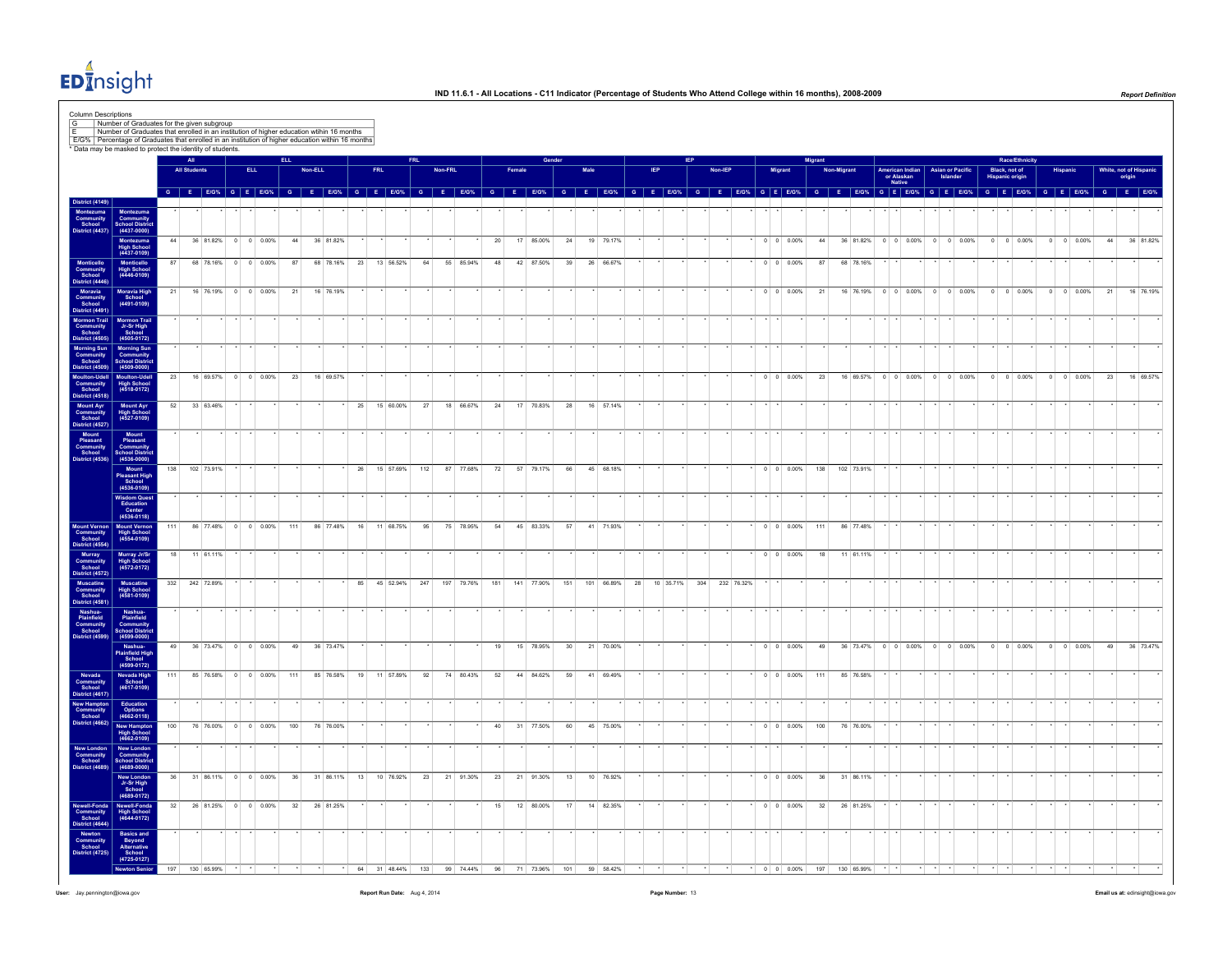

|                                                                                                                   | Number of Graduates for the given subgroup<br>Number of Graduates that enrolled in an institution of higher education wtihin 16 months<br>E/G%   Percentage of Graduates that enrolled in an institution of higher education within 16 months |     |                     |                        |                    |     |         |                                     |    |              |           |                 |         |            |     |    |                 |                 |      |                 |                 |           |     |         |            |         |                          |         |            |            |                      |                 |                                            |                                  |                       |                    |    |                               |           |
|-------------------------------------------------------------------------------------------------------------------|-----------------------------------------------------------------------------------------------------------------------------------------------------------------------------------------------------------------------------------------------|-----|---------------------|------------------------|--------------------|-----|---------|-------------------------------------|----|--------------|-----------|-----------------|---------|------------|-----|----|-----------------|-----------------|------|-----------------|-----------------|-----------|-----|---------|------------|---------|--------------------------|---------|------------|------------|----------------------|-----------------|--------------------------------------------|----------------------------------|-----------------------|--------------------|----|-------------------------------|-----------|
|                                                                                                                   | * Data may be masked to protect the identity of students.                                                                                                                                                                                     |     |                     |                        |                    |     |         |                                     |    |              |           |                 |         |            |     |    |                 |                 |      |                 |                 |           |     |         |            |         |                          |         |            |            |                      |                 |                                            |                                  | <b>Race/Ethnicity</b> |                    |    |                               |           |
|                                                                                                                   |                                                                                                                                                                                                                                               |     | <b>All Students</b> |                        | <b>ELL</b>         |     | Non-ELL |                                     |    | <b>FRL</b>   |           |                 | Non-FRL |            |     |    |                 |                 | Male |                 |                 |           |     | Non-IEP |            |         | Migrant                  | digrant | Non-Migran |            | or Alaskan<br>Native | American Indian | <b>Asian or Pacific</b><br><b>Islander</b> | Black, not of<br>Hispanic origin |                       |                    |    | White, not of Hispa<br>origin |           |
|                                                                                                                   |                                                                                                                                                                                                                                               |     |                     |                        |                    |     |         | G E E/G% G E E/G% G E E/G% G E E/G% |    |              |           | $G$ $E$ $E/G$ % |         |            |     |    | $G$ $F$ $F/G$ % |                 |      | $G$ $E$ $E/G$ % | $G$ $E$ $E/G$ % |           |     |         |            |         | G E E/G% G E E/G%        |         |            |            |                      |                 | $G$ E E/G% G E E/G% G E E/G%               | $G$ $E$ $E/G$ %                  |                       | G E E/G% G E E/G%  |    |                               |           |
| District (4149)<br>Montezuma<br>Community<br>School<br>District (4437)                                            | Montezuma<br>Community<br>School Distric<br>(4437-0000)                                                                                                                                                                                       |     |                     |                        |                    |     |         |                                     |    |              |           |                 |         |            |     |    |                 |                 |      |                 |                 |           |     |         |            |         |                          |         |            |            |                      |                 |                                            |                                  |                       |                    |    |                               |           |
|                                                                                                                   | Montezuma<br>High School<br>(4437-0109)                                                                                                                                                                                                       | 44  |                     | 36 81.82% 0 0 0.00%    |                    | 44  |         | 36 81.82%                           |    |              |           |                 |         |            | 20  |    | 17 85.00%       | 24              |      | 19 79.17%       |                 |           |     |         |            |         | $0 \t 0 \t 0.00\%$       | 44      |            |            |                      |                 | 36 81.82% 0 0 0.00% 0 0 0.00%              |                                  | $0 \t 0 \t 0.00\%$    | $0 \t 0 \t 0.00\%$ | 44 |                               | 36 81.82% |
|                                                                                                                   | Monticello<br>High School<br>(4446-0109)                                                                                                                                                                                                      | 87  |                     | 68 78.16% 0 0 0.00%    |                    | 87  |         | 68 78.16% 23 13 56.52%              |    |              |           | 64              |         | 55 85.94%  | 48  |    | 42 87.50%       | 39              |      | 26 66.67%       |                 |           |     |         |            |         | $0 \quad 0 \quad 0.00\%$ | 87      |            | 68 78.16%  |                      |                 |                                            |                                  |                       |                    |    |                               |           |
| Monticello<br>Community<br>School<br>District (4446                                                               | Moravia High<br>School                                                                                                                                                                                                                        | 21  |                     | 16 76.19% 0 0 0.00%    |                    | 21  |         | 16 76.19%                           |    |              |           |                 |         |            |     |    |                 |                 |      |                 |                 |           |     |         |            |         | $0 \t 0 \t 0.00\%$       | 21      |            |            |                      |                 | 16 76.19% 0 0 0.00% 0 0 0.00%              | $0 \t 0 \t 0.00\%$               |                       | $0 \t 0 \t 0.00\%$ | 21 |                               | 16 76.19% |
| Moravia<br>Community<br>School<br>District (4491)                                                                 | $(4491 - 0109)$                                                                                                                                                                                                                               |     |                     |                        |                    |     |         |                                     |    |              |           |                 |         |            |     |    |                 |                 |      |                 |                 |           |     |         |            |         |                          |         |            |            |                      |                 |                                            |                                  |                       |                    |    |                               |           |
| Mormon Trail<br>Community<br>School<br>District (4505                                                             | Mormon Trail<br>Jr-Sr High<br>School<br>(4505-0172)                                                                                                                                                                                           |     |                     |                        |                    |     |         |                                     |    |              |           |                 |         |            |     |    |                 |                 |      |                 |                 |           |     |         |            |         |                          |         |            |            |                      |                 |                                            |                                  |                       |                    |    |                               |           |
| Morning Sun<br>Community<br>School                                                                                | Morning Sun<br>Community<br>School District                                                                                                                                                                                                   |     |                     |                        |                    |     |         |                                     |    |              |           |                 |         |            |     |    |                 |                 |      |                 |                 |           |     |         |            |         |                          |         |            |            |                      |                 |                                            |                                  |                       |                    |    |                               |           |
| <b>District (4509)</b><br>Moulton-Udell<br>Community<br>School                                                    | $(4509 - 0000)$<br>Moulton-Udell<br>High School<br>(4518-0172)                                                                                                                                                                                | 23  |                     | 16 69.57% 0 0 0.00%    |                    | 23  |         | 16 69.57%                           |    |              |           |                 |         |            |     |    |                 |                 |      |                 |                 |           |     |         |            |         | $0 \quad 0 \quad 0.00\%$ | 23      |            |            |                      |                 | 16 69.57% 0 0 0.00% 0 0 0.00%              | $0 \t 0 \t 0.00\%$               |                       | $0 \t 0 \t 0.00\%$ | 23 |                               | 16 69.57% |
| District (4518)<br>Mount Ayr<br>Community<br>School<br>District (4527)                                            | Mount Ayr<br>High School<br>(4527-0109)                                                                                                                                                                                                       | 52  |                     | 33 63.46%              |                    |     |         |                                     | 25 |              | 15 60.00% | 27              |         | 18 66.67%  | 24  |    | 17 70.83%       | 28              |      | 16 57.14%       |                 |           |     |         |            |         |                          |         |            |            |                      |                 |                                            |                                  |                       |                    |    |                               |           |
|                                                                                                                   |                                                                                                                                                                                                                                               |     |                     |                        |                    |     |         |                                     |    |              |           |                 |         |            |     |    |                 |                 |      |                 |                 |           |     |         |            |         |                          |         |            |            |                      |                 |                                            |                                  |                       |                    |    |                               |           |
| Mount<br>Pleasant<br>Community<br>School<br>District (4536)                                                       | Mount<br>Pleasant<br>Community<br>School Distric<br>(4536-0000)                                                                                                                                                                               |     |                     |                        |                    |     |         |                                     |    |              |           |                 |         |            |     |    |                 |                 |      |                 |                 |           |     |         |            |         |                          |         |            |            |                      |                 |                                            |                                  |                       |                    |    |                               |           |
|                                                                                                                   | Mount<br>Pleasant High<br>School<br>(4536-0109)                                                                                                                                                                                               | 138 |                     | 102 73.91%             |                    |     |         |                                     | 26 |              | 15 57.69% | 112             |         | 87 77.68%  | 72  |    | 57 79.17%       | 66              |      | 45 68.18%       |                 |           |     |         |            |         | $0 \t 0 \t 0.00\%$       | 138     |            | 102 73.91% |                      |                 |                                            |                                  |                       |                    |    |                               |           |
|                                                                                                                   | <b>Wisdom Quest</b><br>Education<br>Center                                                                                                                                                                                                    |     |                     |                        |                    |     |         |                                     |    |              |           |                 |         |            |     |    |                 |                 |      |                 |                 |           |     |         |            |         |                          |         |            |            |                      |                 |                                            |                                  |                       |                    |    |                               |           |
| Mount Vernon<br>Community<br>School<br>District (4554)                                                            | $(4536 - 0118)$<br>Mount Vernon<br>High School<br>(4554-0109)                                                                                                                                                                                 | 111 |                     | 86 77.48% 0 0 0.00%    |                    | 111 |         | 86 77.48%                           |    | 16 11 68.75% |           | 95              |         | 75 78.95%  | 54  |    | 45 83.33%       | 57              |      | 41 71.93%       |                 |           |     |         |            |         | $0 \quad 0 \quad 0.00\%$ | 111     |            | 86 77.48%  |                      |                 |                                            |                                  |                       |                    |    |                               |           |
|                                                                                                                   |                                                                                                                                                                                                                                               | 18  |                     | 11 61.11%              |                    |     |         |                                     |    |              |           |                 |         |            |     |    |                 |                 |      |                 |                 |           |     |         |            |         | $\cdot$ 0 0 0.00%        |         | 18         | 11 61.11%  |                      |                 |                                            |                                  |                       |                    |    |                               |           |
|                                                                                                                   | Murray Jr/Sr<br>High School<br>(4572-0172)                                                                                                                                                                                                    |     |                     | 332 242 72.89%         |                    |     |         |                                     | 85 |              | 45 52.94% | 247             |         | 197 79.76% | 181 |    | 141 77.90%      | 151             |      | 101 66.89%      | 28              | 10 35.71% | 304 |         | 232 76.32% |         |                          |         |            |            |                      |                 |                                            |                                  |                       |                    |    |                               |           |
| Murray<br>Murray<br>Community<br>School<br>District (4572)<br>Muscatine<br>Community<br>School<br>District (4581) | Muscatine<br>High School<br>(4581-0109)                                                                                                                                                                                                       |     |                     |                        |                    |     |         |                                     |    |              |           |                 |         |            |     |    |                 |                 |      |                 |                 |           |     |         |            |         |                          |         |            |            |                      |                 |                                            |                                  |                       |                    |    |                               |           |
| Nashua-<br>Plainfield<br>Community<br>School<br>District (4599)                                                   | Nashua-<br>Plainfield<br>Community<br>School Distric<br>(4599-0000)                                                                                                                                                                           |     |                     |                        |                    |     |         |                                     |    |              |           |                 |         |            |     |    |                 |                 |      |                 |                 |           |     |         |            |         |                          |         |            |            |                      |                 |                                            |                                  |                       |                    |    |                               |           |
|                                                                                                                   | Nashua-<br>Plainfield High<br>School<br>(4599-0172)                                                                                                                                                                                           | 49  |                     | 36 73.47% 0 0 0.00%    |                    | 49  |         | 36 73.47%                           |    |              |           |                 |         |            | 19  |    | 15 78.95%       | 30 <sup>°</sup> |      | 21 70.00%       |                 |           |     |         |            |         | $0 \t 0 \t 0.00\%$       | 49      |            |            |                      |                 | 36 73.47% 0 0 0.00% 0 0 0.00%              | $0$ 0 0.00%                      |                       | $0 \t 0 \t 0.00\%$ | 49 |                               | 36 73.47% |
|                                                                                                                   |                                                                                                                                                                                                                                               | 111 |                     | 85 76.58% 0 0 0.00%    |                    | 111 |         | 85 76.58%                           | 19 |              | 11 57.89% | 92              |         | 74 80.43%  | 52  |    | 44 84.62%       | 59              |      | 41 69.49%       |                 |           |     |         |            |         | $0 \quad 0 \quad 0.00\%$ | 111     |            | 85 76.58%  |                      |                 |                                            |                                  |                       |                    |    |                               |           |
| Nevada<br>Community<br>School<br>District (4617)                                                                  | Nevada High<br>School<br>(4617-0109)                                                                                                                                                                                                          |     |                     |                        |                    |     |         |                                     |    |              |           |                 |         |            |     |    |                 |                 |      |                 |                 |           |     |         |            |         |                          |         |            |            |                      |                 |                                            |                                  |                       |                    |    |                               |           |
| New Hampton<br>Community<br>School<br>District (4662)                                                             | Education<br>Options<br>(4662-0118)                                                                                                                                                                                                           | 100 |                     | 76 76,00%              | $0 \t 0 \t 0.00\%$ | 100 |         | 76 76,00%                           |    |              |           |                 |         |            |     |    | 31 77.50%       |                 |      | 45 75.00%       |                 |           |     |         |            | $\cdot$ | $0 \quad 0 \quad 0.00\%$ | 100     |            | 76 76,00%  |                      |                 |                                            |                                  |                       |                    |    |                               |           |
| New London                                                                                                        | New Hampton<br>High School<br>(4662-0109)                                                                                                                                                                                                     |     |                     |                        |                    |     |         |                                     |    |              |           |                 |         |            | 40  |    |                 | 60              |      |                 |                 |           |     |         |            |         |                          |         |            |            |                      |                 |                                            |                                  |                       |                    |    |                               |           |
| Community<br>School<br>District (4689)                                                                            | New London<br>Community<br>School Distric<br>(4689-0000)                                                                                                                                                                                      |     |                     |                        |                    |     |         |                                     |    |              |           |                 |         |            |     |    |                 |                 |      |                 |                 |           |     |         |            |         |                          |         |            |            |                      |                 |                                            |                                  |                       |                    |    |                               |           |
|                                                                                                                   | New London<br>Jr-Sr High<br>School<br>(4689-0172)                                                                                                                                                                                             | 36  |                     | 31 86.11% 0 0 0.00%    |                    | 36  |         | 31 86.11%                           | 13 |              | 10 76.92% | 23              |         | 21 91.30%  | 23  |    | 21 91.30%       | 13              |      | 10 76.92%       |                 |           |     |         |            |         | $0 \quad 0 \quad 0.00\%$ | 36      |            | 31 86.11%  |                      |                 |                                            |                                  |                       |                    |    |                               |           |
| Newell-Fonda<br>Community<br>School<br>District (4644)                                                            | Newell-Fonda<br>High School<br>(4644-0172)                                                                                                                                                                                                    |     |                     | 32 26 81.25% 0 0 0.00% |                    | 32  |         | 26 81.25%                           |    |              |           |                 |         |            | 15  |    | 12 80.00%       | 17              |      | 14 82.35%       |                 |           |     |         |            |         | $0 \quad 0 \quad 0.00\%$ | 32      |            | 26 81.25%  |                      |                 |                                            |                                  |                       |                    |    |                               |           |
| Newton<br>Community<br>School<br>istrict (4725)                                                                   |                                                                                                                                                                                                                                               |     |                     |                        |                    |     |         |                                     |    |              |           |                 |         |            |     |    |                 |                 |      |                 |                 |           |     |         |            |         |                          |         |            |            |                      |                 |                                            |                                  |                       |                    |    |                               |           |
|                                                                                                                   | Basics and<br>Beyond<br>Alternative<br>School<br>(4725-0127)<br><b>Newton Senio</b>                                                                                                                                                           |     |                     | 130 65.99%             |                    |     |         |                                     |    |              | 31 48.44% | 133             | 99      | 74 44%     | 96  | 71 |                 | 101             |      | 59 58.42%       |                 |           |     |         |            |         | $0 \quad 0 \quad 0.00\%$ |         |            | 130 65.99% |                      |                 |                                            |                                  |                       |                    |    |                               |           |
|                                                                                                                   |                                                                                                                                                                                                                                               | 197 |                     |                        |                    |     |         |                                     | 64 |              |           |                 |         |            |     |    | 73.96%          |                 |      |                 |                 |           |     |         |            |         |                          | 197     |            |            |                      |                 |                                            |                                  |                       |                    |    |                               |           |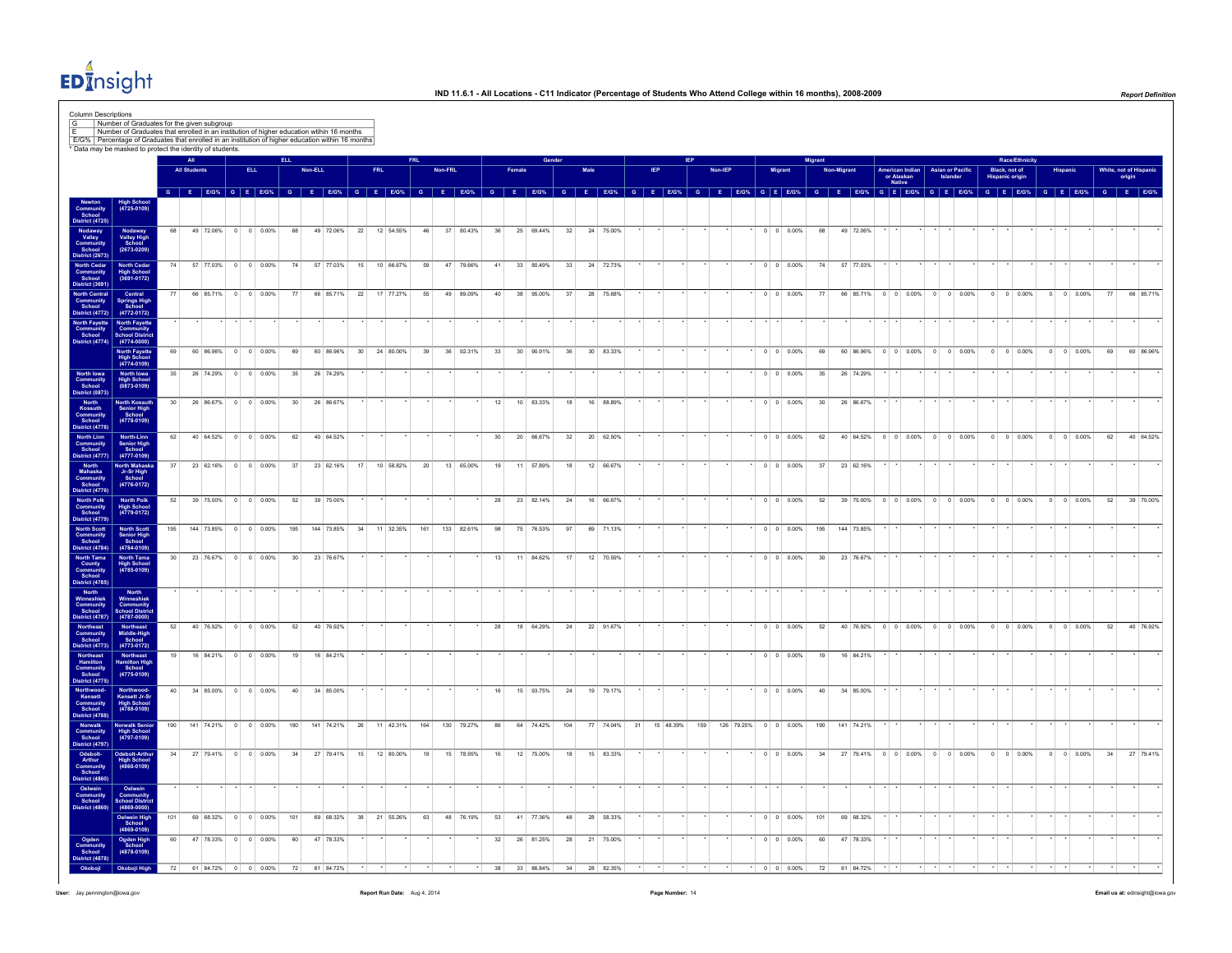

|                                                                                                                                                                                                                                         |                                                                                         |                 |                     |           |                      |                     |                 |         |            |                                     |            |              |                |         |               |                 |                 |           |          |              |                   |           |          |         |            |                          | Migrant         |            |                     |                                         |         |                                     |                                         | Race/Ethnicity     |         |                    |    |        |                     |
|-----------------------------------------------------------------------------------------------------------------------------------------------------------------------------------------------------------------------------------------|-----------------------------------------------------------------------------------------|-----------------|---------------------|-----------|----------------------|---------------------|-----------------|---------|------------|-------------------------------------|------------|--------------|----------------|---------|---------------|-----------------|-----------------|-----------|----------|--------------|-------------------|-----------|----------|---------|------------|--------------------------|-----------------|------------|---------------------|-----------------------------------------|---------|-------------------------------------|-----------------------------------------|--------------------|---------|--------------------|----|--------|---------------------|
|                                                                                                                                                                                                                                         |                                                                                         |                 | <b>All Students</b> |           |                      | <b>ELL</b>          |                 | Non-ELL |            |                                     | <b>FRL</b> |              |                | Non-FRL |               |                 |                 |           |          |              |                   |           |          | Non-IEP |            | Migran                   |                 | Non-Migrar |                     | American Indian<br>or Alaskan<br>Native |         | <b>Asian or Pacific</b><br>Islander | Black, not of<br><b>Hispanic origin</b> |                    |         |                    |    | origin | White, not of Hispa |
|                                                                                                                                                                                                                                         |                                                                                         |                 |                     |           |                      |                     |                 |         |            | G E E/G% G E E/G% G E E/G% G E E/G% |            |              | $\overline{a}$ |         | <b>E</b> E/G% |                 | $G$ $E$ $E/G$ % |           | <b>G</b> |              | $E$ E/G% G E E/G% |           | <b>G</b> |         |            | $E$ E/G% G E E/G%        | <b>G</b>        | E.         | $E/G\%$             | G E E/G% G E E/G%                       |         |                                     | G.<br>- E - I                           | <b>E/G%</b>        |         | G E E/G% G E E/G%  |    |        |                     |
|                                                                                                                                                                                                                                         | <b>High School</b><br>(4725-0109)                                                       |                 |                     |           |                      |                     |                 |         |            |                                     |            |              |                |         |               |                 |                 |           |          |              |                   |           |          |         |            |                          |                 |            |                     |                                         |         |                                     |                                         |                    |         |                    |    |        |                     |
| Newton<br>Community<br>School<br>District (4725)<br>Nodaway<br>Valley<br>Community<br>School<br>District (2673)                                                                                                                         | Nodaway<br>Valley High<br>School<br>(2673-0209)                                         | 68              |                     |           | 49 72.06% 0 0 0.00%  |                     | 68              |         | 49 72.06%  |                                     |            | 22 12 54.55% | 46             |         | 37 80.43%     | 36              |                 | 25 69.44% | 32       | 24 75.00%    |                   |           |          |         |            | $0 \t 0 \t 0.00\%$       | 68              |            | 49 72.06%           |                                         |         |                                     |                                         |                    |         |                    |    |        |                     |
| North Cedar<br>Community<br>School<br>District (3691)                                                                                                                                                                                   | North Cedar<br>High School<br>(3691-0172)                                               |                 | 74                  |           | 57 77.03% 0 0 0.00%  |                     | 74              |         | 57 77.03%  |                                     |            | 15 10 66.67% | 59             |         | 47 79.66%     | 41              |                 | 33 80.49% | 33       | 24 72.73%    |                   |           |          |         |            | $0 \quad 0 \quad 0.00\%$ | 74              |            | 57 77.03%           |                                         |         |                                     |                                         |                    |         |                    |    |        |                     |
|                                                                                                                                                                                                                                         | North Central<br>Community Springs High<br>School School<br>District (4772) (4772-0172) |                 |                     | 66 85.71% |                      | $0 \t 0 \t 0.00\%$  | 77              |         | 66 85.71%  | 22                                  |            | 17 77.27%    | 55             |         | 49 89.09%     | 40              |                 | 38 95.00% | 37       | 28<br>75.68% |                   |           |          |         |            | $0 \t 0 \t 0.00\%$       | 77              |            | 66 85.71%           | $0 \quad 0 \quad 0.00\%$                | $\circ$ | $0 0.00\%$                          | $\circ$                                 | 0 0.00%            | $\circ$ | 0 0.00%            | 77 |        | 66 85.71%           |
| North Fayette<br>Community<br>School<br>District (4774)                                                                                                                                                                                 | North Fayette<br>Community<br>Community<br>School District<br>(4774-0000)               |                 |                     |           |                      |                     |                 |         |            |                                     |            |              |                |         |               |                 |                 |           |          |              |                   |           |          |         |            |                          |                 |            |                     |                                         |         |                                     |                                         |                    |         |                    |    |        |                     |
|                                                                                                                                                                                                                                         | North Fayette<br>High School<br>(4774-0109)                                             | 69              |                     |           | 60 86.96% 0 0 0.00%  |                     | 69              |         | 60 86.96%  | 30                                  |            | 24 80.00%    | 39             |         | 36 92.31%     | 33              |                 | 30 90.91% | 36       | 30 83.33%    |                   |           |          |         |            | $0 \quad 0 \quad 0.00\%$ | 69              |            | 60 86.96%           | $0 \quad 0 \quad 0.00\%$                |         | $0 \quad 0 \quad 0.00\%$            |                                         | $0 \t 0 \t 0.00\%$ |         | $0 \t 0 \t 0.00\%$ | 69 |        | 60 86.96%           |
| North Iowa<br>Community<br>School<br>District (0873)                                                                                                                                                                                    | <b>North Iowa<br/>High School</b><br>(0873-0109)                                        | 35              |                     |           | 26 74.29% 0 0 0.00%  |                     | 35              |         | 26 74.29%  |                                     |            |              |                |         |               |                 |                 |           |          |              |                   |           |          |         |            | $0 \t 0 \t 0.00\%$       | 35              |            | 26 74.29%           |                                         |         |                                     |                                         |                    |         |                    |    |        |                     |
| Most<br>Kossuth<br>Kossuth<br>Community<br>School<br>District (4778)<br>North Linn<br>School<br>Nistrict (4777)                                                                                                                         | North Kossuth<br>Senior High<br>School<br>$(4778 - 0109)$                               | 30 <sup>1</sup> |                     |           | 26 86.67% 0 0 0.00%  |                     | 30 <sup>1</sup> |         | 26 86 67%  |                                     |            |              |                |         |               | 12              |                 | 10 83.33% | 18       | 16 88.89%    |                   |           |          |         |            | $0 \quad 0 \quad 0.00\%$ | 30 <sup>1</sup> |            | 26 86 67%           |                                         |         |                                     |                                         |                    |         |                    |    |        |                     |
| District (4777)                                                                                                                                                                                                                         | North-Linn<br>Senior High<br>School<br>(4777-0109)                                      | 62              |                     |           | 40 64.52% 0 0 0.00%  |                     | 62              |         | 40 64.52%  |                                     |            |              |                |         |               | 30 <sup>°</sup> |                 | 20 66.67% | 32       | 20 62.50%    |                   |           |          |         |            | $0 \quad 0 \quad 0.00\%$ | 62              |            | 40 64.52% 0 0 0.00% |                                         |         | $0 \quad 0 \quad 0.00\%$            | $\Omega$                                | $0 \quad 0.00\%$   | $\circ$ | $0 \quad 0.00\%$   | 62 |        | 40 64.52%           |
|                                                                                                                                                                                                                                         | <b>North Mahask</b><br>Jr-Sr High<br>School<br>(4776-0172)                              | 37              |                     |           | 23 62.16% 0 0 0.00%  |                     | 37              |         | 23 62.16%  | 17                                  |            | 10 58 82%    | 20             |         | 13 65.00%     | 19              |                 | 11 57.89% | 18       | 12 66.67%    |                   |           |          |         |            | $0 \quad 0 \quad 0.00\%$ | 37              |            | 23 62.16%           |                                         |         |                                     |                                         |                    |         |                    |    |        |                     |
| District (4777)<br>North<br>Mahaska<br>Community<br>School<br>District (4776)<br>North Polk<br>Community<br>School<br>District (4779)                                                                                                   | North Polk<br>High School<br>(4779-0172)                                                | 52              |                     |           | 39 75.00% 0 0 0.00%  |                     | 52              |         | 39 75.00%  |                                     |            |              |                |         |               | 28              |                 | 23 82.14% | 24       | 16 66.67%    |                   |           |          |         |            | $0 \quad 0 \quad 0.00\%$ | 52              |            | 39 75.00%           | $0 \quad 0 \quad 0.00\%$                |         | $0 \t 0 \t 0.00\%$                  | $\overline{0}$                          | $0 - 0.00\%$       | $\circ$ | $0$ 0.00%          | 52 |        | 39 75.00%           |
| <b>North Scott</b><br>Community<br>School                                                                                                                                                                                               | North Scott<br>Senior High<br>School                                                    | 195             |                     |           | 144 73.85% 0 0 0.00% |                     | 195             |         | 144 73.85% | 34                                  |            | 11 32.35%    | 161            |         | 133 82.61%    | 98              |                 | 75 76.53% | 97       | 69 71.13%    |                   |           |          |         |            | $0 \quad 0 \quad 0.00\%$ | 195             |            | 144 73.85%          |                                         |         |                                     |                                         |                    |         |                    |    |        |                     |
| District (4784)<br>District (4784)<br>North Tama<br>County<br>Community<br>School<br>District (4785)<br>Morth<br>Winneshiek<br>Community<br>School<br>District (4787)                                                                   | $(4784 - 0109)$<br>North Tama<br>High School<br>(4785-0109)                             | 30 <sup>1</sup> |                     |           | 23 76.67% 0 0 0.00%  |                     | 30              |         | 23 76.67%  |                                     |            |              |                |         |               | 13              |                 | 11 84.62% | 17       | 12 70.59%    |                   |           |          |         |            | $0 \quad 0 \quad 0.00\%$ | 30 <sup>°</sup> |            | 23 76.67%           |                                         |         |                                     |                                         |                    |         |                    |    |        |                     |
|                                                                                                                                                                                                                                         | North<br>Winneshiek<br>Community<br>School Distri<br>(4787-0000)                        |                 |                     |           |                      |                     |                 |         |            |                                     |            |              |                |         |               |                 |                 |           |          |              |                   |           |          |         |            |                          |                 |            |                     |                                         |         |                                     |                                         |                    |         |                    |    |        |                     |
|                                                                                                                                                                                                                                         |                                                                                         | 52              |                     |           | 40 76.92% 0 0 0.00%  |                     | 52              |         | 40 76.92%  |                                     |            |              |                |         |               | 28              |                 | 18 64.29% | 24       | 22 91.67%    |                   |           |          |         |            | $0 \t 0 \t 0.00\%$       | 52              |            | 40 76.92%           | $0$ 0 0.00% 0 0 0.00%                   |         |                                     |                                         | $0$ 0 0.00%        |         | $0 \t 0 \t 0.00\%$ | 52 |        | 40 76.92%           |
| Northeast<br>Community<br>School<br>District (4773)                                                                                                                                                                                     | Northeast<br>Middle-High<br>School<br>(4773-0172)                                       | 19              |                     |           | 16 84.21% 0 0 0.00%  |                     | 19              |         | 16 84.21%  |                                     |            |              |                |         |               |                 |                 |           |          |              |                   |           |          |         |            | $0 \quad 0 \quad 0.00\%$ | 19              |            | 16 84.21%           |                                         |         |                                     |                                         |                    |         |                    |    |        |                     |
| Northeast<br>Hamilton<br>Community<br>School<br>District (4775)                                                                                                                                                                         | Northeast<br>Hamilton High<br>School<br>(4775-0109)                                     | 40              |                     |           | 34 85.00% 0 0 0.00%  |                     | 40              |         | 34 85.00%  |                                     |            |              |                |         |               |                 |                 | 15 93.75% | 24       | 19 79.17%    |                   |           |          |         |            | $0 \t 0 \t 0.00\%$       | 40              |            | 34 85.00%           |                                         |         |                                     |                                         |                    |         |                    |    |        |                     |
|                                                                                                                                                                                                                                         | Northwood-<br>Kensett Jr-Sr<br>High School<br>(4788-0109)                               |                 |                     |           |                      |                     |                 |         |            |                                     |            |              |                |         |               |                 |                 |           |          |              |                   |           |          |         |            |                          |                 |            |                     |                                         |         |                                     |                                         |                    |         |                    |    |        |                     |
|                                                                                                                                                                                                                                         | Norwalk Senio<br>High School<br>(4797-0109)                                             | 190             |                     |           | 141 74.21% 0 0 0.00% |                     | 190             |         | 141 74.21% | 26                                  |            | 11 42.31%    | 164            |         | 130 79.27%    | 86              |                 | 64 74.42% | 104      | 77 74.04%    | 31                | 15 48.39% | 159      |         | 126 79.25% | $0 \quad 0 \quad 0.00\%$ | 190             |            | 141 74.21%          |                                         |         |                                     |                                         |                    |         |                    |    |        |                     |
| Northwood<br>Community<br>Community<br>District (4788)<br>District (4787)<br>Morwalk<br>Community<br>School<br>Arthur<br>Community<br>School<br>Community<br>Community<br>Community<br>Community<br>Community<br>Community<br>Community | Odebolt-Arthu<br>High School<br>(4860-0109)                                             | 34              |                     |           | 27 79.41% 0 0 0.00%  |                     | 34              |         | 27 79.41%  | 15                                  |            | 12 80.00%    | 19             |         | 15 78.95%     | 16              |                 | 12 75.00% | 18       | 15 83.33%    |                   |           |          |         |            | $0 \t 0 \t 0.00\%$       | 34              |            | 27 79.41% 0 0 0.00% |                                         |         | $0 \ 0 \ 0.00\%$                    |                                         | $0 \t 0 \t 0.00\%$ |         | $0 \t 0 \t 0.00\%$ |    | 34     | 27 79.41%           |
|                                                                                                                                                                                                                                         | Oelwein<br>Community<br>School Distric<br>(4869-0000)                                   |                 |                     |           |                      |                     |                 |         |            |                                     |            |              |                |         |               |                 |                 |           |          |              |                   |           |          |         |            |                          |                 |            |                     |                                         |         |                                     |                                         |                    |         |                    |    |        |                     |
|                                                                                                                                                                                                                                         | Oelwein High<br>School<br>(4869-0109)                                                   | 101             |                     | 69 68.32% |                      | $0 \t 0 \t 0.00\%$  | 101             |         | 69 68.32%  | 38                                  |            | 21 55.26%    | 63             |         | 48 76.19%     | 53              | 41              | 77.36%    |          | 28<br>58.33% |                   |           |          |         |            | 0.00%                    | 101             |            | 69 68.32%           |                                         |         |                                     |                                         |                    |         |                    |    |        |                     |
| Ogden<br>Community<br>School<br>istrict (4878)                                                                                                                                                                                          | Ogden High<br>School<br>$(4878 - 0109)$                                                 | 60              |                     |           | 47 78.33% 0 0 0.00%  |                     | 60              |         | 47 78.33%  |                                     |            |              |                |         |               | 32              |                 | 26 81.25% | 28       | 21 75.00%    |                   |           |          |         |            | $0 \t 0 \t 0.00\%$       | 60              |            | 47 78.33%           |                                         |         |                                     |                                         |                    |         |                    |    |        |                     |
| Okoboji                                                                                                                                                                                                                                 | Okoboji High                                                                            | 72              |                     |           |                      | 61 84.72% 0 0 0.00% | 72              |         | 61 84.72%  |                                     |            |              |                |         |               |                 |                 |           |          |              |                   |           |          |         |            |                          |                 |            |                     |                                         |         |                                     |                                         |                    |         |                    |    |        |                     |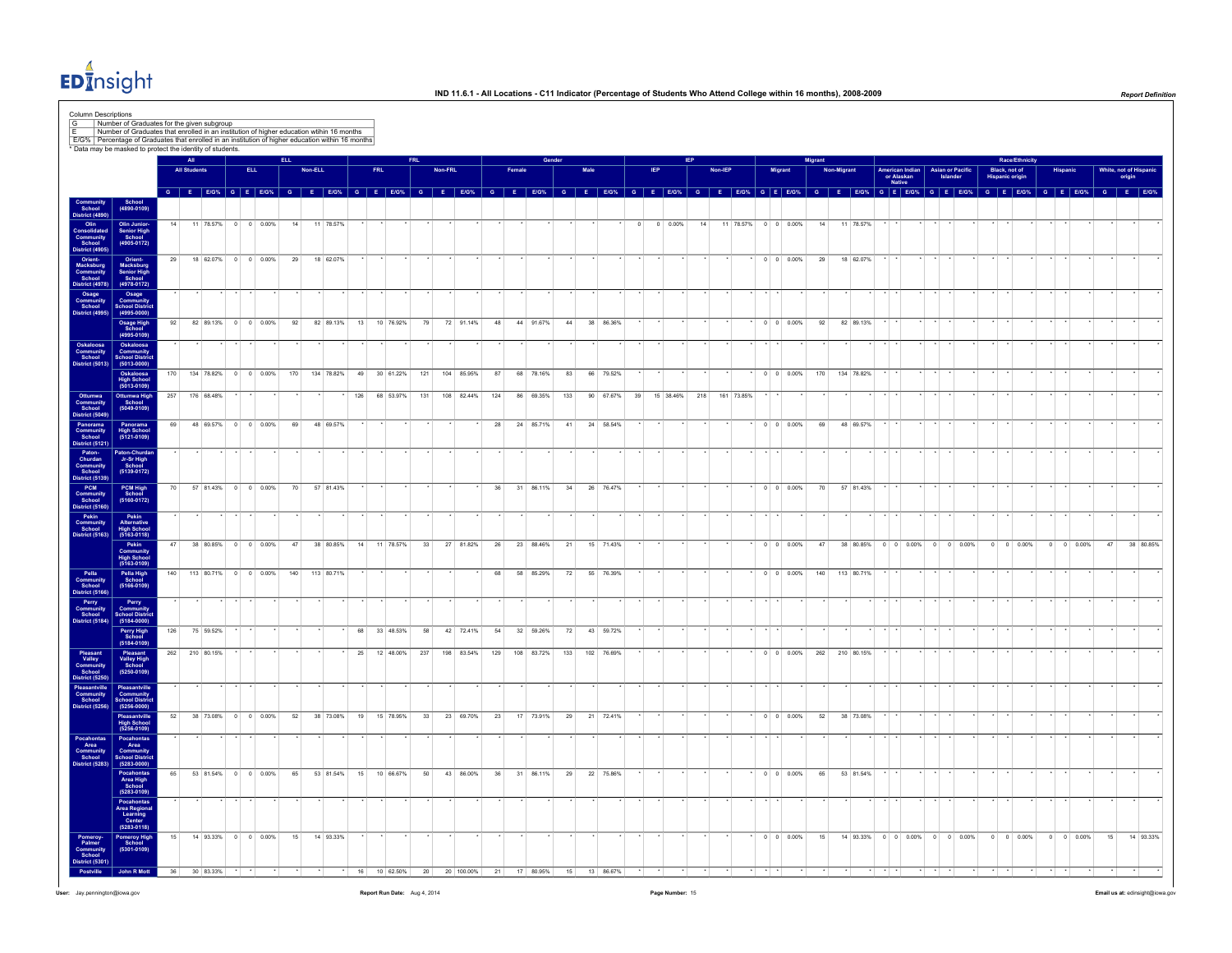

|                                                                                                                                                                                                                                                                                    |                                                                  |     |                     |                      |            |                    |                        |         |              |    |     |                                  |     |         |            |     |            |     |      |            |         |            |    |         |                                       |                                                                                                                                                       | digrant |             |                            |                                         |         |                                     |                               | <b>Race/Ethnicity</b>                   |  |                    |                   |                                |           |
|------------------------------------------------------------------------------------------------------------------------------------------------------------------------------------------------------------------------------------------------------------------------------------|------------------------------------------------------------------|-----|---------------------|----------------------|------------|--------------------|------------------------|---------|--------------|----|-----|----------------------------------|-----|---------|------------|-----|------------|-----|------|------------|---------|------------|----|---------|---------------------------------------|-------------------------------------------------------------------------------------------------------------------------------------------------------|---------|-------------|----------------------------|-----------------------------------------|---------|-------------------------------------|-------------------------------|-----------------------------------------|--|--------------------|-------------------|--------------------------------|-----------|
|                                                                                                                                                                                                                                                                                    |                                                                  |     | <b>All Students</b> |                      | <b>ELL</b> |                    |                        | Non-ELL |              |    | FRL |                                  |     | Non-FRL |            |     |            |     | Male |            |         |            |    | Non-IEP |                                       | Migrant                                                                                                                                               |         | Non-Migrant |                            | American Indian<br>or Alaskan<br>Native |         | <b>Asian or Pacific</b><br>Islander |                               | Black, not of<br><b>Hispanic origin</b> |  |                    |                   | White, not of Hispar<br>origin |           |
|                                                                                                                                                                                                                                                                                    | School<br>(4890-0109)                                            |     |                     |                      |            |                    |                        |         |              |    |     |                                  |     |         |            |     |            |     |      |            |         |            |    |         |                                       | G E EKON, G E EKON, G E EKON, G E EKON, G E EKON, G E EKON, G E EKON, G E EKON, G E EKON, G E EKON, G E EKON, G E EKON, G E EKON, G E EKON, G E EKON, |         |             |                            |                                         |         |                                     |                               | G E E/G <sup>%</sup>                    |  |                    | G E E/G% G E E/G% |                                |           |
| School<br>School<br>Istrict (48)                                                                                                                                                                                                                                                   |                                                                  | 14  |                     | 11 78.57%            |            | $0 \t 0 \t 0.00\%$ | 14                     |         | 11 78.57%    |    |     |                                  |     |         |            |     |            |     |      |            | $\circ$ | $0 0.00\%$ | 14 |         |                                       | 11 78.57% 0 0 0.00%                                                                                                                                   |         | 14          | 11 78.57%                  |                                         |         |                                     |                               |                                         |  |                    |                   |                                |           |
| Olin<br>Community<br>School<br>District (4905)                                                                                                                                                                                                                                     | Olin Junior-<br>Senior High<br>School<br>(4905-0172)             |     |                     |                      |            |                    |                        |         |              |    |     |                                  |     |         |            |     |            |     |      |            |         |            |    |         |                                       |                                                                                                                                                       |         |             |                            |                                         |         |                                     |                               |                                         |  |                    |                   |                                |           |
| Orient-<br>Macksburg<br>Community<br>School<br>Vistrict (4978)                                                                                                                                                                                                                     | Orient-<br>Macksburg<br>Senior High<br>School<br>(4978-0172)     | 29  |                     |                      |            |                    | 18 62.07% 0 0 0.00% 29 |         | 18 62.07%    |    |     |                                  |     |         |            |     |            |     |      |            |         |            |    |         |                                       | $0 \quad 0 \quad 0.00\%$ 29                                                                                                                           |         |             | 18 62.07%                  |                                         |         |                                     |                               |                                         |  |                    |                   |                                |           |
| Osage<br>Community<br>School<br>District (4995)                                                                                                                                                                                                                                    | Osage<br>Community<br>School Distric<br>(4995-0000)              |     |                     |                      |            |                    |                        |         |              |    |     |                                  |     |         |            |     |            |     |      |            |         |            |    |         |                                       |                                                                                                                                                       |         |             |                            |                                         |         |                                     |                               |                                         |  |                    |                   |                                |           |
|                                                                                                                                                                                                                                                                                    | Osage High<br>School<br>(4995-0109)                              | 92  |                     | 82 89.13% 0 0 0.00%  |            |                    | 92                     |         | 82 89.13%    | 13 |     | 10 76.92%                        | 79  |         | 72 91.14%  | 48  | 44 91.67%  | 44  |      | 38 86.36%  |         |            |    |         |                                       | $0 \quad 0 \quad 0.00\%$                                                                                                                              |         | 92          | 82 89.13%                  |                                         |         |                                     |                               |                                         |  |                    |                   |                                |           |
| Oskaloosa<br>Community<br>School<br>District (5013)                                                                                                                                                                                                                                | Oskaloosa<br>Community<br>School Distric<br>(5013-0000)          |     |                     |                      |            |                    |                        |         |              |    |     |                                  |     |         |            |     |            |     |      |            |         |            |    |         |                                       |                                                                                                                                                       |         |             |                            |                                         |         |                                     |                               |                                         |  |                    |                   |                                |           |
|                                                                                                                                                                                                                                                                                    | Oskaloosa<br>High School<br>(5013-0109)                          | 170 |                     | 134 78.82%           |            | $0 \t 0 \t 0.00\%$ | 170                    |         | 134 78.82%   | 49 |     | 30 61.22%                        | 121 |         | 104 85.95% | 87  | 68 78.16%  | 83  |      | 66 79.52%  |         |            |    |         |                                       | $0 \quad 0 \quad 0.00\%$                                                                                                                              |         | 170         | 134 78.82%                 |                                         |         |                                     |                               |                                         |  |                    |                   |                                |           |
|                                                                                                                                                                                                                                                                                    | Ottumwa High<br>School<br>$(5049 - 0109)$                        |     | 257 176 68.48%      |                      |            |                    |                        |         |              |    |     | 126 68 53.97% 131 108 82.44% 124 |     |         |            |     | 86 69.35%  | 133 |      |            |         |            |    |         | 90 67.67% 39 15 38.46% 218 161 73.85% |                                                                                                                                                       |         |             |                            |                                         |         |                                     |                               |                                         |  |                    |                   |                                |           |
| Ottumwa<br>Community<br>Community<br>District (6049)<br>Panorama<br>Community<br>Community<br>School<br>Churdan<br>School<br>Panoramanity<br>PCM<br>Community<br>Community<br>Community<br>Community<br>Community<br>Community<br>Community<br>Community<br>Community<br>Community | Panorama<br>High School<br>(5121-0109)                           | 69  |                     | 48 69.57% 0 0 0.00%  |            |                    | 69                     |         | 48 69.57%    |    |     |                                  |     |         |            | 28  | 24 85.71%  | 41  |      | 24 58.54%  |         |            |    |         |                                       | $0 \t 0 \t 0.00\%$                                                                                                                                    |         | 69          | 48 69.57%                  |                                         |         |                                     |                               |                                         |  |                    |                   |                                |           |
|                                                                                                                                                                                                                                                                                    | Paton-Churda<br>Jr-Sr High<br>School<br>(5139-0172)              |     |                     |                      |            |                    |                        |         |              |    |     |                                  |     |         |            |     |            |     |      |            |         |            |    |         |                                       |                                                                                                                                                       |         |             |                            |                                         |         |                                     |                               |                                         |  |                    |                   |                                |           |
|                                                                                                                                                                                                                                                                                    | PCM High<br>School<br>(5160-0172)                                | 70  |                     | 57 81.43% 0 0 0.00%  |            |                    |                        |         | 70 57 81.43% |    |     |                                  |     |         |            | 36  | 31 86.11%  | 34  |      | 26 76.47%  |         |            |    |         |                                       | $\cdot$ 0 0 0.00%                                                                                                                                     |         | 70          | $57$ 8143% $\cdot$ $\cdot$ |                                         | $\cdot$ | $\sim$                              |                               |                                         |  |                    |                   |                                |           |
|                                                                                                                                                                                                                                                                                    | Pekin<br>Alternative<br>High School<br>(5163-0118)               |     |                     |                      |            |                    |                        |         |              |    |     |                                  |     |         |            |     |            |     |      |            |         |            |    |         |                                       |                                                                                                                                                       |         |             |                            |                                         |         |                                     |                               |                                         |  |                    |                   |                                |           |
|                                                                                                                                                                                                                                                                                    | Pekin<br>Community<br>High School<br>(5163-0109)                 | 47  |                     | 38 80.85% 0 0 0.00%  |            |                    | 47                     |         |              |    |     | 38 80.85% 14 11 78.57%           | 33  |         | 27 81.82%  | 26  | 23 88.46%  | 21  |      | 15 71.43%  |         |            |    |         |                                       | $0 \t 0 \t 0.00\%$                                                                                                                                    |         | 47          |                            |                                         |         |                                     | 38 80.85% 0 0 0.00% 0 0 0.00% | $0 \t 0 \t 0.00\%$                      |  | $0 \t 0 \t 0.00\%$ | 47                |                                | 38 80.85% |
| Pella<br>Community<br>School<br>District (5166)                                                                                                                                                                                                                                    | Pella High<br>School<br>(5166-0109)                              | 140 |                     | 113 80.71% 0 0 0.00% |            |                    | 140                    |         | 113 80.71%   |    |     |                                  |     |         |            | 68  | 58 85.29%  | 72  |      | 55 76.39%  |         |            |    |         |                                       | $0 \t 0 \t 0.00\%$                                                                                                                                    | 140     |             | 113 80.71%                 |                                         |         |                                     |                               |                                         |  |                    |                   |                                |           |
| Perry<br>Community<br>School<br>District (5184)                                                                                                                                                                                                                                    | Perry<br>Community                                               |     |                     |                      |            |                    |                        |         |              |    |     |                                  |     |         |            |     |            |     |      |            |         |            |    |         |                                       |                                                                                                                                                       |         |             |                            |                                         |         |                                     |                               |                                         |  |                    |                   |                                |           |
|                                                                                                                                                                                                                                                                                    | School Distri<br>Perry High<br>School<br>(5184-0109)             | 126 |                     | 75 59.52%            |            |                    |                        |         |              | 68 |     | 33 48.53%                        | 58  |         | 42 72.41%  | 54  | 32 59.26%  | 72  |      | 43 59.72%  |         |            |    |         |                                       |                                                                                                                                                       |         |             |                            |                                         |         |                                     |                               |                                         |  |                    |                   |                                |           |
|                                                                                                                                                                                                                                                                                    |                                                                  |     | 262 210 80.15%      |                      |            |                    |                        |         |              |    |     | 25 12 48.00%                     | 237 |         | 198 83.54% | 129 | 108 83.72% | 133 |      | 102 76.69% |         |            |    |         |                                       | $0 \t 0 \t 0.00\%$                                                                                                                                    |         | 262         | 210 80.15%                 |                                         |         |                                     |                               |                                         |  |                    |                   |                                |           |
| Pleasant<br>Valley<br>Communit<br>School<br>District (525                                                                                                                                                                                                                          | Pleasant<br>Valley High<br>School<br>(5250-0109)                 |     |                     |                      |            |                    |                        |         |              |    |     |                                  |     |         |            |     |            |     |      |            |         |            |    |         |                                       |                                                                                                                                                       |         |             |                            |                                         |         |                                     |                               |                                         |  |                    |                   |                                |           |
| Pleasantville<br>Community<br>School<br>istrict (5256)                                                                                                                                                                                                                             | Pleasantville<br>Community<br>School Distric<br>(5256-0000)      |     |                     |                      |            |                    |                        |         |              |    |     |                                  |     |         |            |     |            |     |      |            |         |            |    |         |                                       |                                                                                                                                                       |         |             |                            |                                         |         |                                     |                               |                                         |  |                    |                   |                                |           |
|                                                                                                                                                                                                                                                                                    | Pleasantville<br>High School<br>(5256-0109)                      | 52  |                     | 38 73.08% 0 0 0.00%  |            |                    | 52                     |         | 38 73.08%    |    |     | 19 15 78.95%                     | 33  |         | 23 69.70%  | 23  | 17 73.91%  | 29  |      | 21 72.41%  |         |            |    |         |                                       | $0 \quad 0 \quad 0.00\%$                                                                                                                              |         | 52          | 38 73.08%                  |                                         |         |                                     |                               |                                         |  |                    |                   |                                |           |
| Pocahontas<br>Area<br>Community<br>School<br>Jistrict (5283)                                                                                                                                                                                                                       | Pocahontas<br>Area<br>Community<br>School Distric<br>(5283-0000) |     |                     |                      |            |                    |                        |         |              |    |     |                                  |     |         |            |     |            |     |      |            |         |            |    |         |                                       |                                                                                                                                                       |         |             |                            |                                         |         |                                     |                               |                                         |  |                    |                   |                                |           |
|                                                                                                                                                                                                                                                                                    | Pocahontas<br>Area High<br>School<br>(5283-0109)                 | 65  |                     | 53 81.54% 0 0 0.00%  |            |                    | 65                     |         | 53 81.54%    |    |     | 15 10 66.67%                     | 50  |         | 43 86.00%  | 36  | 31 86.11%  | 29  |      | 22 75.86%  |         |            |    |         |                                       | $0 \quad 0 \quad 0.00\%$                                                                                                                              |         | 65          | 53 81.54%                  |                                         |         |                                     |                               |                                         |  |                    |                   |                                |           |
|                                                                                                                                                                                                                                                                                    | Pocahontas<br>Area Regional<br>Learning<br>Center<br>(5283-0118) |     |                     |                      |            |                    |                        |         |              |    |     |                                  |     |         |            |     |            |     |      |            |         |            |    |         |                                       |                                                                                                                                                       |         |             |                            |                                         |         |                                     |                               |                                         |  |                    |                   |                                |           |
| Pomeroy<br>Palmer<br>Communi<br>School                                                                                                                                                                                                                                             | Pomeroy High<br>School<br>(5301-0109)                            | 15  |                     | 14 93.33% 0 0 0.00%  |            |                    | 15                     |         | 14 93.33%    |    |     |                                  |     |         |            |     |            |     |      |            |         |            |    |         |                                       | $0 \quad 0 \quad 0.00\%$                                                                                                                              |         | 15          |                            |                                         |         |                                     | 14 93.33% 0 0 0.00% 0 0 0.00% | $0 \quad 0 \quad 0.00\%$                |  | $0 \t 0 \t 0.00\%$ | 15                |                                | 14 93.33% |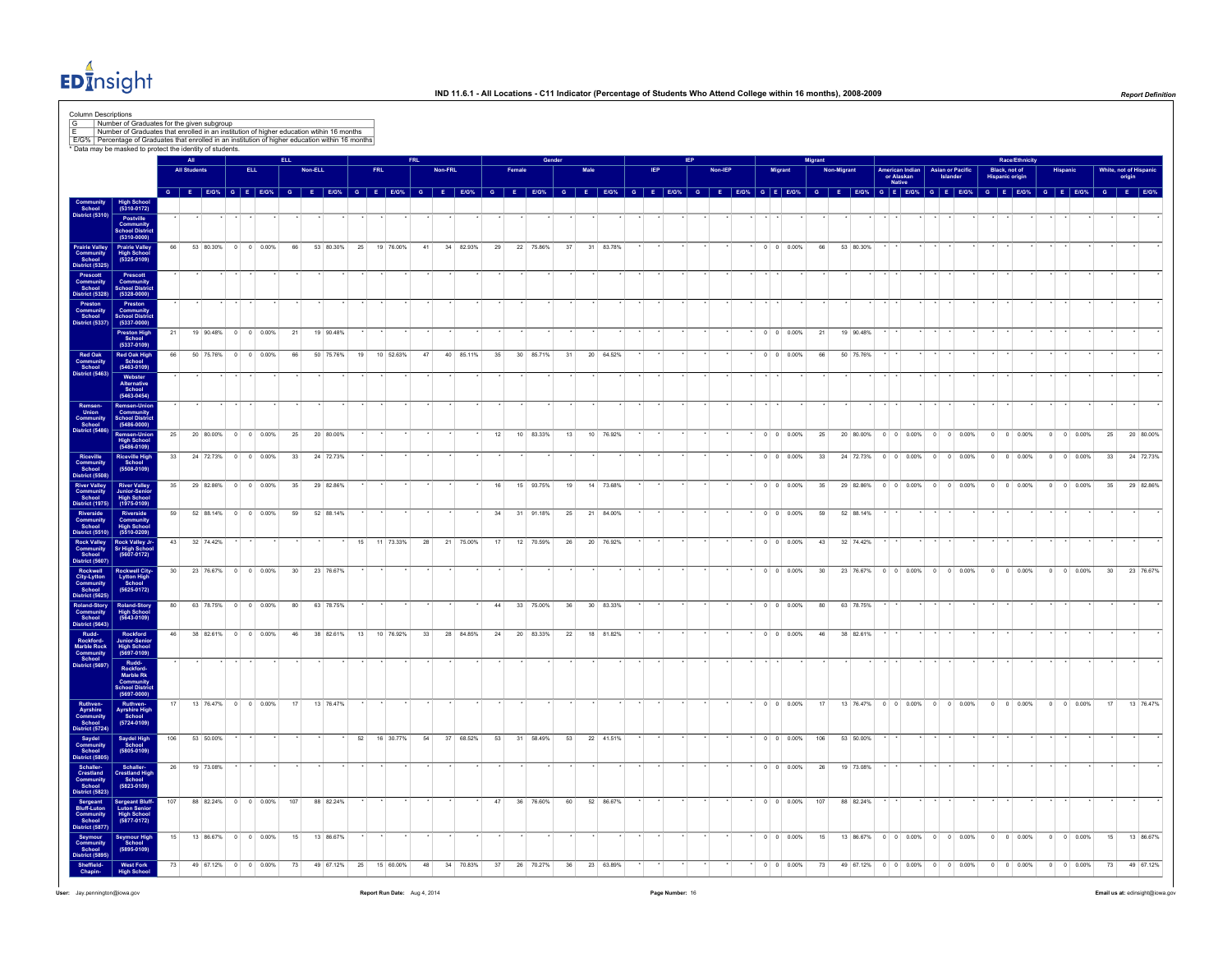

|                                                                                                                    |                                                                               |     | All                 |             |                           |                    |                 |           |    |            |    |         |           |    |        |           |    |      |           |  |  |         |         |                          | Migran |                                                                                                                                                                                                                                |                          |                               |         |                         |                                  | <b>Race/Ethnicity</b>    |         |                    |                 |        |                       |
|--------------------------------------------------------------------------------------------------------------------|-------------------------------------------------------------------------------|-----|---------------------|-------------|---------------------------|--------------------|-----------------|-----------|----|------------|----|---------|-----------|----|--------|-----------|----|------|-----------|--|--|---------|---------|--------------------------|--------|--------------------------------------------------------------------------------------------------------------------------------------------------------------------------------------------------------------------------------|--------------------------|-------------------------------|---------|-------------------------|----------------------------------|--------------------------|---------|--------------------|-----------------|--------|-----------------------|
|                                                                                                                    |                                                                               |     | <b>All Students</b> |             |                           | ELL.               |                 | Non-ELL   |    | <b>FRL</b> |    | Non-FRL |           |    | Famale |           |    | Male |           |  |  | Non-IEP | Migrant |                          |        | Non-Migrant                                                                                                                                                                                                                    | Native                   | American Indian<br>or Alaskan |         | <b>Asian or Pacific</b> | Black, not of<br>Hispanic origin |                          |         | Hispanio           |                 | origin | White, not of Hispani |
|                                                                                                                    |                                                                               |     |                     |             |                           |                    |                 |           |    |            |    |         |           |    |        |           |    |      |           |  |  |         |         |                          |        | G E EIOW G E EIOW G E EIOW G E EIOW G E EIOW G E EIOW G E EIOW G E EIOWG E EIOWG E EIOWG E EIOWG E EIOWG E EIOWG E EIOWG E EIOWG E EIOWG E EIOWG E EIOWG E EIOWG E EIOWG E EIOWG E EIOWG E EIOWG E EIOWG E EIOWG E EIOWG E EIO |                          |                               |         |                         |                                  |                          |         |                    |                 |        |                       |
| Community<br>School<br>District (5310)                                                                             | High School<br>(5310-0172)                                                    |     |                     |             |                           |                    |                 |           |    |            |    |         |           |    |        |           |    |      |           |  |  |         |         |                          |        |                                                                                                                                                                                                                                |                          |                               |         |                         |                                  |                          |         |                    |                 |        |                       |
|                                                                                                                    | Postville<br>Community<br>School Distric<br>(5310-0000)                       |     |                     |             |                           |                    |                 |           |    |            |    |         |           |    |        |           |    |      |           |  |  |         |         |                          |        |                                                                                                                                                                                                                                |                          |                               |         |                         |                                  |                          |         |                    |                 |        |                       |
|                                                                                                                    |                                                                               | 66  |                     | 53 80.30% 0 |                           | $0 \ 0.00\%$       | 66              | 53 80.30% | 25 | 19 76.00%  | 41 |         | 34 82.93% | 29 |        | 22 75.86% | 37 | 31   | 83.78%    |  |  |         |         | $0 \t 0 \t 0.00\%$       | 66     | 53 80.30%                                                                                                                                                                                                                      |                          |                               |         |                         |                                  |                          |         |                    |                 |        |                       |
| Prairie Valley<br>Community<br>School<br>District (5325)                                                           | Prairie Valley<br>High School<br>(5325-0109)                                  |     |                     |             |                           |                    |                 |           |    |            |    |         |           |    |        |           |    |      |           |  |  |         |         |                          |        |                                                                                                                                                                                                                                |                          |                               |         |                         |                                  |                          |         |                    |                 |        |                       |
| Prescott<br>Community<br>School<br>District (5328)                                                                 | Prescott<br>Community<br>School Distric                                       |     |                     |             |                           |                    |                 |           |    |            |    |         |           |    |        |           |    |      |           |  |  |         |         |                          |        |                                                                                                                                                                                                                                |                          |                               |         |                         |                                  |                          |         |                    |                 |        |                       |
|                                                                                                                    | $(5328 - 0000)$                                                               |     |                     |             |                           |                    |                 |           |    |            |    |         |           |    |        |           |    |      |           |  |  |         |         |                          |        |                                                                                                                                                                                                                                |                          |                               |         |                         |                                  |                          |         |                    |                 |        |                       |
| Preston<br>Community<br>School<br>Vistrict (5337)                                                                  | Preston<br>Community<br>School Distric<br>(5337-0000)                         |     |                     |             |                           |                    |                 |           |    |            |    |         |           |    |        |           |    |      |           |  |  |         |         |                          |        |                                                                                                                                                                                                                                |                          |                               |         |                         |                                  |                          |         |                    |                 |        |                       |
|                                                                                                                    | Preston High<br>School<br>(5337-0109)                                         | 21  |                     |             | 19 90 48% 0 0 0 0 0 0 %   |                    | 21              | 19 90 48% |    |            |    |         |           |    |        |           |    |      |           |  |  |         |         | $0 \quad 0 \quad 0.00\%$ | 21     | 19 90.48%                                                                                                                                                                                                                      |                          |                               |         |                         |                                  |                          |         |                    |                 |        |                       |
|                                                                                                                    |                                                                               | 66  |                     | 50 75.76%   | $^{\circ}$                | $0 \quad 0.00\%$   | 66              | 50 75.76% | 19 | 10 52.63%  | 47 |         | 40 85.11% | 35 |        | 30 85.71% | 31 |      | 20 64.52% |  |  |         |         | $0 \quad 0 \quad 0.00\%$ | 66     | 50 75,76%                                                                                                                                                                                                                      |                          |                               |         |                         |                                  |                          |         |                    |                 |        |                       |
| Red Oak<br>Community<br>School<br>District (5463)                                                                  | Red Oak High<br>School<br>(5463-0109)                                         |     |                     |             |                           |                    |                 |           |    |            |    |         |           |    |        |           |    |      |           |  |  |         |         |                          |        |                                                                                                                                                                                                                                |                          |                               |         |                         |                                  |                          |         |                    |                 |        |                       |
|                                                                                                                    | Webster<br>Alternative<br>School<br>(5463-0454)                               |     |                     |             |                           |                    |                 |           |    |            |    |         |           |    |        |           |    |      |           |  |  |         |         |                          |        |                                                                                                                                                                                                                                |                          |                               |         |                         |                                  |                          |         |                    |                 |        |                       |
|                                                                                                                    | Remsen-Unio                                                                   |     |                     |             |                           |                    |                 |           |    |            |    |         |           |    |        |           |    |      |           |  |  |         |         |                          |        |                                                                                                                                                                                                                                |                          |                               |         |                         |                                  |                          |         |                    |                 |        |                       |
| Remsen-<br>Union<br>Community<br>School<br>istrict (5486)                                                          | Community<br>School Distric<br>(5486-0000)                                    |     |                     |             |                           |                    |                 |           |    |            |    |         |           |    |        |           |    |      |           |  |  |         |         |                          |        |                                                                                                                                                                                                                                |                          |                               |         |                         |                                  |                          |         |                    |                 |        |                       |
|                                                                                                                    | Remsen-Unior<br>High School<br>(5486-0109)                                    | 25  |                     | 20 80,00%   |                           | $0 \t 0 \t 0.00\%$ | 25              | 20 80.00% |    |            |    |         |           | 12 |        | 10 83.33% | 13 | 10   | 76.92%    |  |  |         |         | $0 \quad 0 \quad 0.00\%$ | 25     | 20 80,00%                                                                                                                                                                                                                      | $0 \quad 0 \quad 0.00\%$ |                               | $\circ$ | $0 \quad 0.00\%$        | $\circ$                          | $0 \quad 0.00\%$         |         | $0 \t 0 \t 0.00\%$ | 25              |        | 20 80,00%             |
| Riceville<br>Community<br>School<br>District (5508)                                                                | Riceville High<br>School<br>(5508-0109)                                       | 33  |                     |             | 24 72.73% 0 0 0.00%       |                    | 33              | 24 72.73% |    |            |    |         |           |    |        |           |    |      |           |  |  |         |         | $0 \t 0 \t 0.00\%$       | 33     | 24 72.73%                                                                                                                                                                                                                      |                          | $0 \t 0 \t 0.00\%$            |         | $0 \t 0 \t 0.00\%$      | $\overline{0}$                   | $0 \t 0.00\%$            |         | $0 \t 0 \t 0.00\%$ | 33              |        | 24 72.73%             |
|                                                                                                                    |                                                                               |     |                     |             |                           |                    |                 |           |    |            |    |         |           |    |        |           |    |      |           |  |  |         |         |                          |        |                                                                                                                                                                                                                                |                          |                               |         |                         |                                  |                          |         |                    |                 |        |                       |
| River Valley<br>Community<br>School                                                                                | <b>River Valley</b><br>Junior-Senio<br>High School<br>(1975-0109)             | 35  |                     | 29 82.86%   |                           | $0 \t 0 \t 0.00\%$ | 35              | 29 82.86% |    |            |    |         |           | 16 |        | 15 93.75% | 19 |      | 14 73.68% |  |  |         |         | $0 \quad 0 \quad 0.00\%$ | 35     | 29 82.86%                                                                                                                                                                                                                      |                          | $0 \t 0 \t 0.00\%$            |         | $0 \t 0 \t 0.00\%$      |                                  | $0 \quad 0 \quad 0.00\%$ |         | $0 \t 0 \t 0.00\%$ | 35              |        | 29 82.86%             |
| <b>District (1975)</b>                                                                                             |                                                                               | 59  |                     |             | 52 88.14% 0 0 0.00%       |                    | 59              | 52 88.14% |    |            |    |         |           | 24 |        | 31 91.18% | 25 |      | 21 84.00% |  |  |         |         | $0 \quad 0 \quad 0.00\%$ | 59     | 52 88.14%                                                                                                                                                                                                                      |                          |                               |         |                         |                                  |                          |         |                    |                 |        |                       |
| Riverside<br>Community<br>School<br>District (5510)                                                                | Riverside<br>Community<br>High School<br>(5510-0209)                          |     |                     |             |                           |                    |                 |           |    |            |    |         |           |    |        |           |    |      |           |  |  |         |         |                          |        |                                                                                                                                                                                                                                |                          |                               |         |                         |                                  |                          |         |                    |                 |        |                       |
| Rock Valley<br>Community<br>School                                                                                 | Rock Valley Jr-<br>Sr High School<br>(5607-0172)                              | 43  |                     | 32 74.42%   |                           |                    |                 |           | 15 | 11 73.33%  | 28 |         | 21 75.00% | 17 |        | 12 70.59% | 26 |      | 20 76.92% |  |  |         |         | $0 \quad 0 \quad 0.00\%$ | 43     | 32 74.42%                                                                                                                                                                                                                      |                          |                               |         |                         |                                  |                          |         |                    |                 |        |                       |
| istrict (5607)                                                                                                     |                                                                               | 30  |                     | 23 76.67%   | $\circ$                   | $0 \ 0.00\%$       | 30 <sup>°</sup> | 23 76.67% |    |            |    |         |           |    |        |           |    |      |           |  |  |         |         | $0 \t 0 \t 0.00\%$       | 30     | 23 76.67%                                                                                                                                                                                                                      | $0 \t 0 \t 0.00\%$       |                               | $\circ$ | $0 \t 0.00\%$           | $^{\circ}$                       | $0 \t 0.00\%$            | $\circ$ | 0 0.00%            | 30 <sup>°</sup> |        | 23 76.67%             |
| Rockwell<br>City-Lytton<br>Community<br>School                                                                     | Rockwell City<br>Lytton High<br>School<br>(5625-0172)                         |     |                     |             |                           |                    |                 |           |    |            |    |         |           |    |        |           |    |      |           |  |  |         |         |                          |        |                                                                                                                                                                                                                                |                          |                               |         |                         |                                  |                          |         |                    |                 |        |                       |
|                                                                                                                    |                                                                               | 80  |                     |             | 63 78 75% 0 0 0 0 0 0 0 % |                    | 80              | 63 78.75% |    |            |    |         |           | 44 |        | 33 75.00% | 36 |      | 30 83.33% |  |  |         |         | $0 \quad 0 \quad 0.00\%$ | 80     | 63 78.75%                                                                                                                                                                                                                      |                          |                               |         |                         |                                  |                          |         |                    |                 |        |                       |
| Scribol<br>District (5625)<br>Roland-Story<br>Community<br>School<br>District (5643)                               | Roland-Story<br>High School<br>(5643-0109)                                    |     |                     |             |                           |                    |                 |           |    |            |    |         |           |    |        |           |    |      |           |  |  |         |         |                          |        |                                                                                                                                                                                                                                |                          |                               |         |                         |                                  |                          |         |                    |                 |        |                       |
|                                                                                                                    | Rockford<br>Junior-Senio                                                      | 46  |                     |             | 38 82.61% 0 0 0.00%       |                    | 46              | 38 82.61% | 13 | 10 76.92%  | 33 |         | 28 84.85% | 24 |        | 20 83.33% | 22 |      | 18 81.82% |  |  |         |         | $0 \quad 0 \quad 0.00\%$ | 46     | 38 82.61%                                                                                                                                                                                                                      |                          |                               |         |                         |                                  |                          |         |                    |                 |        |                       |
| Rudd-<br>Rockford-<br>Marble Rock<br>Community<br>School<br>District (5697)                                        | High School<br>(5697-0109)                                                    |     |                     |             |                           |                    |                 |           |    |            |    |         |           |    |        |           |    |      |           |  |  |         |         |                          |        |                                                                                                                                                                                                                                |                          |                               |         |                         |                                  |                          |         |                    |                 |        |                       |
|                                                                                                                    | Rudd-<br>Rockford-<br>Marble Rk<br>Community<br>School Distric<br>(5697-0000) |     |                     |             |                           |                    |                 |           |    |            |    |         |           |    |        |           |    |      |           |  |  |         |         |                          |        |                                                                                                                                                                                                                                |                          |                               |         |                         |                                  |                          |         |                    |                 |        |                       |
|                                                                                                                    |                                                                               |     |                     |             |                           |                    |                 |           |    |            |    |         |           |    |        |           |    |      |           |  |  |         |         |                          |        |                                                                                                                                                                                                                                |                          |                               |         |                         |                                  |                          |         |                    |                 |        |                       |
|                                                                                                                    | Ruthven-<br>Ayrshire High<br>School<br>(5724-0109)                            |     |                     | 13 76.47%   | $^{\circ}$                | $0 - 0.00%$        | 17              | 13 76.47% |    |            |    |         |           |    |        |           |    |      |           |  |  |         |         | $0 \t 0 \t 0.00\%$       | 17     | 13 76.47%                                                                                                                                                                                                                      | $0 \t 0 \t 0.00\%$       |                               | $\circ$ | $0 \t 0.00\%$           | $^{\circ}$                       | $0 \t 0.00\%$            | $\circ$ | $0 \ 0.00\%$       | 17              |        | 13 76.47%             |
|                                                                                                                    |                                                                               |     |                     |             |                           |                    |                 |           |    |            |    |         |           |    |        |           |    |      |           |  |  |         |         |                          |        |                                                                                                                                                                                                                                |                          |                               |         |                         |                                  |                          |         |                    |                 |        |                       |
| Ruthven-<br>Ayrshire<br>Community<br>School<br>District (5724)<br>Saydel<br>Community<br>School<br>District (5805) | Saydel High<br>School<br>(5805-0109)                                          | 106 |                     | 53 50.00%   |                           |                    |                 |           | 52 | 16 30.77%  | 54 |         | 37 68.52% | 53 |        | 31 58.49% | 53 |      | 22 41.51% |  |  |         |         | $0 \quad 0 \quad 0.00\%$ | 106    | 53 50.00%                                                                                                                                                                                                                      |                          |                               |         |                         |                                  |                          |         |                    |                 |        |                       |
|                                                                                                                    |                                                                               |     |                     |             |                           |                    |                 |           |    |            |    |         |           |    |        |           |    |      |           |  |  |         |         |                          |        |                                                                                                                                                                                                                                |                          |                               |         |                         |                                  |                          |         |                    |                 |        |                       |
| Schaller-<br>Crestland<br>Community<br>School<br>District (5823)                                                   | Schaller-<br>Crestland High<br>School<br>(5823-0109)                          | 26  |                     | 19 73.08%   |                           |                    |                 |           |    |            |    |         |           |    |        |           |    |      |           |  |  |         |         | $0 \t 0 \t 0.00\%$       | 26     | 19 73.08%                                                                                                                                                                                                                      |                          |                               |         |                         |                                  |                          |         |                    |                 |        |                       |
|                                                                                                                    |                                                                               | 107 |                     |             | 88 82.24% 0 0 0.00%       |                    | 107             | 88 82.24% |    |            |    |         |           | 47 |        | 36 76.60% | 60 |      | 52 86.67% |  |  |         |         | $0 \quad 0 \quad 0.00\%$ | 107    | 88 82.24%                                                                                                                                                                                                                      |                          |                               |         |                         |                                  |                          |         |                    |                 |        |                       |
| Sergeant<br>Bluff-Luton<br>Community<br>School<br>District (5877)                                                  | Sergeant Bluff-<br>Luton Senior<br>High School<br>(5877-0172)                 |     |                     |             |                           |                    |                 |           |    |            |    |         |           |    |        |           |    |      |           |  |  |         |         |                          |        |                                                                                                                                                                                                                                |                          |                               |         |                         |                                  |                          |         |                    |                 |        |                       |
| Seymour<br>Community<br>School                                                                                     |                                                                               | 15  |                     | 13 86.67%   | $\overline{0}$            | $0 \ 0.00\%$       | 15              | 13 86.67% |    |            |    |         |           |    |        |           |    |      |           |  |  |         |         | $0 \t 0 \t 0.00\%$       | 15     | 13 86.67%                                                                                                                                                                                                                      |                          | $0 \t 0 \t 0.00\%$            | $\circ$ | $0 \t 0.00\%$           | $\circ$                          | $0 - 0.00%$              | $\circ$ | $0 \t 0.00\%$      | 15              |        | 13 86.67%             |
|                                                                                                                    | Seymour High<br>School<br>(5895-0109)                                         |     |                     |             |                           |                    |                 |           |    |            |    |         |           |    |        |           |    |      |           |  |  |         |         |                          |        |                                                                                                                                                                                                                                |                          |                               |         |                         |                                  |                          |         |                    |                 |        |                       |
| istrict (5895)<br>Sheffield-<br>Chapin-                                                                            | West Fork<br>High School                                                      | 73  |                     | 49 67.12%   |                           | $0 \t 0 \t 0.00\%$ | 73              | 49 67.12% |    | 15 60.00%  |    |         |           |    |        |           |    |      |           |  |  |         |         |                          |        |                                                                                                                                                                                                                                |                          |                               |         |                         |                                  |                          |         |                    |                 | 73     | 49 67.12%             |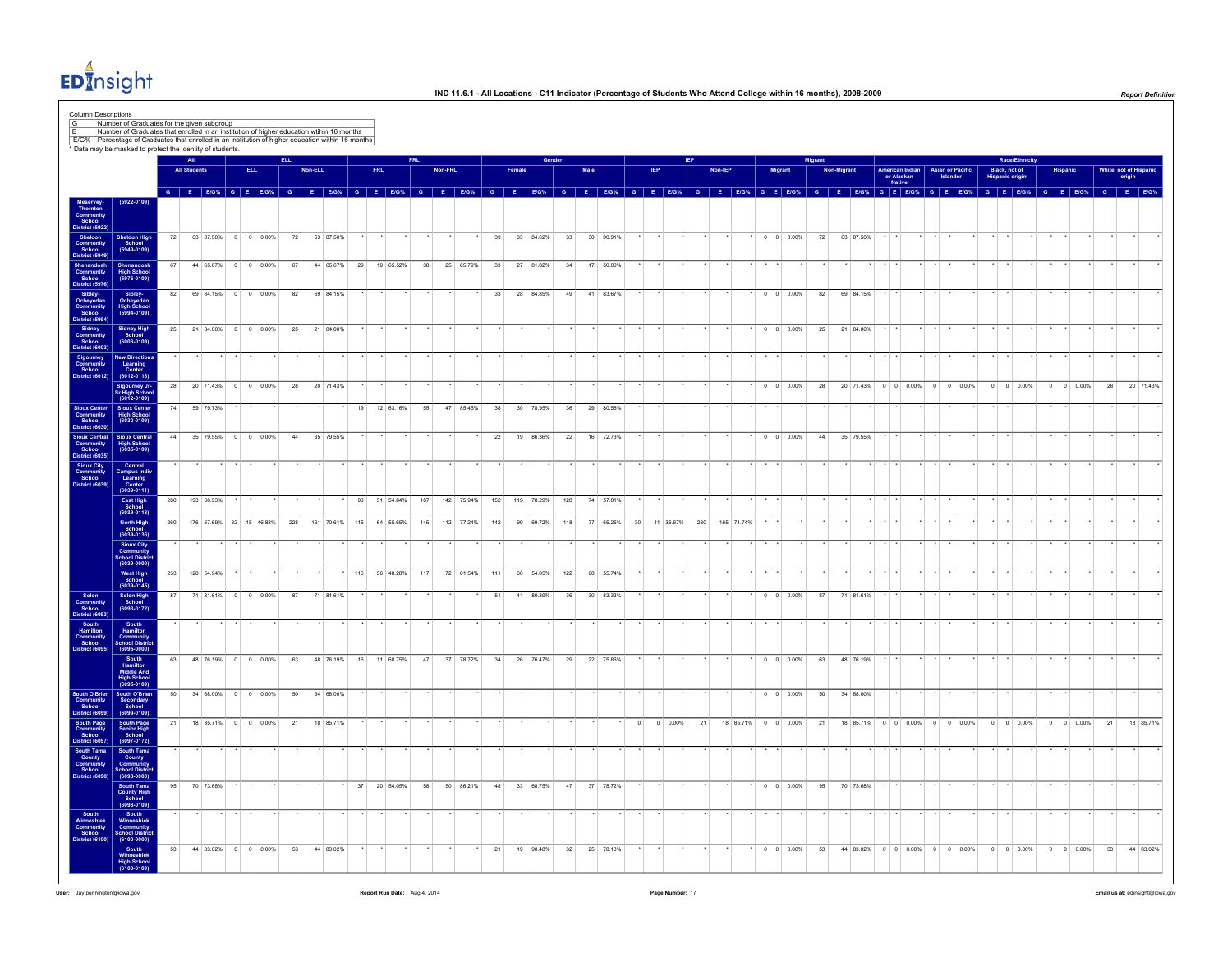

|                                                                                                                                                                                                                                                              |                                                                     |     |                                                                                                                                                                                                                                 |            | <b>ELL</b> |         |            |     |            |              |     |         |            |     |        |            |     |           |                   |          |                  |         |            |                |                            | <b>Migrant</b> |             |           |                      |                 |                               |         | <b>Race/Ethnicity</b>                   |                |                    |                     |           |
|--------------------------------------------------------------------------------------------------------------------------------------------------------------------------------------------------------------------------------------------------------------|---------------------------------------------------------------------|-----|---------------------------------------------------------------------------------------------------------------------------------------------------------------------------------------------------------------------------------|------------|------------|---------|------------|-----|------------|--------------|-----|---------|------------|-----|--------|------------|-----|-----------|-------------------|----------|------------------|---------|------------|----------------|----------------------------|----------------|-------------|-----------|----------------------|-----------------|-------------------------------|---------|-----------------------------------------|----------------|--------------------|---------------------|-----------|
|                                                                                                                                                                                                                                                              |                                                                     |     | <b>All Students</b>                                                                                                                                                                                                             | <b>ELL</b> |            | Non-ELL |            |     | <b>FRL</b> |              |     | Non-FRL |            |     | Female |            |     |           |                   |          |                  | Non-IEF |            | <b>Migrant</b> |                            |                | Non-Migrant |           | or Alaskan<br>Native | American Indian | <b>Asian or Pacific</b>       |         | Black, not of<br><b>Hispanic origin</b> |                |                    | White, not of Hispa | origin    |
|                                                                                                                                                                                                                                                              | $(5922 - 0109)$                                                     |     | $G$ $E$ $E$ $G$ % $G$ $E$ $E$ $G$ % $G$ $E$ $E$ $G$ $G$ $E$ $E$ $G$ $G$ $E$ $E$ $G$ $G$ $G$ $E$ $E$ $G$ $G$ $G$ $E$ $E$ $G$ $G$ $G$ $E$ $E$ $G$ $G$ $G$ $E$ $E$ $G$ $G$ $G$ $E$ $E$ $G$ $G$ $G$ $E$ $E$ $G$ $G$ $G$ $E$ $E$ $G$ |            |            |         |            |     |            |              |     |         |            |     |        |            |     |           | G E E/G% G E E/G% |          |                  |         |            |                | G E E/G% G E E/G% G E E/G% |                |             |           |                      |                 | G E E/G% G E E/G%             |         | $G$ $E$ $E/G$ %                         |                | G E E/G%           | G E E/G%            |           |
|                                                                                                                                                                                                                                                              |                                                                     |     |                                                                                                                                                                                                                                 |            |            |         |            |     |            |              |     |         |            |     |        |            |     |           |                   |          |                  |         |            |                |                            |                |             |           |                      |                 |                               |         |                                         |                |                    |                     |           |
|                                                                                                                                                                                                                                                              | Sheldon High<br>School<br>(5949-0109)                               | 72  | 63 87.50% 0 0 0.00%                                                                                                                                                                                                             |            | 72         |         | 63 87.50%  |     |            |              |     |         |            | 39  |        | 33 84.62%  | 33  | 30 90.91% |                   |          |                  |         |            |                | $0 \quad 0 \quad 0.00\%$   | 72             |             | 63 87.50% |                      |                 |                               |         |                                         |                |                    |                     |           |
|                                                                                                                                                                                                                                                              | Shenandoah<br>High School<br>(5976-0109)                            | 67  | 44 65.67% 0 0 0.00%                                                                                                                                                                                                             |            | 67         |         | 44 65.67%  | 29  |            | 19 65.52%    | 38  |         | 25 65.79%  | 33  |        | 27 81.82%  | 34  | 17 50,00% |                   |          |                  |         |            |                |                            |                |             |           |                      |                 |                               |         |                                         |                |                    |                     |           |
| Meserver<br>Thornton Community<br>Thornton School State (Separator)<br>Similar Community<br>Community<br>Community<br>District (S934)<br>Community<br>District (S934)<br>Community<br>Community<br>Community<br>Community<br>Community<br>Community<br>Commu | Sibley-<br>Ocheyedan<br>High School<br>(5994-0109)                  | 82  | 69 84.15% 0 0 0.00%                                                                                                                                                                                                             |            | 82         |         | 69 84.15%  |     |            |              |     |         |            | 33  |        | 28 84.85%  | 49  | 41 83.67% |                   |          |                  |         |            |                | $0 \t 0 \t 0.00\%$         | 82             |             | 69 84.15% |                      |                 |                               |         |                                         |                |                    |                     |           |
|                                                                                                                                                                                                                                                              | Sidney High<br>School<br>$(6003 - 0109)$                            | 25  | 21 84.00% 0 0 0.00%                                                                                                                                                                                                             |            | 25         |         | 21 84.00%  |     |            |              |     |         |            |     |        |            |     |           |                   |          |                  |         |            |                | $0 \quad 0 \quad 0.00\%$   | $25\,$         |             | 21 84.00% |                      |                 |                               |         |                                         |                |                    |                     |           |
|                                                                                                                                                                                                                                                              | New Direction<br>Learning<br>Center<br>(6012-0118)                  |     |                                                                                                                                                                                                                                 |            |            |         |            |     |            |              |     |         |            |     |        |            |     |           |                   |          |                  |         |            |                |                            |                |             |           |                      |                 |                               |         |                                         |                |                    |                     |           |
|                                                                                                                                                                                                                                                              | Sigourney Jr-<br>Sr High School<br>(6012-0109)                      | 28  | 20 71.43% 0 0 0.00%                                                                                                                                                                                                             |            | 28         |         | 20 71.43%  |     |            |              |     |         |            |     |        |            |     |           |                   |          |                  |         |            |                | $0 \quad 0 \quad 0.00\%$   | 28             |             | 20 71.43% |                      |                 | $0 \t0 \t0.00\%$ 0 0 0.00%    | $\circ$ | $0 \ 0.00\%$                            | $\overline{0}$ | $0$ 0.00%          | 28                  | 20 71.43% |
| Sioux Center<br>Community<br>District (6030)<br>District (6030)<br>Sioux Central<br>Community<br>School<br>Sioux City<br>Community<br>Community<br>School                                                                                                    | Sioux Center<br>High School<br>(6030-0109)                          | 74  | 59 79.73%                                                                                                                                                                                                                       |            |            |         |            |     | 19         | 12 63.16%    | 55  |         | 47 85.45%  | 38  |        | 30 78.95%  | 36  | 29 80.56% |                   |          |                  |         |            |                |                            |                |             |           |                      |                 |                               |         |                                         |                |                    |                     |           |
|                                                                                                                                                                                                                                                              | Sioux Central<br>High School<br>(6035-0109)                         | 44  | 35 79.55% 0 0 0.00%                                                                                                                                                                                                             |            | 44         |         | 35 79.55%  |     |            |              |     |         |            | 22  |        | 19 86.36%  | 22  | 16 72.73% |                   |          |                  |         |            |                | $0 \t 0 \t 0.00\%$         | 44             |             | 35 79.55% |                      |                 |                               |         |                                         |                |                    |                     |           |
|                                                                                                                                                                                                                                                              | Central<br>Campus Indiv<br>Learning<br>Center<br>(6039-0111)        |     |                                                                                                                                                                                                                                 |            |            |         |            |     |            |              |     |         |            |     |        |            |     |           |                   |          |                  |         |            |                |                            |                |             |           |                      |                 |                               |         |                                         |                |                    |                     |           |
|                                                                                                                                                                                                                                                              | East High<br>School<br>(6039-0118)                                  | 280 | 193 68.93%                                                                                                                                                                                                                      |            |            |         |            |     |            | 93 51 54.84% | 187 |         | 142 75.94% | 152 |        | 119 78.29% | 128 | 74 57.81% |                   |          |                  |         |            |                |                            |                |             |           |                      |                 |                               |         |                                         |                |                    |                     |           |
|                                                                                                                                                                                                                                                              | North High<br>School<br>(6039-0136)                                 | 260 | 176 67.69% 32 15 46.88%                                                                                                                                                                                                         |            | 228        |         | 161 70.61% | 115 |            | 64 55.65%    | 145 |         | 112 77.24% | 142 |        | 99 69.72%  | 118 | 77 65.25% |                   | 30       | 11 36.67%        | 230     | 165 71.74% |                |                            |                |             |           |                      |                 |                               |         |                                         |                |                    |                     |           |
|                                                                                                                                                                                                                                                              | Sioux City<br>Community<br>School Distric<br>(6039-0000)            |     |                                                                                                                                                                                                                                 |            |            |         |            |     |            |              |     |         |            |     |        |            |     |           |                   |          |                  |         |            |                |                            |                |             |           |                      |                 |                               |         |                                         |                |                    |                     |           |
|                                                                                                                                                                                                                                                              | West High<br>School<br>(6039-0145)                                  | 233 | 128 54.94%                                                                                                                                                                                                                      |            |            |         |            | 116 |            | 56 48.28%    | 117 |         | 72 61.54%  | 111 |        | 60 54.05%  | 122 | 68 55.74% |                   |          |                  |         |            |                |                            |                |             |           |                      |                 |                               |         |                                         |                |                    |                     |           |
|                                                                                                                                                                                                                                                              | Solon High<br>School<br>(6093-0172)                                 | 87  | 71 81.61% 0 0 0.00%                                                                                                                                                                                                             |            | 87         |         | 71 81.61%  |     |            |              |     |         |            | 51  |        | 41 80.39%  | 36  | 30 83.33% |                   |          |                  |         |            |                | $0 \quad 0 \quad 0.00\%$   | 87             |             | 71 81.61% |                      |                 |                               |         |                                         |                |                    |                     |           |
| Solon<br>Solon<br>Community<br>School<br>District (6095)<br>Hamilton<br>Community<br>School<br>District (6095)                                                                                                                                               | South<br>Hamilton<br>Community<br>School Districtors                |     |                                                                                                                                                                                                                                 |            |            |         |            |     |            |              |     |         |            |     |        |            |     |           |                   |          |                  |         |            |                |                            |                |             |           |                      |                 |                               |         |                                         |                |                    |                     |           |
|                                                                                                                                                                                                                                                              | South<br>Hamilton<br>Middle And<br>High School<br>(6095-0109)       | 63  | 48 76.19% 0 0 0.00%                                                                                                                                                                                                             |            | 63         |         | 48 76.19%  | 16  |            | 11 68.75%    | 47  |         | 37 78.72%  | 34  |        | 26 76.47%  | 29  | 22 75.86% |                   |          |                  |         |            |                | $0 \quad 0 \quad 0.00\%$   | 63             |             | 48 76.19% |                      |                 |                               |         |                                         |                |                    |                     |           |
|                                                                                                                                                                                                                                                              | South O'Brien<br>Community<br>School<br>District (6099) (6099-0109) |     | 50 34 68.00% 0 0 0.00%                                                                                                                                                                                                          |            | 50         |         | 34 68,00%  |     |            |              |     |         |            |     |        |            |     |           |                   |          |                  |         |            |                | $0 \quad 0 \quad 0.00\%$   | 50             |             | 34 68,00% |                      |                 |                               |         |                                         |                |                    |                     |           |
| South Page<br>Community<br>School<br>Jistrict (6097)                                                                                                                                                                                                         |                                                                     | 21  | 18 85.71% 0 0 0.00%                                                                                                                                                                                                             |            | 21         |         | 18 85.71%  |     |            |              |     |         |            |     |        |            |     |           |                   | $\Omega$ | $0 \quad 0.00\%$ | 21      |            |                | 18 85.71% 0 0 0.00%        | 21             |             |           |                      |                 | 18 85.71% 0 0 0.00% 0 0 0.00% |         | $0 \t 0 \t 0.00\%$                      |                | $0 \t 0 \t 0.00\%$ | 21                  | 18 85.71% |
|                                                                                                                                                                                                                                                              | South Page<br>Senior High<br>School<br>(6097-0172)                  |     |                                                                                                                                                                                                                                 |            |            |         |            |     |            |              |     |         |            |     |        |            |     |           |                   |          |                  |         |            |                |                            |                |             |           |                      |                 |                               |         |                                         |                |                    |                     |           |
| South Tama<br>County<br>Community<br>School                                                                                                                                                                                                                  | South Tama<br>County<br>Community<br>School Distric<br>(6098-0000)  | 95  | 70 73.68%                                                                                                                                                                                                                       |            |            |         |            | 37  |            | 20 54.05%    | 58  |         | 50 86.21%  | 48  |        | 33 68.75%  | 47  | 37 78.72% |                   |          |                  |         |            |                | $0 \t 0 \t 0.00\%$         |                |             | 70 73.68% |                      |                 |                               |         |                                         |                |                    |                     |           |
|                                                                                                                                                                                                                                                              | South Tama<br>County High<br>School<br>(6098-0109)                  |     |                                                                                                                                                                                                                                 |            |            |         |            |     |            |              |     |         |            |     |        |            |     |           |                   |          |                  |         |            |                |                            | 95             |             |           |                      |                 |                               |         |                                         |                |                    |                     |           |
| South<br>Winneshiek<br>Community<br>School<br>District (6100                                                                                                                                                                                                 | South<br>Winneshiek<br>Community<br>School Distric<br>(6100-0000)   |     |                                                                                                                                                                                                                                 |            |            |         |            |     |            |              |     |         |            |     |        |            |     |           |                   |          |                  |         |            |                |                            |                |             |           |                      |                 |                               |         |                                         |                |                    |                     |           |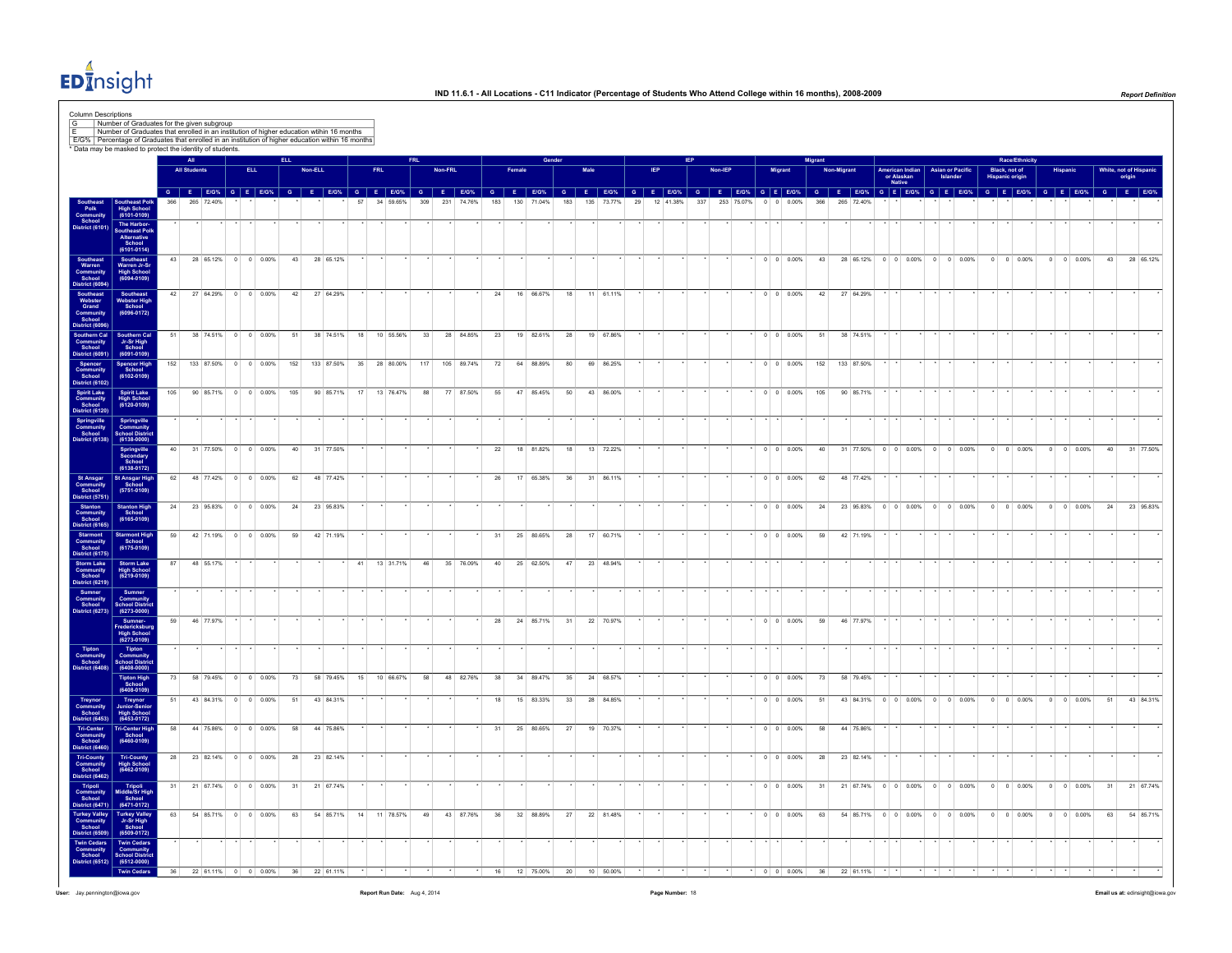

|                                                                                                                                                                                                                                                              |                                                                                             |            | All<br><b>All Students</b>                                                                                                                                                                                                     | <b>ELL</b> | ELL.       | <b>Non-ELL</b> |                         |          | <b>FRL</b> |                        | <b>FRL</b> | Non-FRL |                         |              |     |                        | Gender   |     |                     |    |           | <b>IEP</b> | Non-IEP |            | <b>Migrant</b>                                 | <b>Migrant</b> | Non-Migrant |                                                                | American Indian<br>or Alaskan<br><b>Native</b> | <b>Asian or Pacific</b> | <b>Race/Ethnicity</b><br>Black, not of         |  |                                          |          | White, not of Hispani<br>origin |
|--------------------------------------------------------------------------------------------------------------------------------------------------------------------------------------------------------------------------------------------------------------|---------------------------------------------------------------------------------------------|------------|--------------------------------------------------------------------------------------------------------------------------------------------------------------------------------------------------------------------------------|------------|------------|----------------|-------------------------|----------|------------|------------------------|------------|---------|-------------------------|--------------|-----|------------------------|----------|-----|---------------------|----|-----------|------------|---------|------------|------------------------------------------------|----------------|-------------|----------------------------------------------------------------|------------------------------------------------|-------------------------|------------------------------------------------|--|------------------------------------------|----------|---------------------------------|
| <b>Polk</b>                                                                                                                                                                                                                                                  | Southeast Polk<br>High School<br>(6101-0109)                                                |            | G E BOX, G E BOX, G E BOX, G E BOX, G E BOX, G E BOX, G E BOX, G E BOX, G E BOX, G E BOX, G E BOX, G E BOX, G E BOX, G E BOX, G E BOX, G E BOX, G E BOX, G E BOX, G E BOX, G E BOX, G E BOX, G E BOX, G E BOX, G E BOX, G E BO |            |            |                |                         |          |            |                        |            |         |                         | 183          | 130 | 71.04%                 | 183      | 135 | 73.77%              | 29 | 12 41.38% |            | 337     | 253 75.07% | 0.00%                                          |                | 265         |                                                                |                                                |                         |                                                |  |                                          |          |                                 |
| Community<br>School<br>District (6101)                                                                                                                                                                                                                       | The Harbor-<br>Southeast Poll-<br>Alternative<br>School (6101-0114)                         |            |                                                                                                                                                                                                                                |            |            |                |                         |          |            |                        |            |         |                         |              |     |                        |          |     |                     |    |           |            |         |            |                                                |                |             |                                                                |                                                |                         |                                                |  |                                          |          |                                 |
| Southeast<br>Warren<br>Community<br>School<br>District (609                                                                                                                                                                                                  | Southeast<br>Warren Jr-Sr<br>High School<br>(6094-0109)                                     | 43         | 28 65.12% 0 0 0.00%                                                                                                                                                                                                            |            |            | 43             | 28 65.12%               |          |            |                        |            |         |                         |              |     |                        |          |     |                     |    |           |            |         |            | $0 \t 0 \t 0.00\%$                             | 43             |             | 28 65.12% 0 0 0.00% 0 0 0.00%                                  |                                                |                         | $0 \t 0 \t 0.00\%$                             |  | $0 \t 0 \t 0.00\%$                       |          | 43 28 65.12%                    |
| District (6094)<br>Southeast<br>Webster<br>Grand<br>Community<br>School<br>District (6096)<br>Southern Cal<br>Community<br>School<br>District (6091)                                                                                                         | Southeast<br>Webster High<br>School<br>(6096-0172)                                          | 42         | 27 64.29% 0 0 0.00%                                                                                                                                                                                                            |            |            | 42             | 27 64.29%               |          |            |                        |            |         |                         | 24           |     | 16 66.67%              | 18       |     | 11 61.11%           |    |           |            |         |            | $0 \quad 0 \quad 0.00\%$                       | 42             |             | 27 64.29%                                                      |                                                |                         |                                                |  |                                          |          |                                 |
|                                                                                                                                                                                                                                                              | Southern Cal<br>Jr-Sr High<br>School<br>(6091-0109)                                         | 51         | 38 74.51% 0 0 0.00%                                                                                                                                                                                                            |            | 51         |                | 38 74.51%               |          |            | 18 10 55.56%           | 33         |         | 28 84.85%               | 23           |     | 19 82.61%              | 28       |     | 19 67.86%           |    |           |            |         |            | $0 \t 0 \t 0.00\%$                             | 51             |             | 38 74.51%                                                      |                                                |                         |                                                |  |                                          |          |                                 |
| Spencer<br>Community<br>School<br>District (6102)                                                                                                                                                                                                            | Spencer High<br>School<br>(6102-0109)                                                       | 152<br>105 | 133 87.50% 0 0 0.00%<br>90 85.71% 0 0 0.00%                                                                                                                                                                                    |            | 152<br>105 |                | 133 87.50%<br>90 85.71% | 35<br>17 |            | 28 80.00%<br>13 76.47% | 117<br>88  |         | 105 89.74%<br>77 87.50% | $72\,$<br>55 |     | 64 88.89%<br>47 85.45% | 80<br>50 | 69  | 86.25%<br>43 86.00% |    |           |            |         |            | $0 \quad 0 \quad 0.00\%$<br>$0 \t 0 \t 0.00\%$ | 152<br>105     |             | 133 87.50%<br>90 85.71%                                        |                                                |                         |                                                |  |                                          |          |                                 |
| Spirit Lake<br>Community<br>School<br>District (6120)<br>Springville<br>Community<br>School                                                                                                                                                                  | Spirit Lake<br>High School<br>(6120-0109)<br>Springville<br>Community<br>School Distric     |            |                                                                                                                                                                                                                                |            |            |                |                         |          |            |                        |            |         |                         |              |     |                        |          |     |                     |    |           |            |         |            |                                                |                |             |                                                                |                                                |                         |                                                |  |                                          |          |                                 |
| District (6138)                                                                                                                                                                                                                                              | $(6138 - 0000)$<br>Springville<br>Secondary<br>School                                       | 40         | 31 77.50% 0 0 0.00%                                                                                                                                                                                                            |            |            | 40             | 31 77.50%               |          |            |                        |            |         |                         | 22           |     | 18 81.82%              | 18       |     | 13 72.22%           |    |           |            |         |            | $0 \quad 0 \quad 0.00\%$                       | 40             |             | 31 77.50% 0 0 0.00% 0 0 0.00%                                  |                                                |                         | $0 \quad 0 \quad 0.00\%$                       |  | $0 \quad 0 \quad 0.00\%$                 | $40-1$   | 31 77.50%                       |
|                                                                                                                                                                                                                                                              | $(6138 - 0172)$<br>St Ansgar High<br>School<br>(5751-0109)                                  | 62         | 48 77.42% 0 0 0.00%                                                                                                                                                                                                            |            |            | 62             | 48 77.42%               |          |            |                        |            |         |                         | 26           |     | 17 65.38%              | 36       |     | 31 86.11%           |    |           |            |         |            | $0 \t 0 \t 0.00\%$                             | 62             |             | 48 77.42%                                                      |                                                |                         |                                                |  |                                          |          |                                 |
|                                                                                                                                                                                                                                                              | Stanton High<br>School<br>(6165-0109)                                                       | 24<br>59   | 23 95.83% 0 0 0.00%<br>42 71.19% 0 0 0.00%                                                                                                                                                                                     |            | 24<br>59   |                | 23 95.83%<br>42 71.19%  |          |            |                        |            |         |                         | 31           |     | 25 80.65%              | 28       |     | 17 60.71%           |    |           |            |         |            | $0 \t 0 \t 0.00\%$<br>$0 \t 0 \t 0.00\%$       | 24<br>59       |             | 23 95.83% 0 0 0.00% 0 0 0.00%<br>42 71.19%                     |                                                |                         | $0 \t 0 \t 0.00\%$                             |  | $0 \t 0 \t 0.00\%$                       | 24       | 23 95.83%                       |
| St Ansgar<br>Community<br>School<br>Startic (5751)<br>Startic (1751)<br>Startic (6165)<br>Startic (6165)<br>Startic (6175)<br>District (6175)<br>District (6175)<br>District (6219)<br>District (6219)<br>Community<br>Community<br>Community<br>District (6 | Starmont High<br>$(6175 - 0109)$<br>Storm Lake<br>High School<br>(6219-0109)                | 87         | 48 55.17%                                                                                                                                                                                                                      |            |            |                |                         | 41       |            | 13 31.71%              | 46         |         | 35 76.09%               | 40           |     | 25 62.50%              | 47       |     | 23 48.94%           |    |           |            |         |            |                                                |                |             |                                                                |                                                |                         |                                                |  |                                          |          |                                 |
|                                                                                                                                                                                                                                                              | Sumner<br>Community<br>School Distric                                                       |            |                                                                                                                                                                                                                                |            |            |                |                         |          |            |                        |            |         |                         |              |     |                        |          |     |                     |    |           |            |         |            |                                                |                |             |                                                                |                                                |                         |                                                |  |                                          |          |                                 |
|                                                                                                                                                                                                                                                              | $(6273 - 0000)$<br>Sumner-<br>Fredericksburg<br>High School<br>(6273-0109)                  | 59         | 46 77.97%                                                                                                                                                                                                                      |            |            |                |                         |          |            |                        |            |         |                         | 28           |     | 24 85.71%              | 31       |     | 22 70.97%           |    |           |            |         |            | $0 \quad 0 \quad 0.00\%$                       | 59             |             | 46 77.97%                                                      |                                                |                         |                                                |  |                                          |          |                                 |
| Tipton<br>Community<br>School<br>District (6408)                                                                                                                                                                                                             | Tipton<br>Community<br>School Distric<br>(6408-0000)<br>Tipton High<br>School               | 73         | 58 79.45% 0 0 0.00%                                                                                                                                                                                                            |            | 73         |                | 58 79.45%               | 15       |            | 10 66.67%              | 58         |         | 48 82.76%               | 38           |     | 34 89.47%              | 35       |     | 24 68.57%           |    |           |            |         |            | $0 \t 0 \t 0.00\%$                             | 73             |             | 58 79.45%                                                      |                                                |                         |                                                |  |                                          |          |                                 |
| Treynor<br>Community<br>School<br>District (6453)                                                                                                                                                                                                            | $(6408 - 0109)$<br>Treynor<br>Junior-Senior<br>High School<br>(6453-0172)                   | 51         | 43 84.31% 0 0 0.00%                                                                                                                                                                                                            |            |            | 51             | 43 84.31%               |          |            |                        |            |         |                         | 18           |     | 15 83.33%              | 33       |     | 28 84.85%           |    |           |            |         |            | $0 \quad 0 \quad 0.00\%$                       | 51             |             | 43 84.31% 0 0 0.00% 0 0 0.00%                                  |                                                |                         | $0 \t 0 \t 0.00\%$                             |  | $0 \t 0 \t 0.00\%$                       | 51       | 43 84.31%                       |
|                                                                                                                                                                                                                                                              | Tri-Center High<br>School<br>$(6460 - 0109)$                                                | 58         | 44 75.86% 0 0 0.00%                                                                                                                                                                                                            |            | 58         |                | 44 75.86%               |          |            |                        |            |         |                         | 31           |     | 25 80.65%              | 27       |     | 19 70.37%           |    |           |            |         |            | $0 \t 0 \t 0.00\%$                             | 58             |             | 44 75.86%                                                      |                                                |                         |                                                |  |                                          |          |                                 |
| Tri-Center<br>Community<br>School<br>District (6460)<br>Tri-County<br>Community<br>School<br>District (6462)                                                                                                                                                 | Tri-County<br>High School<br>(6462-0109)                                                    | 28         | 23 82.14% 0 0 0.00%                                                                                                                                                                                                            |            | 28         |                | 23 82.14%               |          |            |                        |            |         |                         |              |     |                        |          |     |                     |    |           |            |         |            | $0 \t 0 \t 0.00\%$                             | 28             |             | 23 82.14%                                                      |                                                |                         |                                                |  |                                          |          |                                 |
| Tripoli<br>Community<br>School<br><b>District (6471)</b><br>Turkey Valley<br>Community<br>School                                                                                                                                                             | Tripoli<br>Middle/Sr High<br>School<br>(6471-0172)<br>Turkey Valley<br>Jr-Sr High<br>School | 31<br>63   | 21 67.74% 0 0 0.00%<br>54 85.71% 0 0 0.00%                                                                                                                                                                                     |            | 31         | 63             | 21 67.74%<br>54 85.71%  |          |            | 14 11 78.57%           | 49         |         | 43 87.76%               | 36           |     | 32 88.89%              | 27       |     | 22 81.48%           |    |           |            |         |            | $0 \t 0 \t 0.00\%$<br>$0 \quad 0 \quad 0.00\%$ | 31<br>63       |             | 21 67.74% 0 0 0.00% 0 0 0.00%<br>54 85.71% 0 0 0.00% 0 0 0.00% |                                                |                         | $0 \t 0 \t 0.00\%$<br>$0 \quad 0 \quad 0.00\%$ |  | $0 \t 0 \t 0.00\%$<br>$0 \t 0 \t 0.00\%$ | 31<br>63 | 21 67.74%<br>54 85.71%          |
| District (6509)<br>Twin Cedars<br>Community<br>School                                                                                                                                                                                                        | $(6509 - 0172)$<br>Twin Cedars<br>Community<br>School Distric                               |            |                                                                                                                                                                                                                                |            |            |                |                         |          |            |                        |            |         |                         |              |     |                        |          |     |                     |    |           |            |         |            |                                                |                |             |                                                                |                                                |                         |                                                |  |                                          |          |                                 |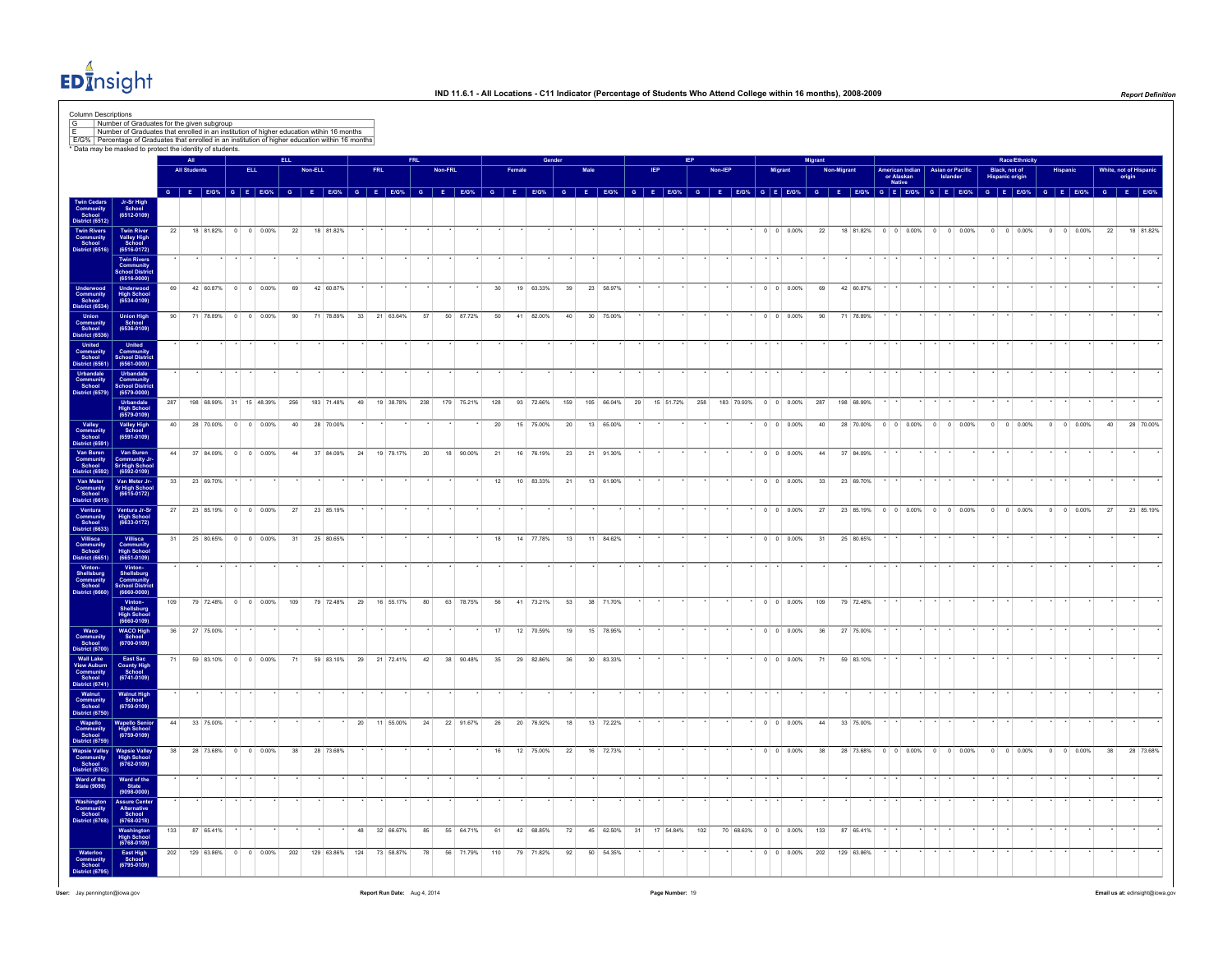

|                                                                                                                                                                                                                                                                                                                                                                                                                                                                                                                          |                                                                     |     | All                    |           |                         |            |     |                        |    |               |    |         |            |     |        |           |     |                 |                        |    |               |         |                      |                          | Migrant |                                                                                                                                        |                                         |                               |                                     |                |                                         | Race/Ethnicity             |                 |                          |    |                                |
|--------------------------------------------------------------------------------------------------------------------------------------------------------------------------------------------------------------------------------------------------------------------------------------------------------------------------------------------------------------------------------------------------------------------------------------------------------------------------------------------------------------------------|---------------------------------------------------------------------|-----|------------------------|-----------|-------------------------|------------|-----|------------------------|----|---------------|----|---------|------------|-----|--------|-----------|-----|-----------------|------------------------|----|---------------|---------|----------------------|--------------------------|---------|----------------------------------------------------------------------------------------------------------------------------------------|-----------------------------------------|-------------------------------|-------------------------------------|----------------|-----------------------------------------|----------------------------|-----------------|--------------------------|----|--------------------------------|
|                                                                                                                                                                                                                                                                                                                                                                                                                                                                                                                          |                                                                     |     | <b>All Students</b>    |           |                         | ELL.       |     | Non-ELL                |    | FRL           |    | Non-FRL |            |     | Famale |           |     | Male            |                        |    |               | Non-IEP |                      | Migrant                  |         | <b>Non-Migrant</b>                                                                                                                     | American Indian<br>or Alaskan<br>Native |                               | <b>Asian or Pacific</b><br>Islander |                | Black, not of<br><b>Hispanic origin</b> |                            | <b>Hispanio</b> |                          |    | White, not of Hispan<br>origin |
|                                                                                                                                                                                                                                                                                                                                                                                                                                                                                                                          |                                                                     |     |                        |           |                         |            |     |                        |    |               |    |         |            |     |        |           |     |                 |                        |    |               |         |                      |                          |         | G E EIG% G E EIG% G E EIG% G E EIG% G E EIG% G E EIG% G E EIG% G E EIG% G E EIG% G E EIG% G E EIG% G E EIG% G E EIG% G E EIG% G E EIG% |                                         |                               |                                     |                |                                         | G E E/G% G E E/G% G E E/G% |                 |                          |    |                                |
| Community<br>School<br>District (6512                                                                                                                                                                                                                                                                                                                                                                                                                                                                                    | Jr-Sr High<br>School<br>(6512-0109)                                 |     |                        |           |                         |            |     |                        |    |               |    |         |            |     |        |           |     |                 |                        |    |               |         |                      |                          |         |                                                                                                                                        |                                         |                               |                                     |                |                                         |                            |                 |                          |    |                                |
| Twin Rivers<br>Community<br>School<br>District (6516)                                                                                                                                                                                                                                                                                                                                                                                                                                                                    | Twin River<br>Valley High<br>School<br>(6516-0172)                  | 22  |                        |           | 18 81.82% 0 0 0.00%     |            | 22  | 18 81.82%              |    |               |    |         |            |     |        |           |     |                 |                        |    |               |         |                      | $0 \quad 0 \quad 0.00\%$ | 22      |                                                                                                                                        |                                         | 18 81.82% 0 0 0.00% 0 0 0.00% |                                     |                | $0 \t 0 \t 0.00\%$                      |                            |                 | $0 \t 0 \t 0.00\%$       | 22 | 18 81.82%                      |
|                                                                                                                                                                                                                                                                                                                                                                                                                                                                                                                          | Twin Rivers<br>Community<br>School Distric<br>(6516-0000)           |     |                        |           |                         |            |     |                        |    |               |    |         |            |     |        |           |     |                 |                        |    |               |         |                      |                          |         |                                                                                                                                        |                                         |                               |                                     |                |                                         |                            |                 |                          |    |                                |
| Underwood<br>Community<br>School<br>District (6534)                                                                                                                                                                                                                                                                                                                                                                                                                                                                      | Underwood<br>High School<br>(6534-0109)                             | 69  |                        |           | 42 60.87% 0 0 0.00%     |            | 69  | 42 60.87%              |    |               |    |         |            |     |        | 19 63.33% | 39  |                 | 23 58.97%              |    |               |         |                      | $0 \t 0 \t 0.00\%$       | 69      | 42 60.87%                                                                                                                              |                                         |                               |                                     |                |                                         |                            |                 |                          |    |                                |
| Union<br>Union<br>Community<br>School<br>United<br>Community<br>School<br>United<br>Community<br>School<br>United<br>Community<br>School                                                                                                                                                                                                                                                                                                                                                                                 | Union High<br>School<br>(6536-0109)                                 |     |                        | 71 78.89% | $\circ$                 | $0 0.00\%$ | 90  | 71 78.89%              | 33 | 21 63.64%     | 57 |         | 50 87.72%  | 50  |        | 41 82.00% | 40  | 30 <sup>°</sup> | 75.00%                 |    |               |         |                      | $0 \t 0 \t 0.00\%$       | 90      | 71 78.89%                                                                                                                              |                                         |                               |                                     |                |                                         |                            |                 |                          |    |                                |
|                                                                                                                                                                                                                                                                                                                                                                                                                                                                                                                          | United<br>Community<br>School Distri                                |     |                        |           |                         |            |     |                        |    |               |    |         |            |     |        |           |     |                 |                        |    |               |         |                      |                          |         |                                                                                                                                        |                                         |                               |                                     |                |                                         |                            |                 |                          |    |                                |
| Urbandale<br>Community<br>School<br>District (6579)                                                                                                                                                                                                                                                                                                                                                                                                                                                                      | $(6561 - 0000)$<br>Urbandale<br>Community<br><b>School Distr</b>    |     |                        |           |                         |            |     |                        |    |               |    |         |            |     |        |           |     |                 |                        |    |               |         |                      |                          |         |                                                                                                                                        |                                         |                               |                                     |                |                                         |                            |                 |                          |    |                                |
|                                                                                                                                                                                                                                                                                                                                                                                                                                                                                                                          | $(6579 - 0000)$<br>Urbandale<br>High School<br>(6579-0109)          | 287 |                        |           | 198 68.99% 31 15 48.39% |            | 256 | 183 71.48%             | 49 | 19 38.78% 238 |    |         | 179 75.21% | 128 |        | 93 72.66% | 159 |                 | 105 66.04%             | 29 | 15 51.72% 258 |         | 183 70.93% 0 0 0.00% |                          | 287     | 198 68.99%                                                                                                                             |                                         |                               |                                     |                |                                         |                            |                 |                          |    |                                |
| Valley<br>Community<br>School<br>District (6591)                                                                                                                                                                                                                                                                                                                                                                                                                                                                         | Valley High<br>School<br>(6591-0109)                                | 40  |                        |           | 28 70.00% 0 0 0.00%     |            | 40  | 28 70.00%              |    |               |    |         |            | 20  |        | 15 75.00% | 20  |                 | 13 65.00%              |    |               |         |                      | $0 \quad 0 \quad 0.00\%$ | 40      |                                                                                                                                        |                                         | 28 70.00% 0 0 0.00% 0 0 0.00% |                                     |                | $0 \quad 0 \quad 0.00\%$                |                            |                 | $0 \quad 0 \quad 0.00\%$ | 40 | 28 70.00%                      |
| Van Buren<br>Community<br>School<br>District (6592)                                                                                                                                                                                                                                                                                                                                                                                                                                                                      | Van Buren<br>Community Jr<br>Sr High Schoo<br>(6592-0109)           |     | 44 37 84.09% 0 0 0.00% |           |                         |            | 44  | 37 84.09%              | 24 | 19 79.17%     | 20 |         | 18 90.00%  | 21  |        | 16 76.19% | 23  |                 | 21 91.30%              |    |               |         |                      | $0 \quad 0 \quad 0.00\%$ | 44      | 37 84.09%                                                                                                                              |                                         |                               |                                     |                |                                         |                            |                 |                          |    |                                |
|                                                                                                                                                                                                                                                                                                                                                                                                                                                                                                                          | Van Meter Jr-<br>Sr High Schoo<br>(6615-0172)                       | 33  |                        | 23 69.70% |                         |            |     |                        |    |               |    |         |            | 12  |        | 10 83.33% | 21  |                 | 13 61.90%              |    |               |         |                      | $0 \t 0 \t 0.00\%$       | 33      | 23 69.70%                                                                                                                              |                                         |                               |                                     |                |                                         |                            |                 |                          |    |                                |
| Nation (1992)<br>Van Meter<br>Community<br>School<br>District (6615)<br>Ventura<br>Community<br>School<br>District (6633)                                                                                                                                                                                                                                                                                                                                                                                                | Ventura Jr-Sr<br>High School<br>(6633-0172)                         | 27  |                        | 23 85.19% | $0 \t 0 \t 0.00\%$      |            | 27  | 23 85.19%              |    |               |    |         |            |     |        |           |     |                 |                        |    |               |         |                      | $0 \t 0 \t 0.00\%$       | 27      | 23 85.19%                                                                                                                              | $0 \t 0 \t 0.00\%$                      |                               | $0 \t 0 \t 0.00\%$                  | $\overline{0}$ |                                         | $0 \quad 0.00\%$           | $\overline{0}$  | $0 \ 0.00\%$             | 27 | 23 85.19%                      |
|                                                                                                                                                                                                                                                                                                                                                                                                                                                                                                                          | Villisca                                                            | 31  |                        |           | 25 80.65% 0 0 0.00%     |            | 31  | 25 80.65%              |    |               |    |         |            | 18  |        | 14 77.78% | 13  |                 | 11 84.62%              |    |               |         |                      | $0 \quad 0 \quad 0.00\%$ | 31      | 25 80.65%                                                                                                                              |                                         |                               |                                     |                |                                         |                            |                 |                          |    |                                |
| Villisca<br>Community<br>School<br>District (6651)                                                                                                                                                                                                                                                                                                                                                                                                                                                                       | Community<br>High School<br>(6651-0109)                             |     |                        |           |                         |            |     |                        |    |               |    |         |            |     |        |           |     |                 |                        |    |               |         |                      |                          |         |                                                                                                                                        |                                         |                               |                                     |                |                                         |                            |                 |                          |    |                                |
| Vinton-<br>Shellsburg<br>Community<br>School<br>District (6660)                                                                                                                                                                                                                                                                                                                                                                                                                                                          | Vinton-<br>Shellsburg<br>Community<br>School Distric<br>(6660-0000) |     |                        |           |                         |            |     |                        |    |               |    |         |            |     |        |           |     |                 |                        |    |               |         |                      |                          |         |                                                                                                                                        |                                         |                               |                                     |                |                                         |                            |                 |                          |    |                                |
|                                                                                                                                                                                                                                                                                                                                                                                                                                                                                                                          | Vinton-<br>Shellsburg<br>High School<br>(6660-0109)                 | 109 |                        |           | 79 72.48% 0 0 0.00%     |            | 109 | 79 72.48%              | 29 | 16 55.17%     | 80 |         | 63 78.75%  | 56  |        | 41 73.21% | 53  | 38              | 71.70%                 |    |               |         |                      | $0 \quad 0 \quad 0.00\%$ | 109     | 79 72.48%                                                                                                                              |                                         |                               |                                     |                |                                         |                            |                 |                          |    |                                |
|                                                                                                                                                                                                                                                                                                                                                                                                                                                                                                                          | <b>WACO High</b><br>School<br>(6700-0109)                           | 36  |                        | 27 75.00% |                         |            |     |                        |    |               |    |         |            | 17  |        | 12 70.59% | 19  |                 | 15 78.95%              |    |               |         |                      | $0 \quad 0 \quad 0.00\%$ | 36      | 27 75.00%                                                                                                                              |                                         |                               |                                     |                |                                         |                            |                 |                          |    |                                |
|                                                                                                                                                                                                                                                                                                                                                                                                                                                                                                                          | East Sac<br>County High<br>School<br>(6741-0109)                    | 71  |                        |           | 59 83.10% 0 0 0.00%     |            | 71  | 59 83.10% 29 21 72.41% |    |               | 42 |         | 38 90.48%  | 35  |        | 29 82.86% | 36  |                 | 30 83.33%              |    |               |         |                      | $0 \quad 0 \quad 0.00\%$ | 71      | 59 83.10%                                                                                                                              |                                         |                               |                                     |                |                                         |                            |                 |                          |    |                                |
|                                                                                                                                                                                                                                                                                                                                                                                                                                                                                                                          | Walnut High<br>School<br>(6750-0109)                                |     |                        |           |                         |            |     |                        |    |               |    |         |            |     |        |           |     |                 |                        |    |               |         |                      |                          |         |                                                                                                                                        |                                         |                               |                                     |                |                                         |                            |                 |                          |    |                                |
| $\begin{array}{c} \textbf{Waco} \\ \textbf{Comunity} \\ \textbf{Stool} \\ \textbf{Wall Lake} \\ \textbf{Wall Lake} \\ \textbf{Wew Auburn} \\ \textbf{School} \\ \textbf{District} \ (6741) \\ \textbf{Commutity} \\ \textbf{School} \\ \textbf{Wapello} \\ \textbf{Wapello} \\ \textbf{Commutity} \\ \textbf{School} \\ \textbf{Wapello} \\ \textbf{Commutity} \\ \textbf{Stool} \\ \textbf{Wapello} \\ \textbf{Commutity} \\ \textbf{Stool} \\ \textbf{Wapello} \\ \textbf{Commutity} \\ \textbf{Stool} \\ \textbf{Wap$ | <b>Wapello Senior</b><br>High School<br>(6759-0109)                 | 44  |                        | 33 75.00% |                         |            |     |                        | 20 | 11 55,00%     | 24 |         | 22 91.67%  | 26  |        | 20 76.92% | 18  |                 | 13 72.22%              |    |               |         |                      | $0 \quad 0 \quad 0.00\%$ | 44      | 33 75.00%                                                                                                                              |                                         |                               |                                     |                |                                         |                            |                 |                          |    |                                |
| Wapsie Valley<br>Community<br>School<br>District (6762)                                                                                                                                                                                                                                                                                                                                                                                                                                                                  | Wapsie Valley<br>High School<br>(6762-0109)                         | 38  |                        |           | 28 73.68% 0 0 0.00%     |            | 38  | 28 73.68%              |    |               |    |         |            | 16  |        | 12 75.00% | 22  |                 | 16 72.73%              |    |               |         |                      | $0 \quad 0 \quad 0.00\%$ | 38      |                                                                                                                                        |                                         | 28 73.68% 0 0 0.00% 0 0 0.00% |                                     |                | $0 \quad 0 \quad 0.00\%$                |                            |                 | $0 \quad 0 \quad 0.00\%$ | 38 | 28 73.68%                      |
| Ward of the<br>State (9098)                                                                                                                                                                                                                                                                                                                                                                                                                                                                                              | Ward of the<br>State<br>(9098-0000)                                 |     |                        |           |                         |            |     |                        |    |               |    |         |            |     |        |           |     |                 |                        |    |               |         |                      |                          |         |                                                                                                                                        |                                         |                               |                                     |                |                                         |                            |                 |                          |    |                                |
| Washington<br>Community<br>School                                                                                                                                                                                                                                                                                                                                                                                                                                                                                        | Assure Center<br>Alternative<br>School                              |     |                        |           |                         |            |     |                        |    |               |    |         |            |     |        |           |     |                 |                        |    |               |         |                      |                          |         |                                                                                                                                        |                                         |                               |                                     |                |                                         |                            |                 |                          |    |                                |
| District (6768)                                                                                                                                                                                                                                                                                                                                                                                                                                                                                                          | $(6768 - 0218)$<br>Washington<br>High School<br>(6768-0109)         | 133 |                        | 87 65.41% |                         |            |     |                        |    | 48 32 66.67%  | 85 |         | 55 64.71%  | 61  |        | 42 68.85% | 72  |                 | 45 62.50% 31 17 54.84% |    | 102           |         | 70 68.63% 0 0 0.00%  |                          | 133     | 87 65.41%                                                                                                                              |                                         |                               |                                     |                |                                         |                            |                 |                          |    |                                |
|                                                                                                                                                                                                                                                                                                                                                                                                                                                                                                                          |                                                                     |     |                        |           |                         |            |     |                        |    |               |    |         |            |     |        |           |     |                 |                        |    |               |         |                      |                          |         |                                                                                                                                        |                                         |                               |                                     |                |                                         |                            |                 |                          |    |                                |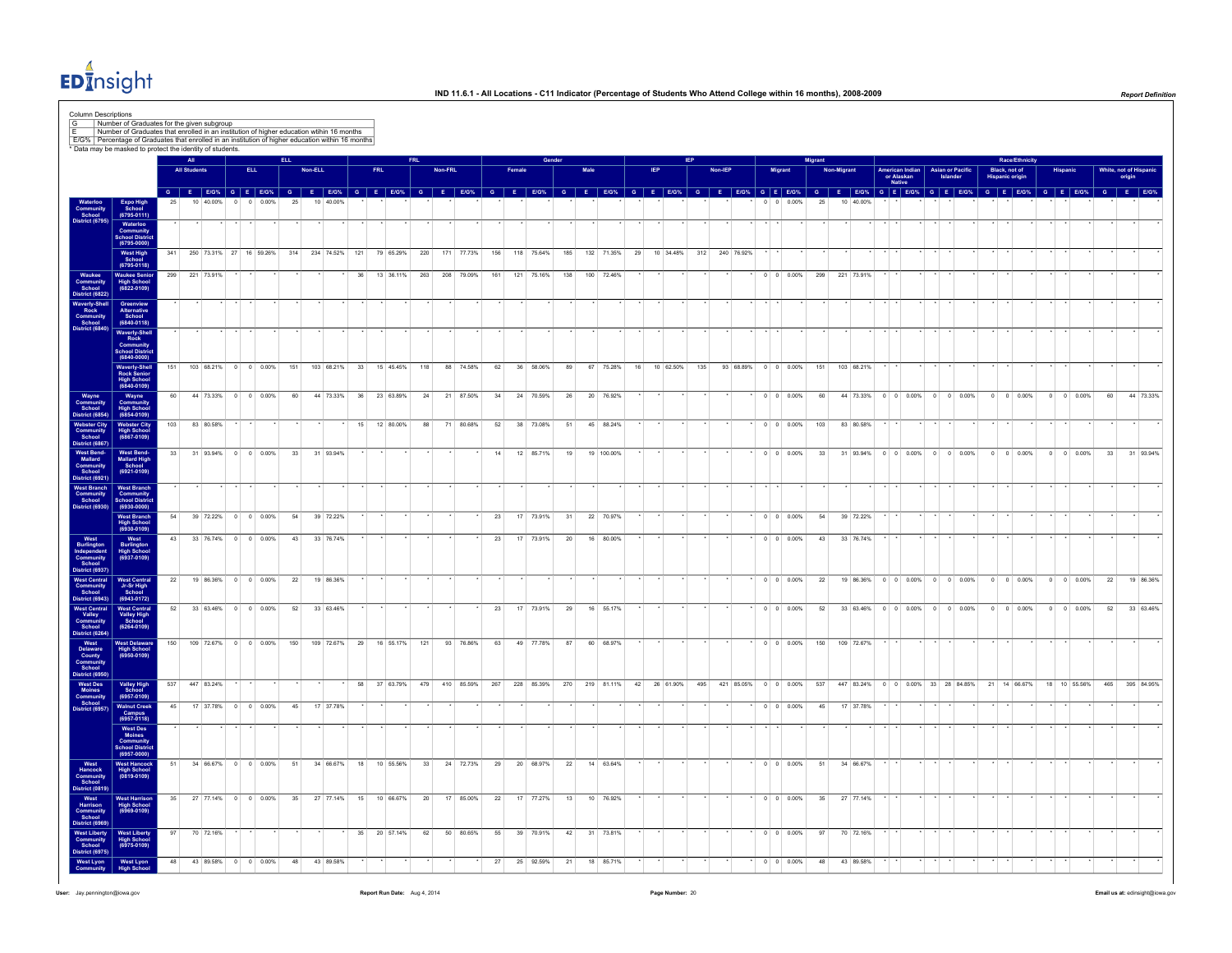

| * Data may be masked to protect the identity of students.                                                                                      |                                                                      |     |                     |                                            |                          |     |         |               |    |            |               |     |         |                                             |     |            |     |      |                                                                                                                                                                 |    |              |                |                      |                    |                          | Aigran                             |            |            |                      |                               |         |                                     |                        | Race/Ethnicity     |                |                    |         |                     |            |  |
|------------------------------------------------------------------------------------------------------------------------------------------------|----------------------------------------------------------------------|-----|---------------------|--------------------------------------------|--------------------------|-----|---------|---------------|----|------------|---------------|-----|---------|---------------------------------------------|-----|------------|-----|------|-----------------------------------------------------------------------------------------------------------------------------------------------------------------|----|--------------|----------------|----------------------|--------------------|--------------------------|------------------------------------|------------|------------|----------------------|-------------------------------|---------|-------------------------------------|------------------------|--------------------|----------------|--------------------|---------|---------------------|------------|--|
|                                                                                                                                                |                                                                      |     | <b>All Students</b> |                                            | <b>ELL</b>               |     | Non-ELL |               |    | <b>FRI</b> |               |     | Non-FRI |                                             |     |            |     | Male |                                                                                                                                                                 |    |              | Non-IEP        |                      | Migrant            |                          |                                    | Non-Migran |            | or Alaskan<br>Native | American Indian               |         | <b>Asian or Pacific</b><br>Islander | <b>Hispanic origin</b> | Black, not of      |                |                    |         | White, not of Hispa | origin     |  |
|                                                                                                                                                |                                                                      |     |                     | 10 40 00%                                  | 0.00%                    |     |         |               |    |            |               |     |         |                                             |     |            |     |      | G E BOX G E BOX G E BOX G E BOX G E BOX G E BOX G E BOX G E BOX G E BOX G E BOX G E BOX G E BOX G E BOX G E BOX G E BOX G E BOX G E BOX G E BOX G E BOX G E BOX |    |              |                |                      |                    | 0.00%                    |                                    |            | 10 40 009  |                      |                               |         |                                     |                        |                    |                |                    |         |                     |            |  |
| Community<br>School                                                                                                                            | Expo High<br>School<br>(6795-0111)                                   |     |                     |                                            |                          |     |         |               |    |            |               |     |         |                                             |     |            |     |      |                                                                                                                                                                 |    |              |                |                      | $\cdot$ .          |                          |                                    |            |            | $\cdot$ $\cdot$      |                               |         |                                     |                        |                    |                |                    |         |                     |            |  |
|                                                                                                                                                | Vaterloo<br>Community<br>School Distric<br>(6795-0000)               |     |                     |                                            |                          |     |         |               |    |            |               |     |         |                                             |     |            |     |      |                                                                                                                                                                 |    |              |                |                      |                    |                          |                                    |            |            |                      |                               |         |                                     |                        |                    |                |                    |         |                     |            |  |
|                                                                                                                                                | West High<br>School                                                  | 341 |                     | 250 73.31% 27 16 59.26% 314 234 74.52% 121 |                          |     |         |               |    |            | 79 65.29% 220 |     |         | 171 77.73%                                  | 156 | 118 75.64% | 185 |      | 132 71.35%                                                                                                                                                      | 29 | 10 34.48%    | 312 240 76.92% |                      |                    |                          |                                    |            |            |                      |                               |         |                                     |                        |                    |                |                    |         |                     |            |  |
| Waukee<br>Community<br>School<br>listrict (682)                                                                                                | $(6795 - 0118)$<br>Waukee Senior<br>High School<br>(6822-0109)       |     | 299 221 73.91%      |                                            |                          |     |         |               | 36 |            |               |     |         | 13 36.11% 263 208 79.09% 161 121 75.16% 138 |     |            |     |      | 100 72.46%                                                                                                                                                      |    |              |                |                      |                    |                          | $\bullet$ 0 0 0.00% 299 221 73.91% |            |            |                      |                               |         |                                     |                        |                    |                |                    |         |                     |            |  |
|                                                                                                                                                |                                                                      |     |                     |                                            |                          |     |         |               |    |            |               |     |         |                                             |     |            |     |      |                                                                                                                                                                 |    |              |                |                      |                    |                          |                                    |            |            |                      |                               |         |                                     |                        |                    |                |                    |         |                     |            |  |
| Vaverly-Sh<br>Rock<br>Communi<br>School                                                                                                        | Greenview<br>Alternative<br>School<br>(6840-0118)                    |     |                     |                                            |                          |     |         |               |    |            |               |     |         |                                             |     |            |     |      |                                                                                                                                                                 |    |              |                |                      |                    |                          |                                    |            |            |                      |                               |         |                                     |                        |                    |                |                    |         |                     |            |  |
|                                                                                                                                                | Waverly-Shell<br>Rock<br>Community<br>School District<br>(6840-0000) |     |                     |                                            |                          |     |         |               |    |            |               |     |         |                                             |     |            |     |      |                                                                                                                                                                 |    |              |                |                      |                    |                          |                                    |            |            |                      |                               |         |                                     |                        |                    |                |                    |         |                     |            |  |
|                                                                                                                                                | Waverly-Shell<br>Rock Senior                                         | 151 |                     | 103 68.21% 0 0 0.00%                       |                          | 151 |         | 103 68.21% 33 |    |            | 15 45.45%     | 118 |         | 88 74.58%                                   | 62  | 36 58.06%  | 89  |      | 67 75.28%                                                                                                                                                       | 16 | 10 62.50%    | 135            | 93 68.89% 0 0 0.00%  |                    |                          | 151                                |            | 103 68.21% |                      |                               |         |                                     |                        |                    |                |                    |         |                     |            |  |
|                                                                                                                                                | High Schoo<br>(6840-0109)                                            |     |                     |                                            |                          |     |         |               |    |            |               |     |         |                                             |     |            |     |      |                                                                                                                                                                 |    |              |                |                      |                    |                          |                                    |            |            |                      |                               |         |                                     |                        |                    |                |                    |         |                     |            |  |
| Wayne<br>Community<br>School<br>District (685-                                                                                                 | Wayne<br>Community<br>High School<br>(6854-0109)                     | 60  |                     | 44 73.33%                                  | $0 \t 0 \t 0.00\%$       | 60  |         | 44 73.33%     | 36 |            | 23 63.89%     | 24  |         | 21 87.50%                                   | 34  | 24 70.59%  | 26  | 20   | 76.92%                                                                                                                                                          |    |              |                |                      |                    | $0 \t 0 \t 0.00\%$       | 60                                 |            | 44 73.33%  |                      | $0 \quad 0 \quad 0.00\%$      | $\circ$ | $0 \ 0.00\%$                        | $^{\circ}$             | $0 \t 0.00\%$      | $\overline{0}$ |                    | 0 0.00% | 60                  | 44 73.33%  |  |
| Webster City<br>Community<br>School<br>District (6867)                                                                                         | Webster City<br>High School<br>(6867-0109)                           | 103 |                     | 83 80 58%                                  |                          |     |         |               |    |            | 15 12 80.00%  | 88  |         | 71 80.68%                                   | 52  | 38 73.08%  | 51  |      | 45 88.24%                                                                                                                                                       |    |              |                |                      |                    | $0 \quad 0 \quad 0.00\%$ | 103                                |            | 83 80.58%  |                      |                               |         |                                     |                        |                    |                |                    |         |                     |            |  |
|                                                                                                                                                |                                                                      | 33  |                     | 31 93.94% 0 0 0.00%                        |                          | 33  |         | 31 93.94%     |    |            |               |     |         |                                             | 14  | 12 85.71%  | 19  |      | 19 100.00%                                                                                                                                                      |    |              |                |                      |                    | $0 \t 0 \t 0.00\%$       | 33                                 |            |            |                      | 31 93.94% 0 0 0.00% 0 0 0.00% |         |                                     |                        | $0 \t 0 \t 0.00\%$ |                | $0 \t 0 \t 0.00\%$ |         | 33                  | 31 93.94%  |  |
| West Bend-<br>Mallard<br>Community<br>School<br>District (692                                                                                  | West Bend-<br>Mallard High<br>School<br>(6921-0109)                  |     |                     |                                            |                          |     |         |               |    |            |               |     |         |                                             |     |            |     |      |                                                                                                                                                                 |    |              |                |                      |                    |                          |                                    |            |            |                      |                               |         |                                     |                        |                    |                |                    |         |                     |            |  |
| West Branch<br>Community<br>School                                                                                                             | West Branch<br>Community<br>School Distric                           |     |                     |                                            |                          |     |         |               |    |            |               |     |         |                                             |     |            |     |      |                                                                                                                                                                 |    |              |                |                      |                    |                          |                                    |            |            |                      |                               |         |                                     |                        |                    |                |                    |         |                     |            |  |
| strict (6930                                                                                                                                   | $(6930 - 0000)$                                                      | 54  |                     | 39 72.22%                                  | $0 \t 0 \t 0.00\%$       | 54  |         | 39 72.22%     |    |            |               |     |         |                                             | 23  | 17 73.91%  | 31  |      | 22 70.97%                                                                                                                                                       |    |              |                |                      | $0 \t 0 \t 0.00\%$ |                          | 54                                 |            | 39 72.22%  |                      |                               |         |                                     |                        |                    |                |                    |         |                     |            |  |
|                                                                                                                                                | West Branch<br>High School<br>(6930-0109)                            | 43  |                     | 33 76.74% 0 0 0.00%                        |                          | 43  |         | 33 76.74%     |    |            |               |     |         |                                             | 23  | 17 73.91%  | 20  |      | 16 80.00%                                                                                                                                                       |    |              |                |                      |                    | $0 \t 0 \t 0.00\%$       | 43                                 |            | 33 76.74%  |                      |                               |         |                                     |                        |                    |                |                    |         |                     |            |  |
| West<br>Burlington<br>Independen<br>Community<br>School<br>Istrict (6937)                                                                      | West<br>Burlington<br>High School<br>(6937-0109)                     |     |                     |                                            |                          |     |         |               |    |            |               |     |         |                                             |     |            |     |      |                                                                                                                                                                 |    |              |                |                      |                    |                          |                                    |            |            |                      |                               |         |                                     |                        |                    |                |                    |         |                     |            |  |
|                                                                                                                                                |                                                                      | 22  |                     | 19 86.36% 0 0 0.00%                        |                          | 22  |         | 19 86.36%     |    |            |               |     |         |                                             |     |            |     |      |                                                                                                                                                                 |    |              |                |                      |                    | $0 \t 0 \t 0.00\%$       | 22                                 |            |            |                      | 19 86.36% 0 0 0.00% 0 0 0.00% |         |                                     |                        | $0$ 0 0.00%        |                | $0 \t 0 \t 0.00\%$ |         | 22                  | 19 86.36%  |  |
| West Central<br>Community<br>School<br>District (6943)                                                                                         | West Central<br>Jr-Sr High<br>School<br>(6943-0172)                  |     |                     |                                            |                          |     |         |               |    |            |               |     |         |                                             |     |            |     |      |                                                                                                                                                                 |    |              |                |                      |                    |                          |                                    |            |            |                      |                               |         |                                     |                        |                    |                |                    |         |                     |            |  |
| West Central<br>Valley<br>Community<br>School<br>District (6264)                                                                               | West Central<br>Valley High<br>School<br>(6264-0109)                 | 52  |                     | 33 63.46%                                  | $0 \t 0 \t 0.00\%$       | 52  |         | 33 63.46%     |    |            |               |     |         |                                             | 23  | 17 73.91%  | 29  | 16   | 55.17%                                                                                                                                                          |    |              |                |                      | $0 \t 0 \t 0.00\%$ |                          | 52                                 |            | 33 63.46%  |                      | $0 \t 0 \t 0.00\%$            | $\circ$ | $0 0.00\%$                          | $\circ$                | $0 - 0.00\%$       | $^{\circ}$     | 0 0.00%            |         | 52                  | 33 63.46%  |  |
|                                                                                                                                                |                                                                      | 150 |                     | 109 72.67% 0 0 0.00%                       |                          | 150 |         | 109 72.67%    | 29 |            | 16 55.17%     | 121 |         | 93 76.86%                                   | 63  | 49 77.78%  | 87  |      | 60 68.97%                                                                                                                                                       |    |              |                |                      |                    | $0 \t 0 \t 0.00\%$       | 150                                |            | 109 72.67% |                      |                               |         |                                     |                        |                    |                |                    |         |                     |            |  |
|                                                                                                                                                | West Delaware<br>High School<br>(6950-0109)                          |     |                     |                                            |                          |     |         |               |    |            |               |     |         |                                             |     |            |     |      |                                                                                                                                                                 |    |              |                |                      |                    |                          |                                    |            |            |                      |                               |         |                                     |                        |                    |                |                    |         |                     |            |  |
|                                                                                                                                                | Valley High<br>School<br>(6957-0109)                                 | 537 | 447 83.24%          |                                            |                          |     |         |               | 58 |            | 37 63.79%     | 479 |         | 410 85.59%                                  | 267 |            |     |      | 228 85.39% 270 219 81.11%                                                                                                                                       |    | 42 26 61.90% | 495            | 421 85.05% 0 0 0.00% |                    |                          | 537                                |            | 447 83.24% |                      | 0 0 0.00% 33 28 84.85%        |         |                                     |                        | 21 14 66.67%       |                | 18 10 55.56%       |         | 465                 | 395 84.95% |  |
| District (6264)<br>West<br>Delaware<br>County<br>Community<br>School<br>West Des<br>Moines<br>Moines<br>Community<br>School<br>District (6957) |                                                                      | 45  |                     | 17 37,78%                                  | $0 \t 0 \t 0.00\%$       | 45  |         | 17 37.78%     |    |            |               |     |         |                                             |     |            |     |      |                                                                                                                                                                 |    |              |                |                      | $0 \t 0 \t 0.00\%$ |                          | 45                                 |            | 17 37.78%  |                      |                               |         |                                     |                        |                    |                |                    |         |                     |            |  |
|                                                                                                                                                | Walnut Creek<br>Campus<br>(6957-0118)<br>West Des<br>Moines          |     |                     |                                            |                          |     |         |               |    |            |               |     |         |                                             |     |            |     |      |                                                                                                                                                                 |    |              |                |                      |                    |                          |                                    |            |            |                      |                               |         |                                     |                        |                    |                |                    |         |                     |            |  |
|                                                                                                                                                | Community<br>School Distri<br>(6957-0000)                            |     |                     |                                            |                          |     |         |               |    |            |               |     |         |                                             |     |            |     |      |                                                                                                                                                                 |    |              |                |                      |                    |                          |                                    |            |            |                      |                               |         |                                     |                        |                    |                |                    |         |                     |            |  |
|                                                                                                                                                | West Hancock<br>High School<br>(0819-0109)                           | 51  |                     | 34 66 67% 0 0 0 0 0 0 0 %                  |                          |     |         |               |    |            |               |     |         |                                             |     |            |     |      | 51 34 66.67% 18 10 55.56% 33 24 72.73% 29 20 68.97% 22 14 63.64%                                                                                                |    |              |                |                      |                    | $0 \quad 0 \quad 0.00\%$ | 51                                 |            | 34 66.67%  |                      |                               |         |                                     |                        |                    |                |                    |         |                     |            |  |
|                                                                                                                                                |                                                                      |     |                     |                                            |                          |     |         |               |    |            |               |     |         |                                             |     |            |     |      |                                                                                                                                                                 |    |              |                |                      |                    |                          |                                    |            |            |                      |                               |         |                                     |                        |                    |                |                    |         |                     |            |  |
| West<br>Hancock<br>Community<br>School<br>District (0819)<br>West<br>Community<br>School<br>Istrict (6969)                                     | <b>West Harrison</b><br>High Schoo<br>(6969-0109)                    | 35  |                     | 27 77.14% 0 0 0.00%                        |                          | 35  |         | 27 77.14%     | 15 |            | 10 66.67%     | 20  |         | 17 85.00%                                   | 22  | 17 77.27%  | 13  |      | 10 76.92%                                                                                                                                                       |    |              |                |                      | $0 \t 0 \t 0.00\%$ |                          | 35                                 |            | 27 77.14%  |                      |                               |         |                                     |                        |                    |                |                    |         |                     |            |  |
| West Liberty<br>Community<br>School                                                                                                            |                                                                      | 97  |                     | 70 72.16%                                  |                          |     |         |               | 35 |            | 20 57.14%     | 62  |         | 50 80.65%                                   | 55  | 39 70.91%  | 42  |      | 31 73.81%                                                                                                                                                       |    |              |                |                      |                    | $0 \t 0 \t 0.00\%$       | 97                                 |            | 70 72.16%  |                      |                               |         |                                     |                        |                    |                |                    |         |                     |            |  |
| istrict (6975)                                                                                                                                 | West Liberty<br>High School<br>(6975-0109)                           |     |                     |                                            |                          |     |         |               |    |            |               |     |         |                                             |     |            |     |      |                                                                                                                                                                 |    |              |                |                      |                    |                          |                                    |            |            |                      |                               |         |                                     |                        |                    |                |                    |         |                     |            |  |
| West Lyon                                                                                                                                      | <b>West Lyon</b>                                                     | 48  |                     | 43 89.58%                                  | $0 \quad 0 \quad 0.00\%$ | 48  |         | 43 89.58%     |    |            |               |     |         |                                             | 27  | 25 92.59%  | 21  |      | 18 85.71%                                                                                                                                                       |    |              |                |                      |                    | $0 \t 0 \t 0.00\%$       | 48                                 |            | 43 89.58%  |                      |                               |         |                                     |                        |                    |                |                    |         |                     |            |  |